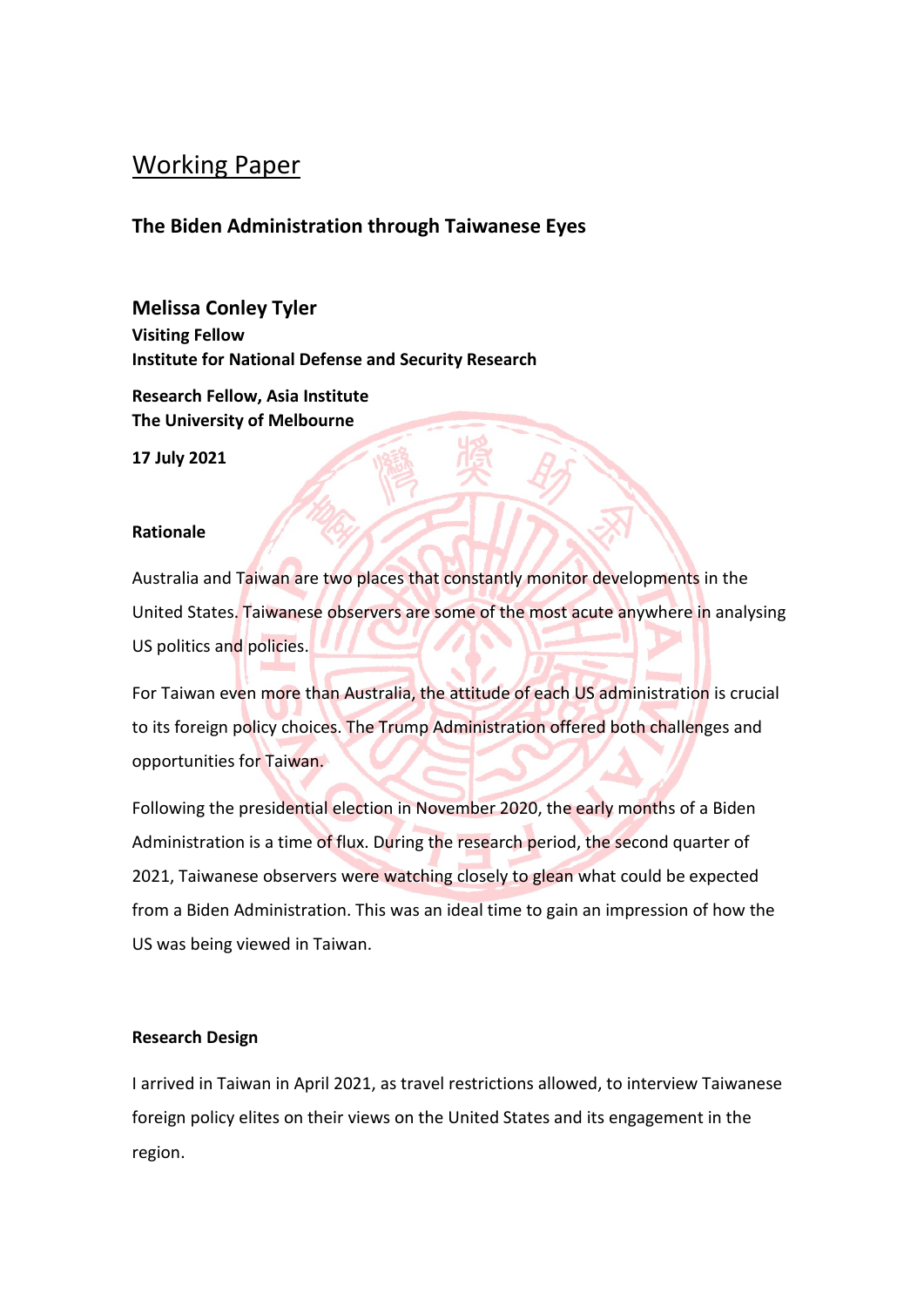#### Working Paper

#### **The Biden Administration through Taiwanese Eyes**

**Melissa Conley Tyler Visiting Fellow Institute for National Defense and Security Research**

**Research Fellow, Asia Institute The University of Melbourne**

**17 July 2021**

#### **Rationale**

Australia and Taiwan are two places that constantly monitor developments in the United States. Taiwanese observers are some of the most acute anywhere in analysing US politics and policies.

For Taiwan even more than Australia, the attitude of each US administration is crucial to its foreign policy choices. The Trump Administration offered both challenges and opportunities for Taiwan.

Following the presidential election in November 2020, the early months of a Biden Administration is a time of flux. During the research period, the second quarter of 2021, Taiwanese observers were watching closely to glean what could be expected from a Biden Administration. This was an ideal time to gain an impression of how the US was being viewed in Taiwan.

#### **Research Design**

I arrived in Taiwan in April 2021, as travel restrictions allowed, to interview Taiwanese foreign policy elites on their views on the United States and its engagement in the region.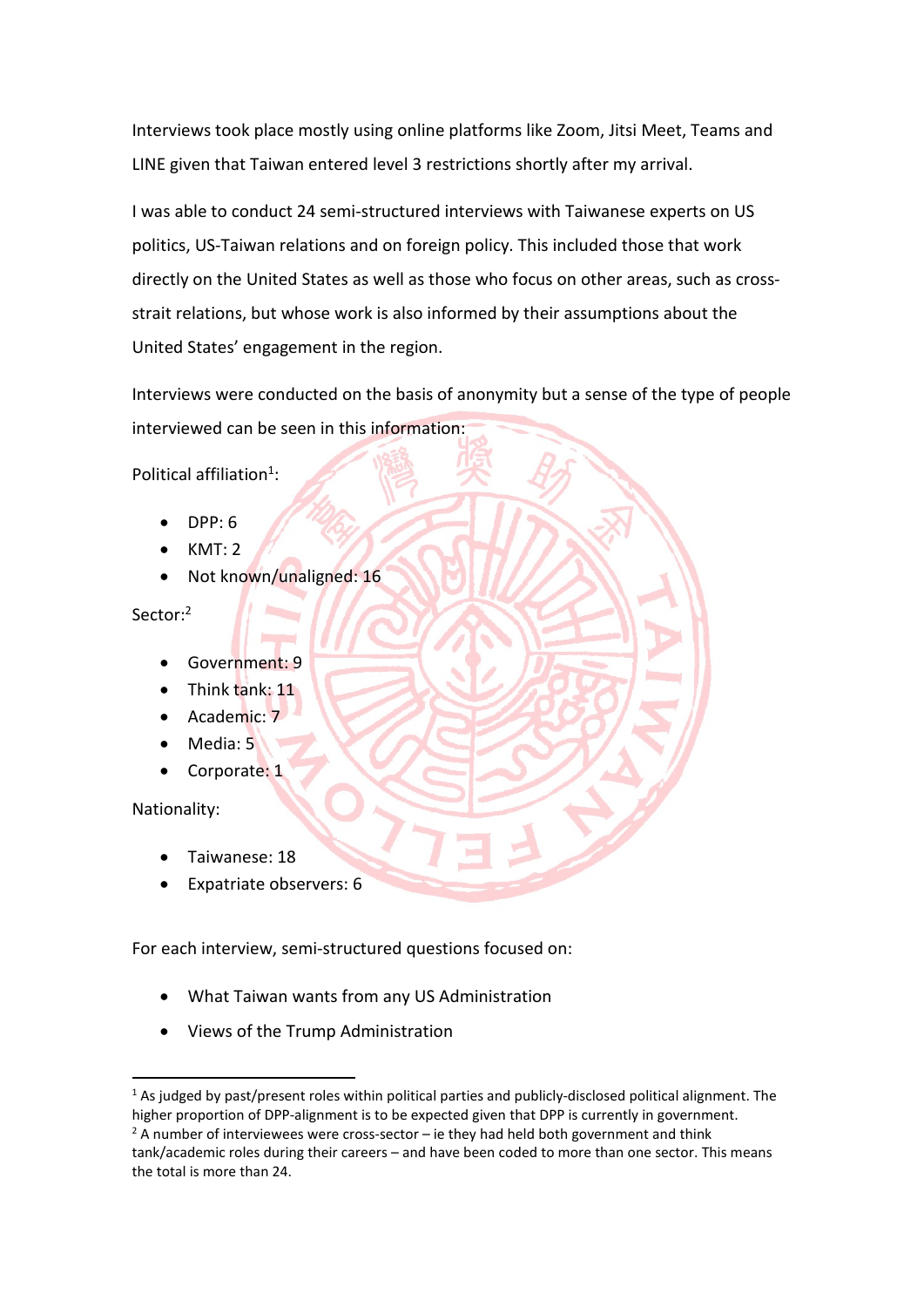Interviews took place mostly using online platforms like Zoom, Jitsi Meet, Teams and LINE given that Taiwan entered level 3 restrictions shortly after my arrival.

I was able to conduct 24 semi-structured interviews with Taiwanese experts on US politics, US-Taiwan relations and on foreign policy. This included those that work directly on the United States as well as those who focus on other areas, such as crossstrait relations, but whose work is also informed by their assumptions about the United States' engagement in the region.

Interviews were conducted on the basis of anonymity but a sense of the type of people interviewed can be seen in this information:

Political affiliation<sup>1</sup>:

- $\bullet$  DPP: 6
- KMT: 2
- Not known/unaligned: 16

Sector:<sup>2</sup>

- Government: 9
- $\bullet$  Think tank: 11
- Academic: 7
- Media: 5
- Corporate: 1

Nationality:

- Taiwanese: 18
- Expatriate observers: 6

For each interview, semi-structured questions focused on:

- What Taiwan wants from any US Administration
- Views of the Trump Administration

 $1$  As judged by past/present roles within political parties and publicly-disclosed political alignment. The higher proportion of DPP-alignment is to be expected given that DPP is currently in government.

 $2$  A number of interviewees were cross-sector – ie they had held both government and think tank/academic roles during their careers – and have been coded to more than one sector. This means the total is more than 24.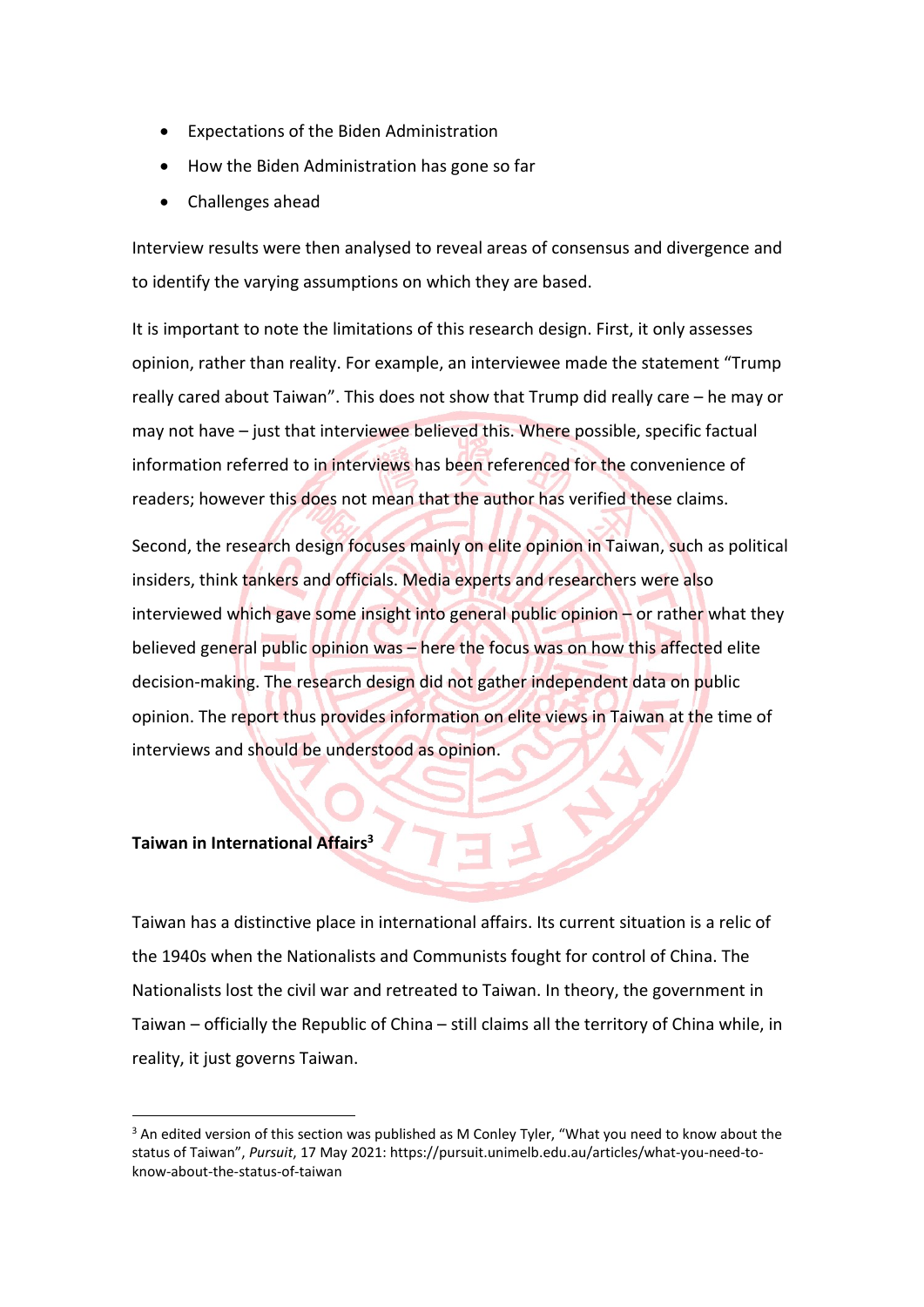- Expectations of the Biden Administration
- How the Biden Administration has gone so far
- Challenges ahead

Interview results were then analysed to reveal areas of consensus and divergence and to identify the varying assumptions on which they are based.

It is important to note the limitations of this research design. First, it only assesses opinion, rather than reality. For example, an interviewee made the statement "Trump really cared about Taiwan". This does not show that Trump did really care – he may or may not have – just that interviewee believed this. Where possible, specific factual information referred to in interviews has been referenced for the convenience of readers; however this does not mean that the author has verified these claims.

Second, the research design focuses mainly on elite opinion in Taiwan, such as political insiders, think tankers and officials. Media experts and researchers were also interviewed which gave some insight into general public opinion – or rather what they believed general public opinion was – here the focus was on how this affected elite decision-making. The research design did not gather independent data on public opinion. The report thus provides information on elite views in Taiwan at the time of interviews and should be understood as opinion.

#### **Taiwan in International Affairs<sup>3</sup>**

Taiwan has a distinctive place in international affairs. Its current situation is a relic of the 1940s when the Nationalists and Communists fought for control of China. The Nationalists lost the civil war and retreated to Taiwan. In theory, the government in Taiwan – officially the Republic of China – still claims all the territory of China while, in reality, it just governs Taiwan.

 $3$  An edited version of this section was published as M Conley Tyler, "What you need to know about the status of Taiwan", *Pursuit*, 17 May 2021: https://pursuit.unimelb.edu.au/articles/what-you-need-toknow-about-the-status-of-taiwan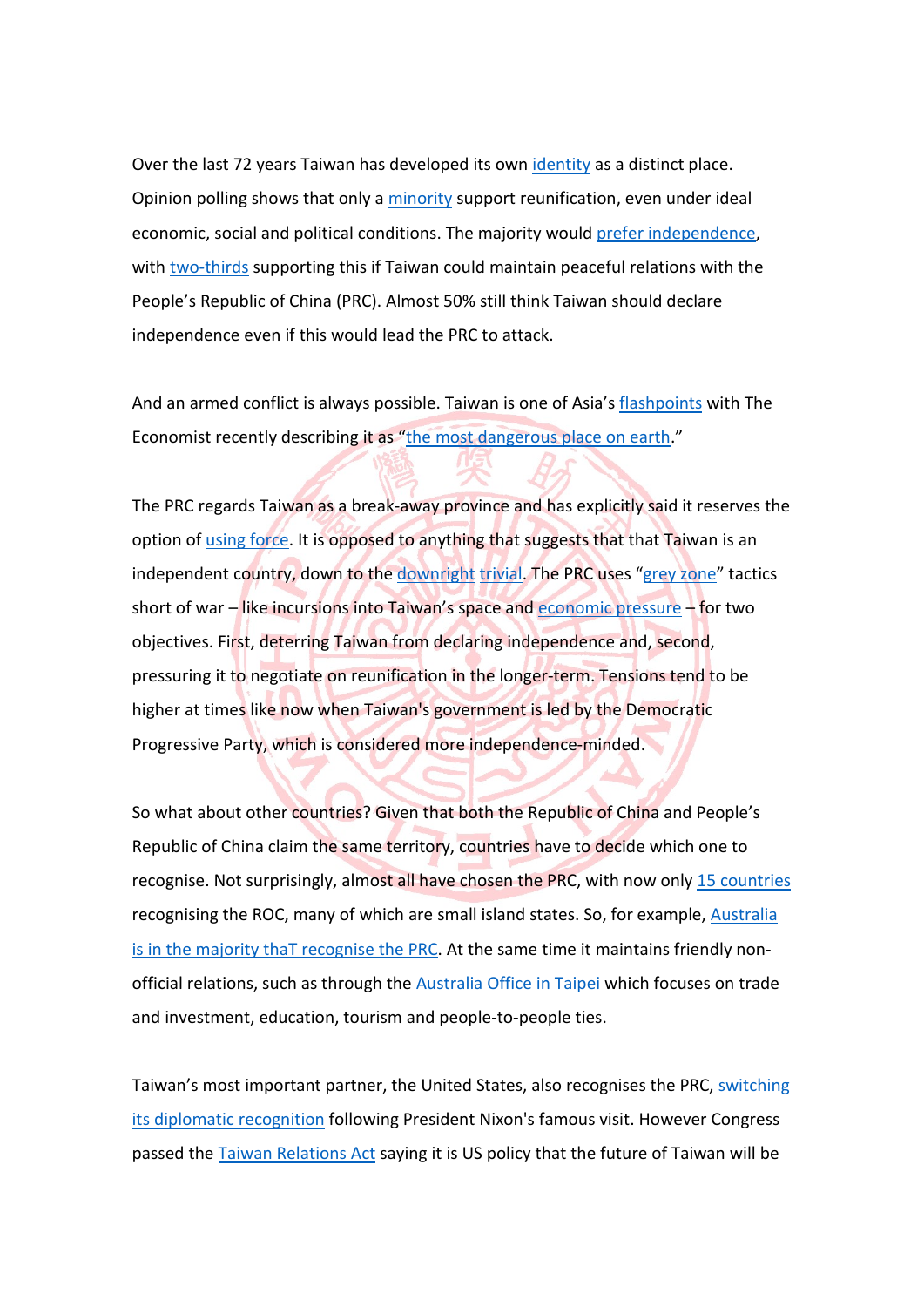Over the last 72 years Taiwan has developed its own identity as a distinct place. Opinion polling shows that only a minority support reunification, even under ideal economic, social and political conditions. The majority would prefer independence, with two-thirds supporting this if Taiwan could maintain peaceful relations with the People's Republic of China (PRC). Almost 50% still think Taiwan should declare independence even if this would lead the PRC to attack.

And an armed conflict is always possible. Taiwan is one of Asia's flashpoints with The Economist recently describing it as "the most dangerous place on earth."

The PRC regards Taiwan as a break-away province and has explicitly said it reserves the option of using force. It is opposed to anything that suggests that that Taiwan is an independent country, down to the downright trivial. The PRC uses "grey zone" tactics short of war – like incursions into Taiwan's space and economic pressure – for two objectives. First, deterring Taiwan from declaring independence and, second, pressuring it to negotiate on reunification in the longer-term. Tensions tend to be higher at times like now when Taiwan's government is led by the Democratic Progressive Party, which is considered more independence-minded.

So what about other countries? Given that both the Republic of China and People's Republic of China claim the same territory, countries have to decide which one to recognise. Not surprisingly, almost all have chosen the PRC, with now only 15 countries recognising the ROC, many of which are small island states. So, for example, Australia is in the majority thaT recognise the PRC. At the same time it maintains friendly nonofficial relations, such as through the **Australia Office in Taipei** which focuses on trade and investment, education, tourism and people-to-people ties.

Taiwan's most important partner, the United States, also recognises the PRC, switching its diplomatic recognition following President Nixon's famous visit. However Congress passed the Taiwan Relations Act saying it is US policy that the future of Taiwan will be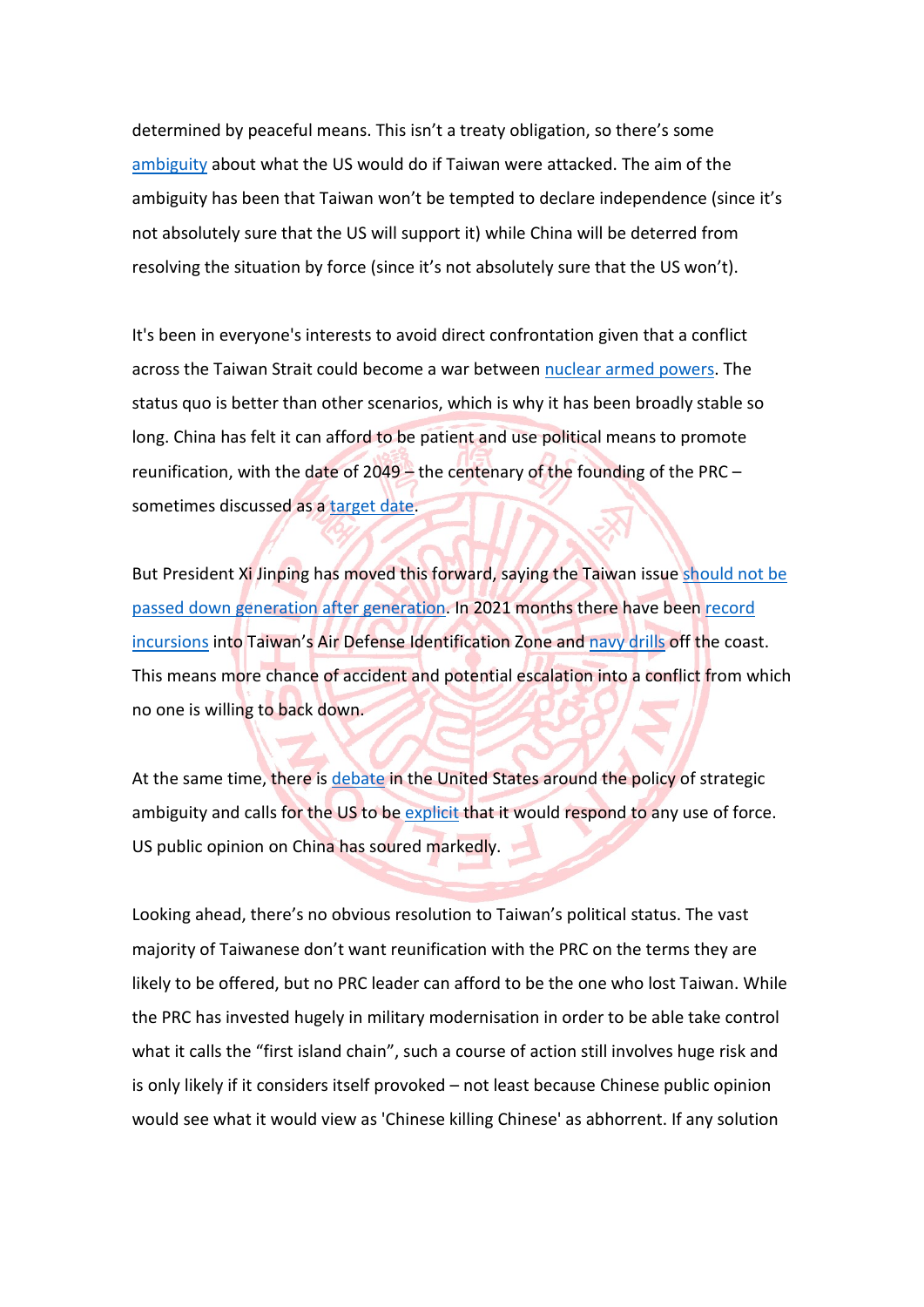determined by peaceful means. This isn't a treaty obligation, so there's some ambiguity about what the US would do if Taiwan were attacked. The aim of the ambiguity has been that Taiwan won't be tempted to declare independence (since it's not absolutely sure that the US will support it) while China will be deterred from resolving the situation by force (since it's not absolutely sure that the US won't).

It's been in everyone's interests to avoid direct confrontation given that a conflict across the Taiwan Strait could become a war between nuclear armed powers. The status quo is better than other scenarios, which is why it has been broadly stable so long. China has felt it can afford to be patient and use political means to promote reunification, with the date of 2049 – the centenary of the founding of the PRC – sometimes discussed as a target date.

But President Xi Jinping has moved this forward, saying the Taiwan issue should not be passed down generation after generation. In 2021 months there have been record incursions into Taiwan's Air Defense Identification Zone and navy drills off the coast. This means more chance of accident and potential escalation into a conflict from which no one is willing to back down.

At the same time, there is debate in the United States around the policy of strategic ambiguity and calls for the US to be explicit that it would respond to any use of force. US public opinion on China has soured markedly.

Looking ahead, there's no obvious resolution to Taiwan's political status. The vast majority of Taiwanese don't want reunification with the PRC on the terms they are likely to be offered, but no PRC leader can afford to be the one who lost Taiwan. While the PRC has invested hugely in military modernisation in order to be able take control what it calls the "first island chain", such a course of action still involves huge risk and is only likely if it considers itself provoked – not least because Chinese public opinion would see what it would view as 'Chinese killing Chinese' as abhorrent. If any solution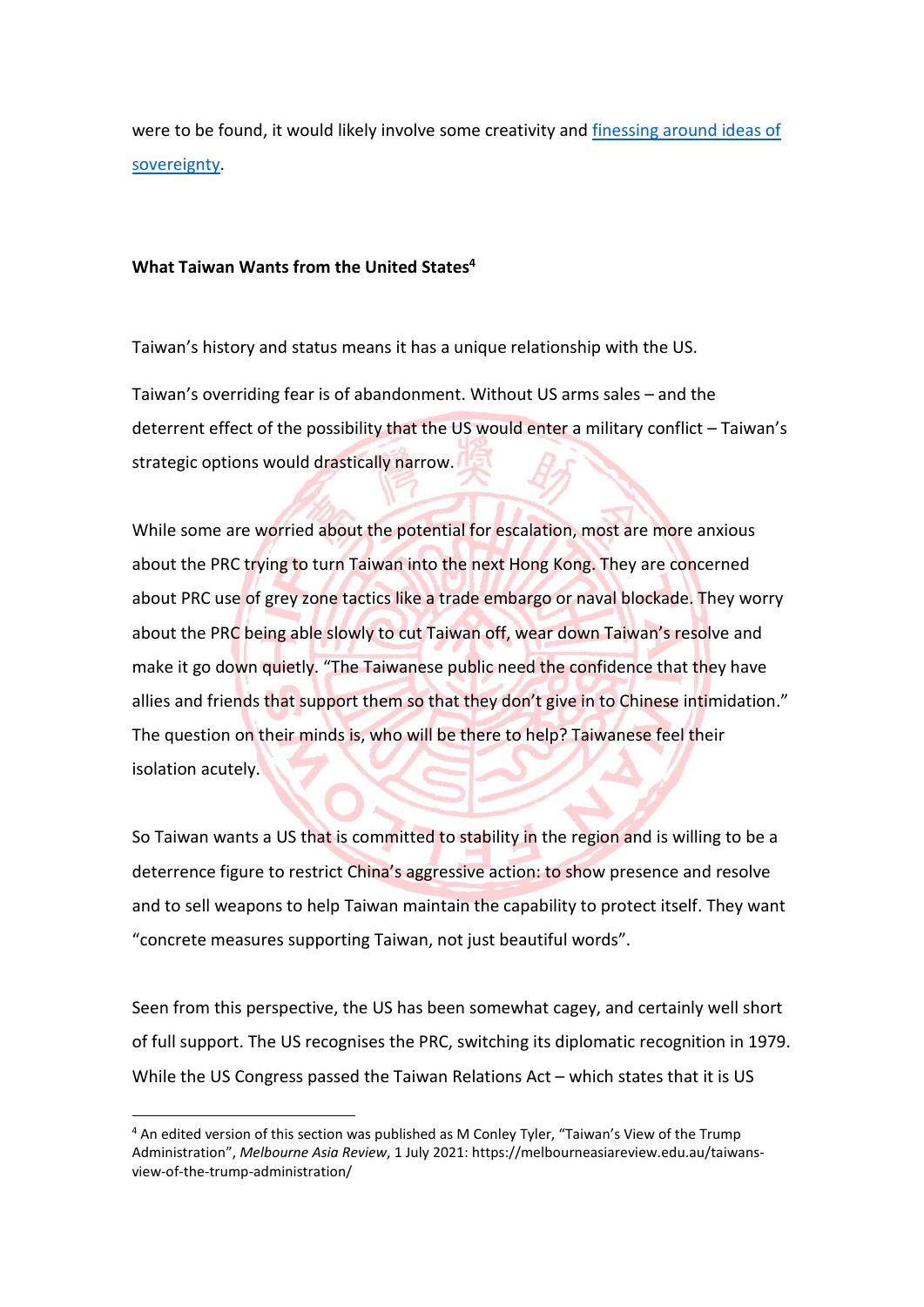were to be found, it would likely involve some creativity and finessing around ideas of sovereignty.

#### **What Taiwan Wants from the United States<sup>4</sup>**

Taiwan's history and status means it has a unique relationship with the US.

Taiwan's overriding fear is of abandonment. Without US arms sales – and the deterrent effect of the possibility that the US would enter a military conflict – Taiwan's strategic options would drastically narrow.

While some are worried about the potential for escalation, most are more anxious about the PRC trying to turn Taiwan into the next Hong Kong. They are concerned about PRC use of grey zone tactics like a trade embargo or naval blockade. They worry about the PRC being able slowly to cut Taiwan off, wear down Taiwan's resolve and make it go down quietly. "The Taiwanese public need the confidence that they have allies and friends that support them so that they don't give in to Chinese intimidation." The question on their minds is, who will be there to help? Taiwanese feel their isolation acutely.

So Taiwan wants a US that is committed to stability in the region and is willing to be a deterrence figure to restrict China's aggressive action: to show presence and resolve and to sell weapons to help Taiwan maintain the capability to protect itself. They want "concrete measures supporting Taiwan, not just beautiful words".

Seen from this perspective, the US has been somewhat cagey, and certainly well short of full support. The US recognises the PRC, switching its diplomatic recognition in 1979. While the US Congress passed the Taiwan Relations Act – which states that it is US

<sup>4</sup> An edited version of this section was published as M Conley Tyler, "Taiwan's View of the Trump Administration", *Melbourne Asia Review*, 1 July 2021: https://melbourneasiareview.edu.au/taiwansview-of-the-trump-administration/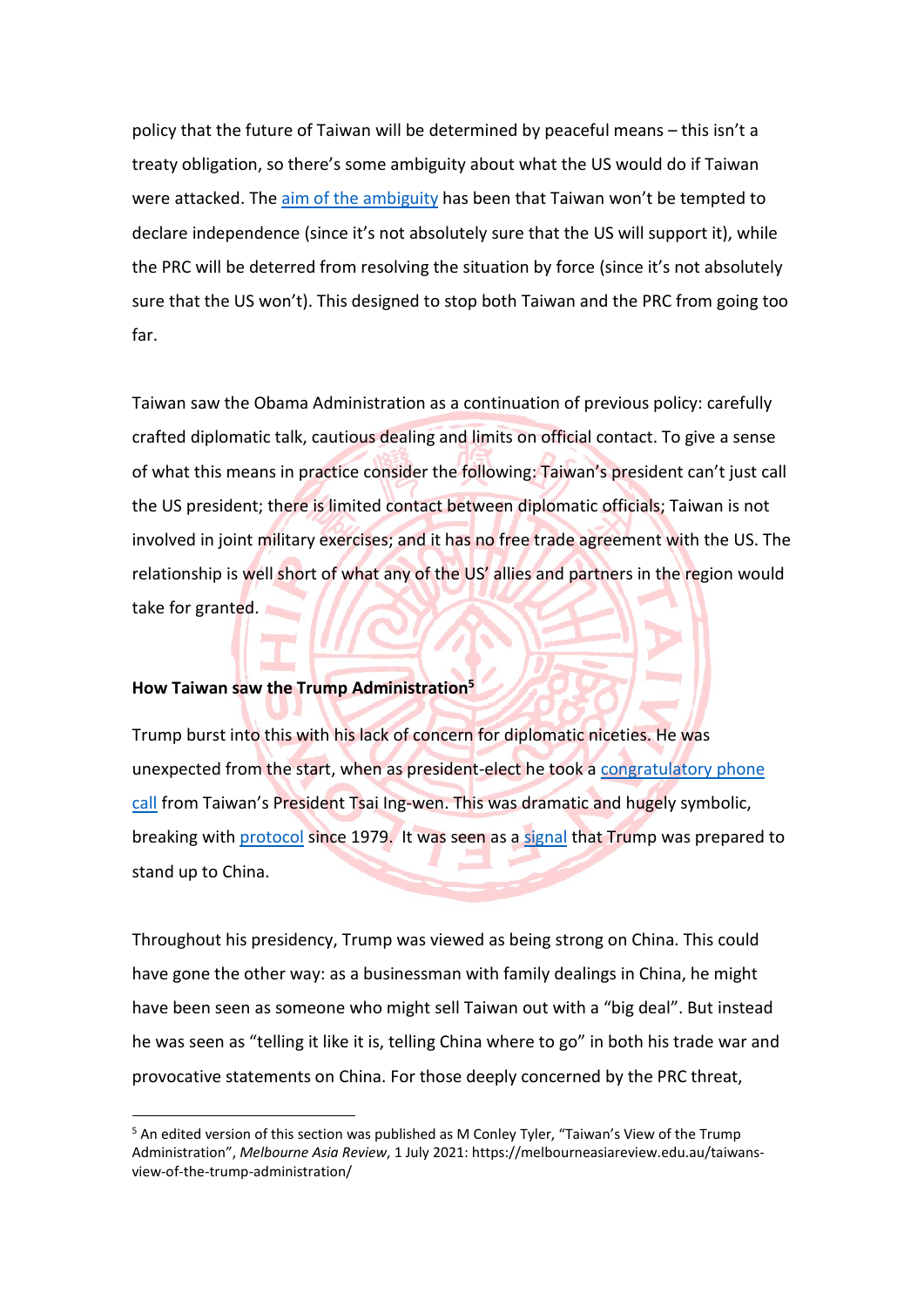policy that the future of Taiwan will be determined by peaceful means – this isn't a treaty obligation, so there's some ambiguity about what the US would do if Taiwan were attacked. The aim of the ambiguity has been that Taiwan won't be tempted to declare independence (since it's not absolutely sure that the US will support it), while the PRC will be deterred from resolving the situation by force (since it's not absolutely sure that the US won't). This designed to stop both Taiwan and the PRC from going too far.

Taiwan saw the Obama Administration as a continuation of previous policy: carefully crafted diplomatic talk, cautious dealing and limits on official contact. To give a sense of what this means in practice consider the following: Taiwan's president can't just call the US president; there is limited contact between diplomatic officials; Taiwan is not involved in joint military exercises; and it has no free trade agreement with the US. The relationship is well short of what any of the US' allies and partners in the region would take for granted.

#### **How Taiwan saw the Trump Administration<sup>5</sup>**

Trump burst into this with his lack of concern for diplomatic niceties. He was unexpected from the start, when as president-elect he took a congratulatory phone call from Taiwan's President Tsai Ing-wen. This was dramatic and hugely symbolic, breaking with protocol since 1979. It was seen as a signal that Trump was prepared to stand up to China.

Throughout his presidency, Trump was viewed as being strong on China. This could have gone the other way: as a businessman with family dealings in China, he might have been seen as someone who might sell Taiwan out with a "big deal". But instead he was seen as "telling it like it is, telling China where to go" in both his trade war and provocative statements on China. For those deeply concerned by the PRC threat,

 $5$  An edited version of this section was published as M Conley Tyler, "Taiwan's View of the Trump Administration", *Melbourne Asia Review*, 1 July 2021: https://melbourneasiareview.edu.au/taiwansview-of-the-trump-administration/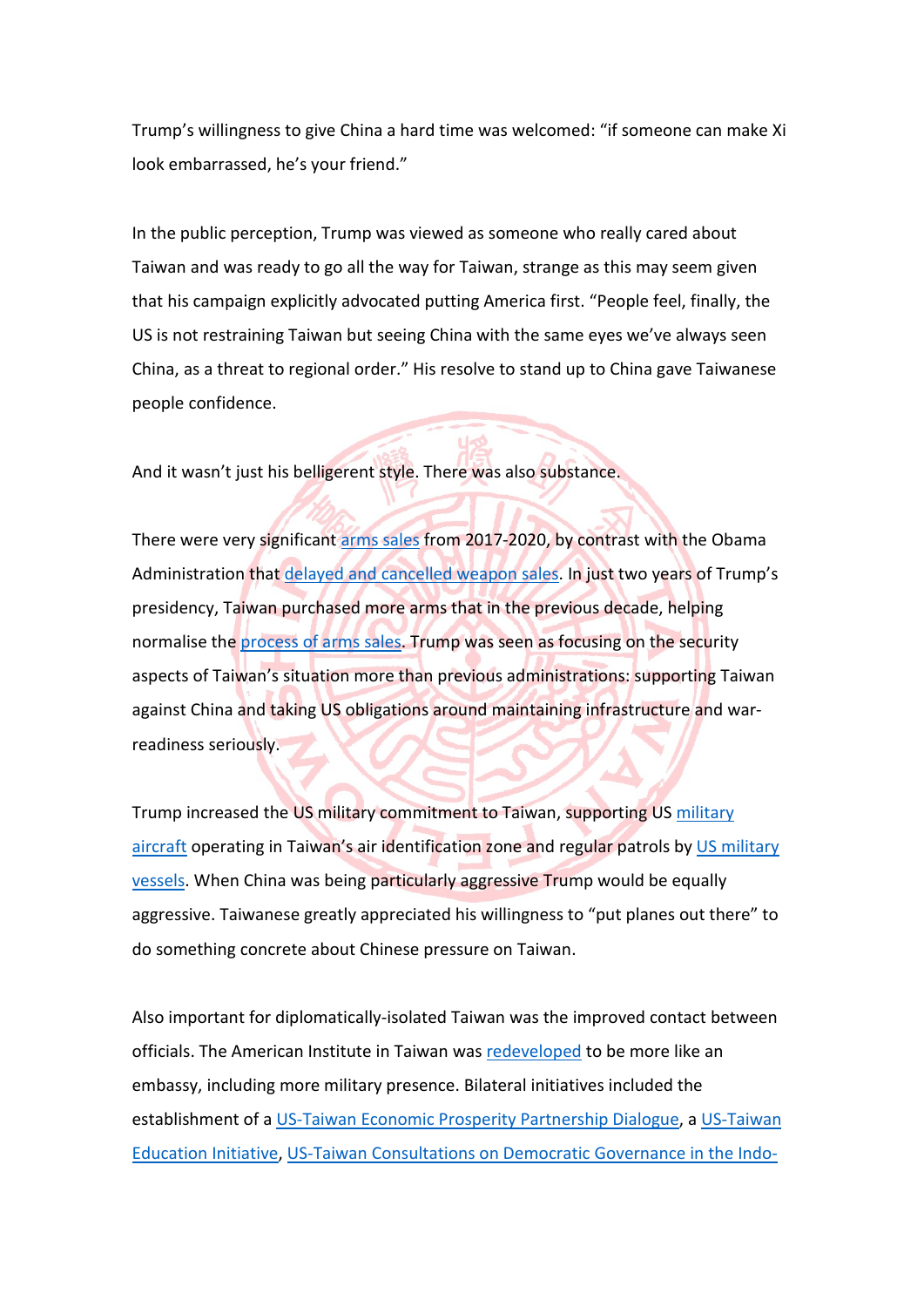Trump's willingness to give China a hard time was welcomed: "if someone can make Xi look embarrassed, he's your friend."

In the public perception, Trump was viewed as someone who really cared about Taiwan and was ready to go all the way for Taiwan, strange as this may seem given that his campaign explicitly advocated putting America first. "People feel, finally, the US is not restraining Taiwan but seeing China with the same eyes we've always seen China, as a threat to regional order." His resolve to stand up to China gave Taiwanese people confidence.

And it wasn't just his belligerent style. There was also substance.

There were very significant arms sales from 2017-2020, by contrast with the Obama Administration that delayed and cancelled weapon sales. In just two years of Trump's presidency, Taiwan purchased more arms that in the previous decade, helping normalise the process of arms sales. Trump was seen as focusing on the security aspects of Taiwan's situation more than previous administrations: supporting Taiwan against China and taking US obligations around maintaining infrastructure and warreadiness seriously.

Trump increased the US military commitment to Taiwan, supporting US military aircraft operating in Taiwan's air identification zone and regular patrols by US military vessels. When China was being particularly aggressive Trump would be equally aggressive. Taiwanese greatly appreciated his willingness to "put planes out there" to do something concrete about Chinese pressure on Taiwan.

Also important for diplomatically-isolated Taiwan was the improved contact between officials. The American Institute in Taiwan was redeveloped to be more like an embassy, including more military presence. Bilateral initiatives included the establishment of a US-Taiwan Economic Prosperity Partnership Dialogue, a US-Taiwan Education Initiative, US-Taiwan Consultations on Democratic Governance in the Indo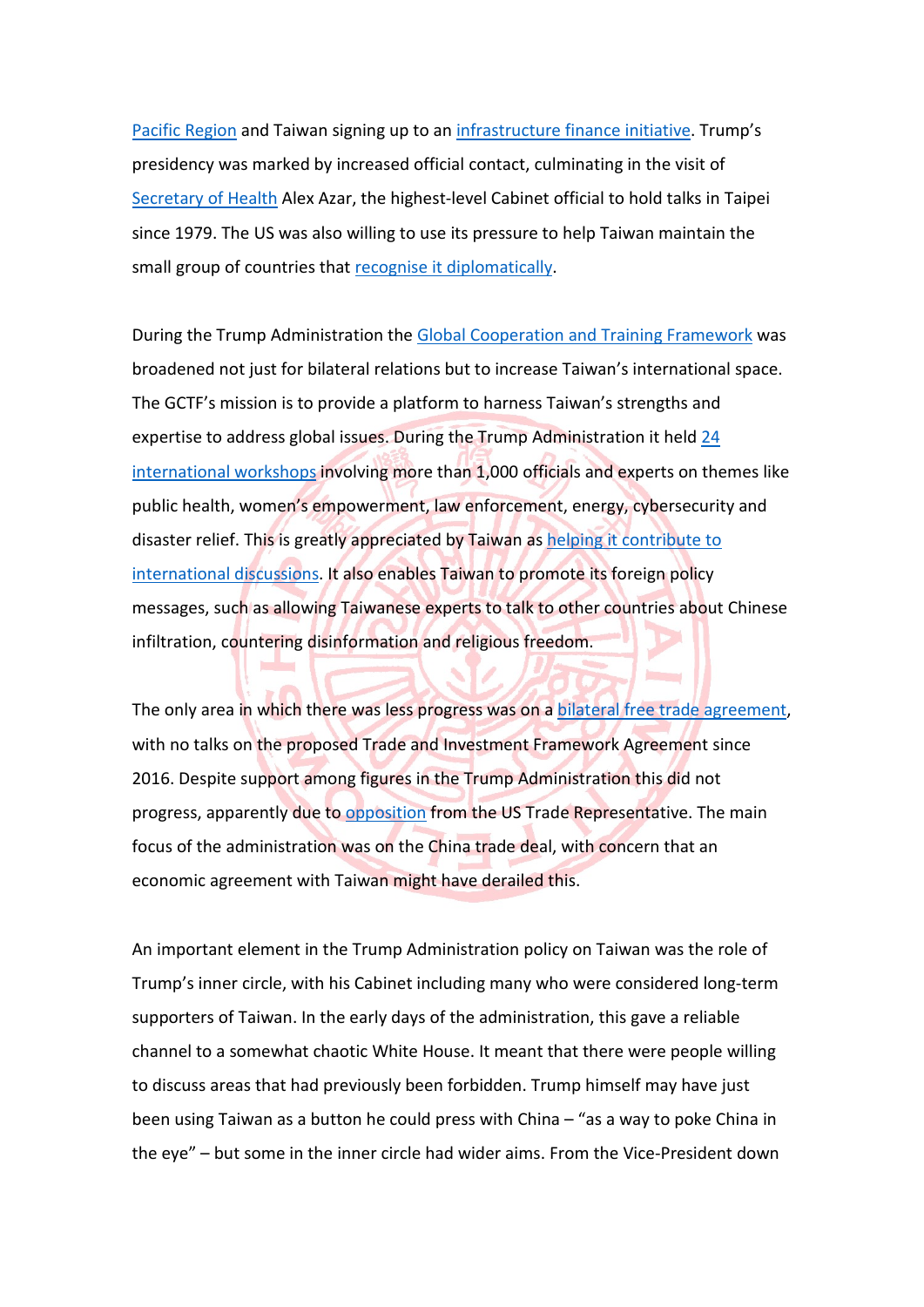Pacific Region and Taiwan signing up to an infrastructure finance initiative. Trump's presidency was marked by increased official contact, culminating in the visit of Secretary of Health Alex Azar, the highest-level Cabinet official to hold talks in Taipei since 1979. The US was also willing to use its pressure to help Taiwan maintain the small group of countries that recognise it diplomatically.

During the Trump Administration the Global Cooperation and Training Framework was broadened not just for bilateral relations but to increase Taiwan's international space. The GCTF's mission is to provide a platform to harness Taiwan's strengths and expertise to address global issues. During the Trump Administration it held 24 international workshops involving more than 1,000 officials and experts on themes like public health, women's empowerment, law enforcement, energy, cybersecurity and disaster relief. This is greatly appreciated by Taiwan as helping it contribute to international discussions. It also enables Taiwan to promote its foreign policy messages, such as allowing Taiwanese experts to talk to other countries about Chinese infiltration, countering disinformation and religious freedom.

The only area in which there was less progress was on a bilateral free trade agreement, with no talks on the proposed Trade and Investment Framework Agreement since 2016. Despite support among figures in the Trump Administration this did not progress, apparently due to opposition from the US Trade Representative. The main focus of the administration was on the China trade deal, with concern that an economic agreement with Taiwan might have derailed this.

An important element in the Trump Administration policy on Taiwan was the role of Trump's inner circle, with his Cabinet including many who were considered long-term supporters of Taiwan. In the early days of the administration, this gave a reliable channel to a somewhat chaotic White House. It meant that there were people willing to discuss areas that had previously been forbidden. Trump himself may have just been using Taiwan as a button he could press with China – "as a way to poke China in the eye" – but some in the inner circle had wider aims. From the Vice-President down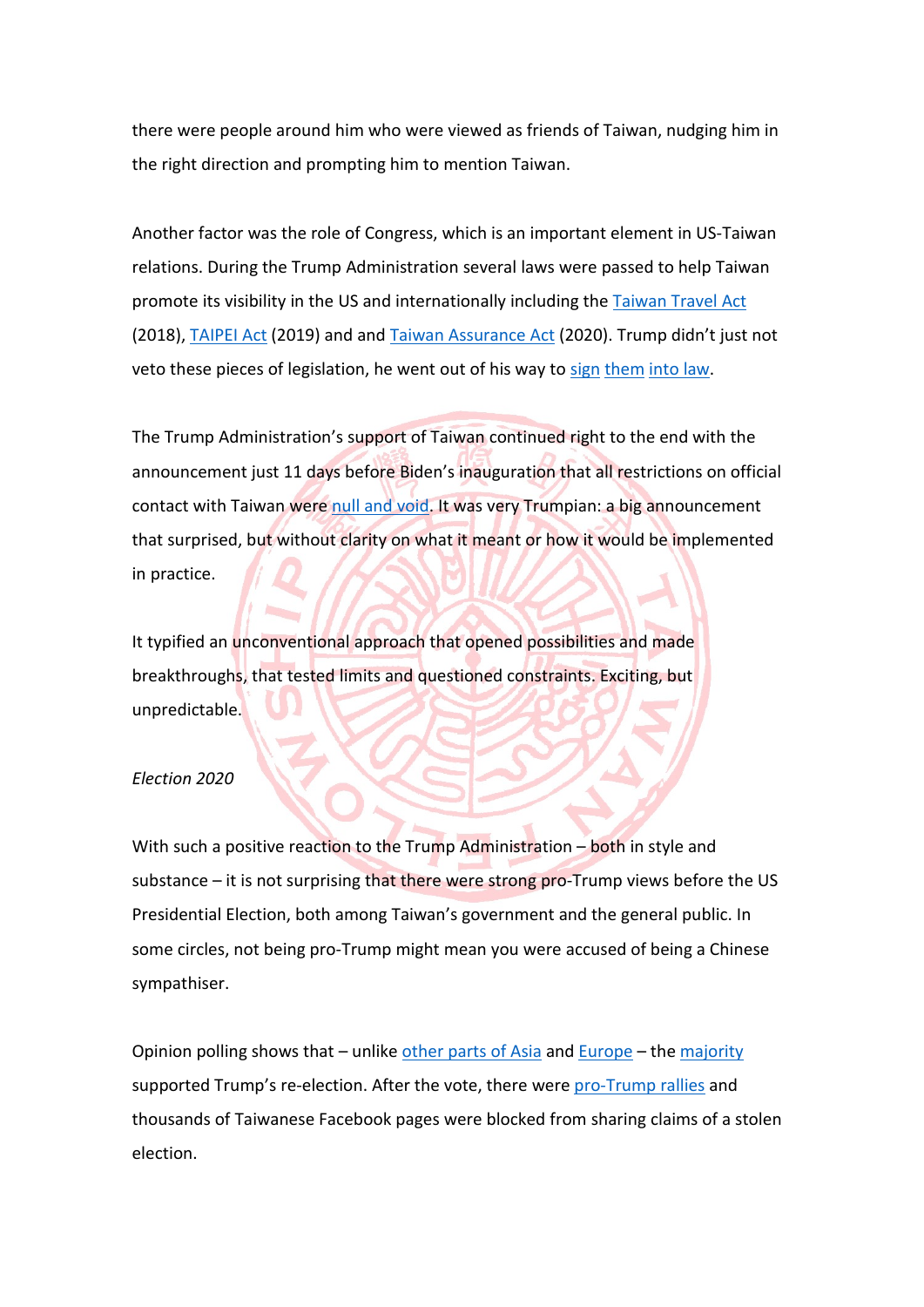there were people around him who were viewed as friends of Taiwan, nudging him in the right direction and prompting him to mention Taiwan.

Another factor was the role of Congress, which is an important element in US-Taiwan relations. During the Trump Administration several laws were passed to help Taiwan promote its visibility in the US and internationally including the Taiwan Travel Act (2018), TAIPEI Act (2019) and and Taiwan Assurance Act (2020). Trump didn't just not veto these pieces of legislation, he went out of his way to sign them into law.

The Trump Administration's support of Taiwan continued right to the end with the announcement just 11 days before Biden's inauguration that all restrictions on official contact with Taiwan were null and void. It was very Trumpian: a big announcement that surprised, but without clarity on what it meant or how it would be implemented in practice.

It typified an unconventional approach that opened possibilities and made breakthroughs, that tested limits and questioned constraints. Exciting, but unpredictable.

#### *Election 2020*

With such a positive reaction to the Trump Administration – both in style and substance  $-$  it is not surprising that there were strong pro-Trump views before the US Presidential Election, both among Taiwan's government and the general public. In some circles, not being pro-Trump might mean you were accused of being a Chinese sympathiser.

Opinion polling shows that – unlike other parts of Asia and Europe – the majority supported Trump's re-election. After the vote, there were pro-Trump rallies and thousands of Taiwanese Facebook pages were blocked from sharing claims of a stolen election.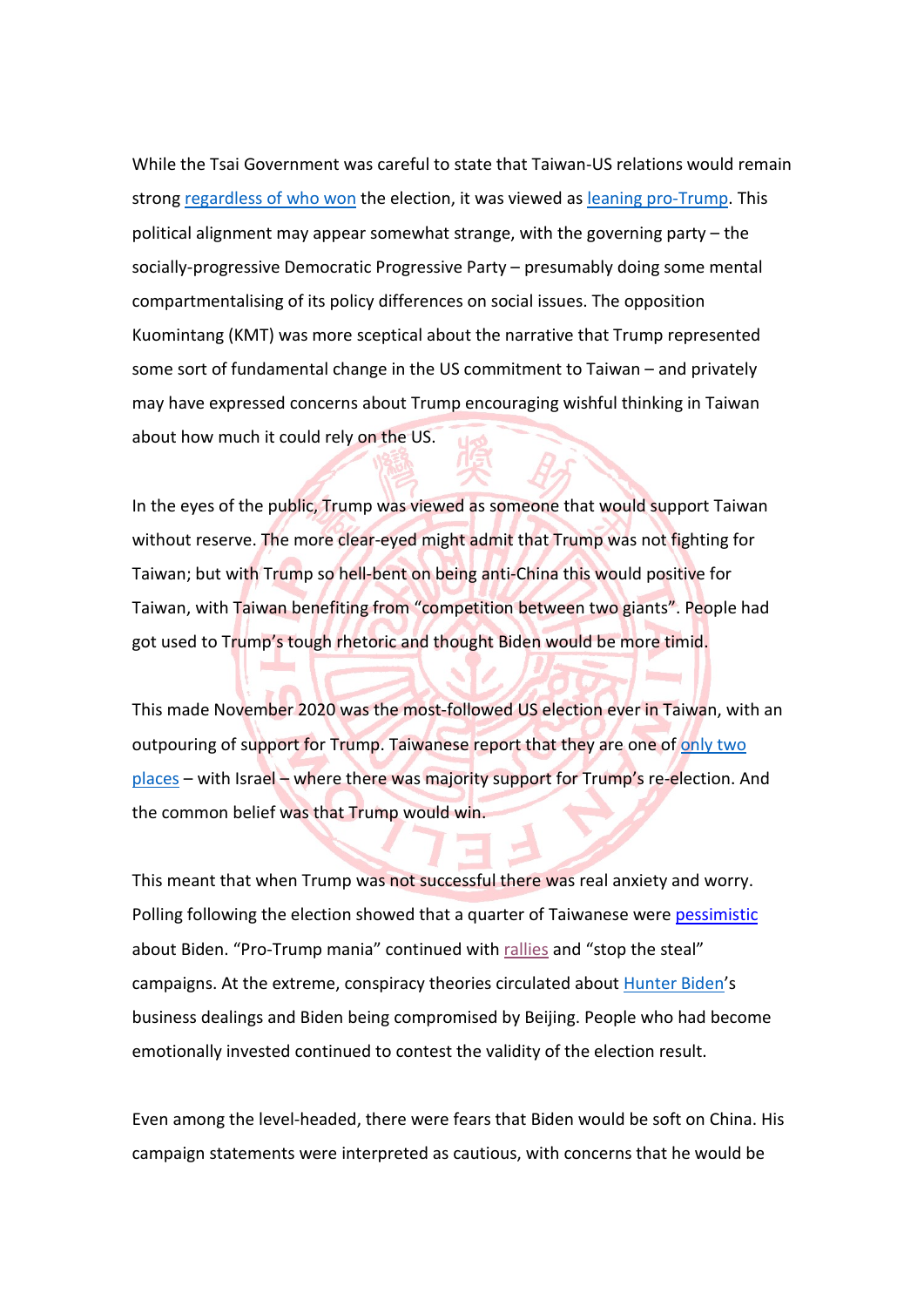While the Tsai Government was careful to state that Taiwan-US relations would remain strong regardless of who won the election, it was viewed as leaning pro-Trump. This political alignment may appear somewhat strange, with the governing party – the socially-progressive Democratic Progressive Party – presumably doing some mental compartmentalising of its policy differences on social issues. The opposition Kuomintang (KMT) was more sceptical about the narrative that Trump represented some sort of fundamental change in the US commitment to Taiwan – and privately may have expressed concerns about Trump encouraging wishful thinking in Taiwan about how much it could rely on the US.

In the eyes of the public, Trump was viewed as someone that would support Taiwan without reserve. The more clear-eyed might admit that Trump was not fighting for Taiwan; but with Trump so hell-bent on being anti-China this would positive for Taiwan, with Taiwan benefiting from "competition between two giants". People had got used to Trump's tough rhetoric and thought Biden would be more timid.

This made November 2020 was the most-followed US election ever in Taiwan, with an outpouring of support for Trump. Taiwanese report that they are one of only two places – with Israel – where there was majority support for Trump's re-election. And the common belief was that Trump would win.

This meant that when Trump was not successful there was real anxiety and worry. Polling following the election showed that a quarter of Taiwanese were pessimistic about Biden. "Pro-Trump mania" continued with rallies and "stop the steal" campaigns. At the extreme, conspiracy theories circulated about Hunter Biden's business dealings and Biden being compromised by Beijing. People who had become emotionally invested continued to contest the validity of the election result.

Even among the level-headed, there were fears that Biden would be soft on China. His campaign statements were interpreted as cautious, with concerns that he would be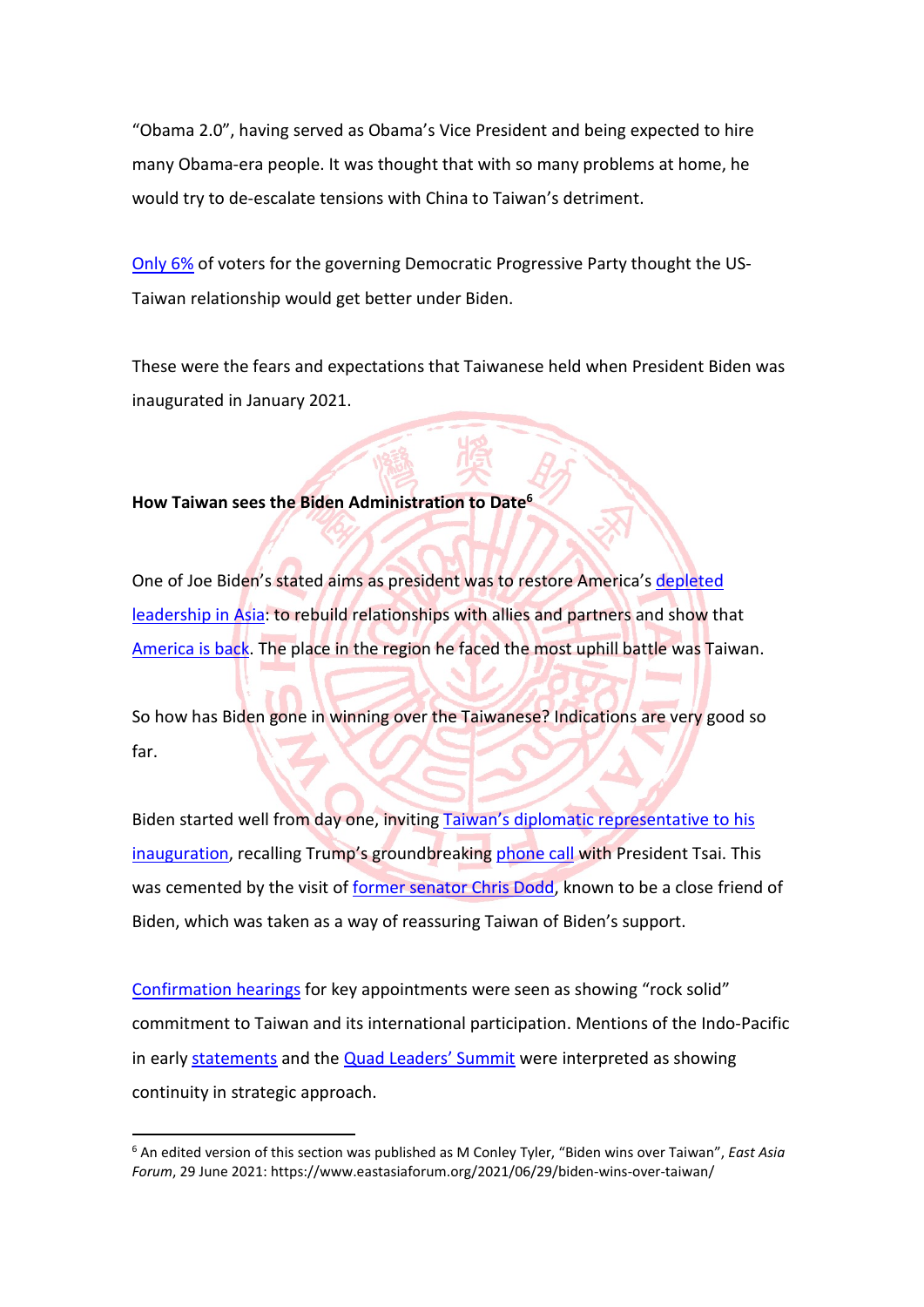"Obama 2.0", having served as Obama's Vice President and being expected to hire many Obama-era people. It was thought that with so many problems at home, he would try to de-escalate tensions with China to Taiwan's detriment.

Only 6% of voters for the governing Democratic Progressive Party thought the US-Taiwan relationship would get better under Biden.

These were the fears and expectations that Taiwanese held when President Biden was inaugurated in January 2021.

#### **How Taiwan sees the Biden Administration to Date<sup>6</sup>**

One of Joe Biden's stated aims as president was to restore America's depleted leadership in Asia: to rebuild relationships with allies and partners and show that America is back. The place in the region he faced the most uphill battle was Taiwan.

So how has Biden gone in winning over the Taiwanese? Indications are very good so far.

Biden started well from day one, inviting Taiwan's diplomatic representative to his inauguration, recalling Trump's groundbreaking phone call with President Tsai. This was cemented by the visit of former senator Chris Dodd, known to be a close friend of Biden, which was taken as a way of reassuring Taiwan of Biden's support.

Confirmation hearings for key appointments were seen as showing "rock solid" commitment to Taiwan and its international participation. Mentions of the Indo-Pacific in early statements and the Quad Leaders' Summit were interpreted as showing continuity in strategic approach.

<sup>6</sup> An edited version of this section was published as M Conley Tyler, "Biden wins over Taiwan", *East Asia Forum*, 29 June 2021: https://www.eastasiaforum.org/2021/06/29/biden-wins-over-taiwan/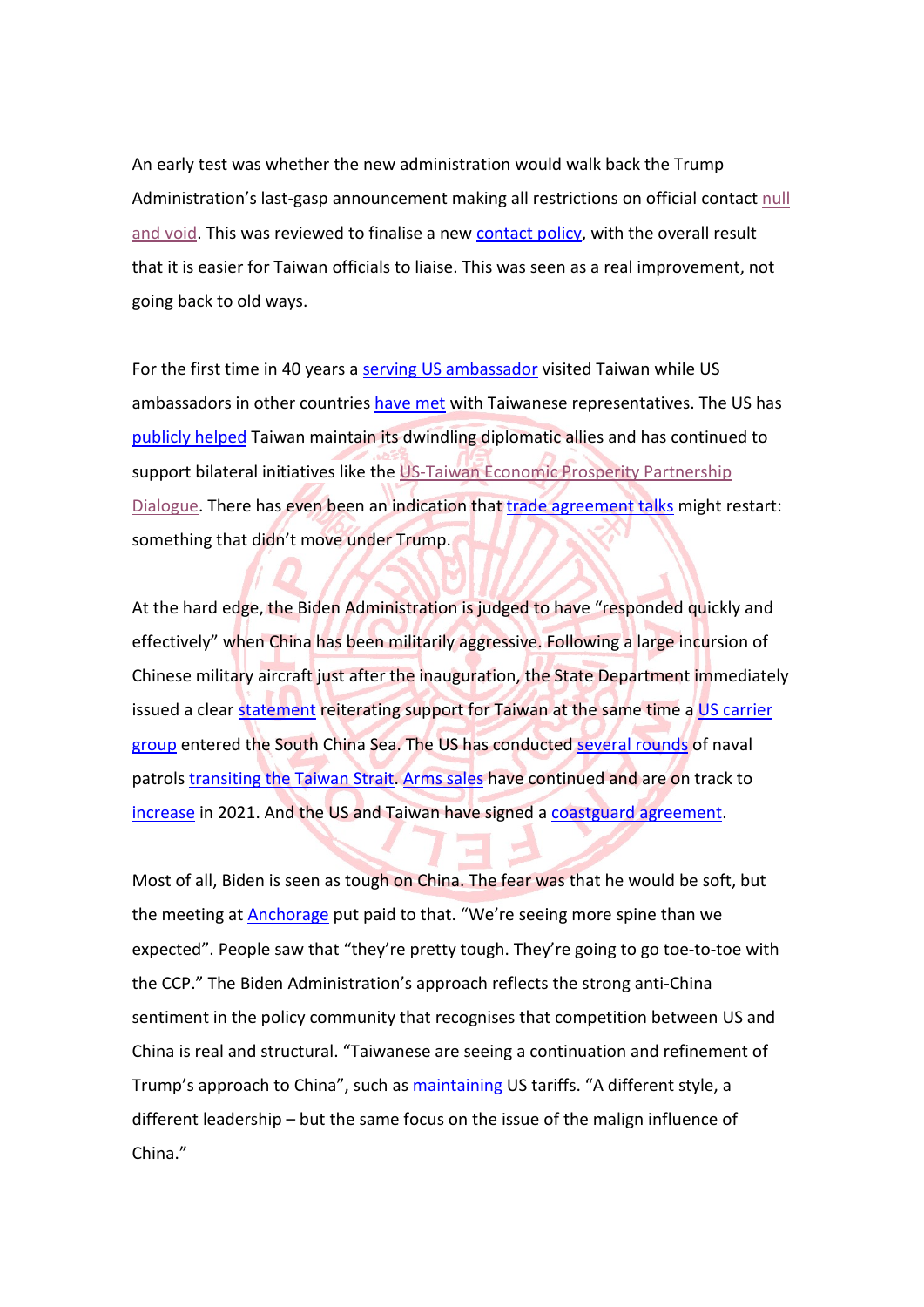An early test was whether the new administration would walk back the Trump Administration's last-gasp announcement making all restrictions on official contact null and void. This was reviewed to finalise a new contact policy, with the overall result that it is easier for Taiwan officials to liaise. This was seen as a real improvement, not going back to old ways.

For the first time in 40 years a serving US ambassador visited Taiwan while US ambassadors in other countries have met with Taiwanese representatives. The US has publicly helped Taiwan maintain its dwindling diplomatic allies and has continued to support bilateral initiatives like the US-Taiwan Economic Prosperity Partnership Dialogue. There has even been an indication that trade agreement talks might restart: something that didn't move under Trump.

At the hard edge, the Biden Administration is judged to have "responded quickly and effectively" when China has been militarily aggressive. Following a large incursion of Chinese military aircraft just after the inauguration, the State Department immediately issued a clear statement reiterating support for Taiwan at the same time a US carrier group entered the South China Sea. The US has conducted several rounds of naval patrols transiting the Taiwan Strait. Arms sales have continued and are on track to increase in 2021. And the US and Taiwan have signed a coastguard agreement.

Most of all, Biden is seen as tough on China. The fear was that he would be soft, but the meeting at Anchorage put paid to that. "We're seeing more spine than we expected". People saw that "they're pretty tough. They're going to go toe-to-toe with the CCP." The Biden Administration's approach reflects the strong anti-China sentiment in the policy community that recognises that competition between US and China is real and structural. "Taiwanese are seeing a continuation and refinement of Trump's approach to China", such as maintaining US tariffs. "A different style, a different leadership – but the same focus on the issue of the malign influence of China."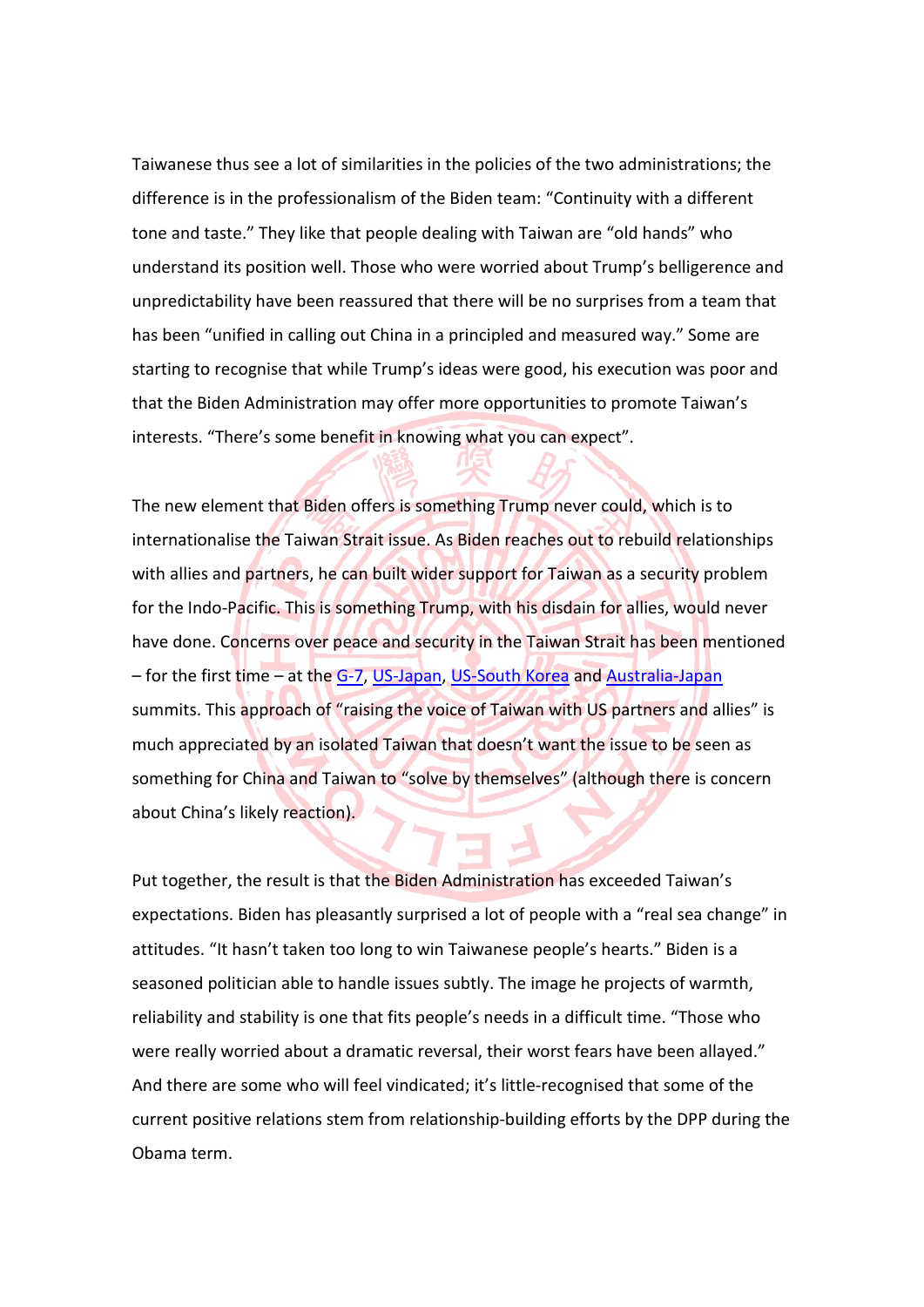Taiwanese thus see a lot of similarities in the policies of the two administrations; the difference is in the professionalism of the Biden team: "Continuity with a different tone and taste." They like that people dealing with Taiwan are "old hands" who understand its position well. Those who were worried about Trump's belligerence and unpredictability have been reassured that there will be no surprises from a team that has been "unified in calling out China in a principled and measured way." Some are starting to recognise that while Trump's ideas were good, his execution was poor and that the Biden Administration may offer more opportunities to promote Taiwan's interests. "There's some benefit in knowing what you can expect".

The new element that Biden offers is something Trump never could, which is to internationalise the Taiwan Strait issue. As Biden reaches out to rebuild relationships with allies and partners, he can built wider support for Taiwan as a security problem for the Indo-Pacific. This is something Trump, with his disdain for allies, would never have done. Concerns over peace and security in the Taiwan Strait has been mentioned – for the first time – at the G-7, US-Japan, US-South Korea and Australia-Japan summits. This approach of "raising the voice of Taiwan with US partners and allies" is much appreciated by an isolated Taiwan that doesn't want the issue to be seen as something for China and Taiwan to "solve by themselves" (although there is concern about China's likely reaction).

Put together, the result is that the Biden Administration has exceeded Taiwan's expectations. Biden has pleasantly surprised a lot of people with a "real sea change" in attitudes. "It hasn't taken too long to win Taiwanese people's hearts." Biden is a seasoned politician able to handle issues subtly. The image he projects of warmth, reliability and stability is one that fits people's needs in a difficult time. "Those who were really worried about a dramatic reversal, their worst fears have been allayed." And there are some who will feel vindicated; it's little-recognised that some of the current positive relations stem from relationship-building efforts by the DPP during the Obama term.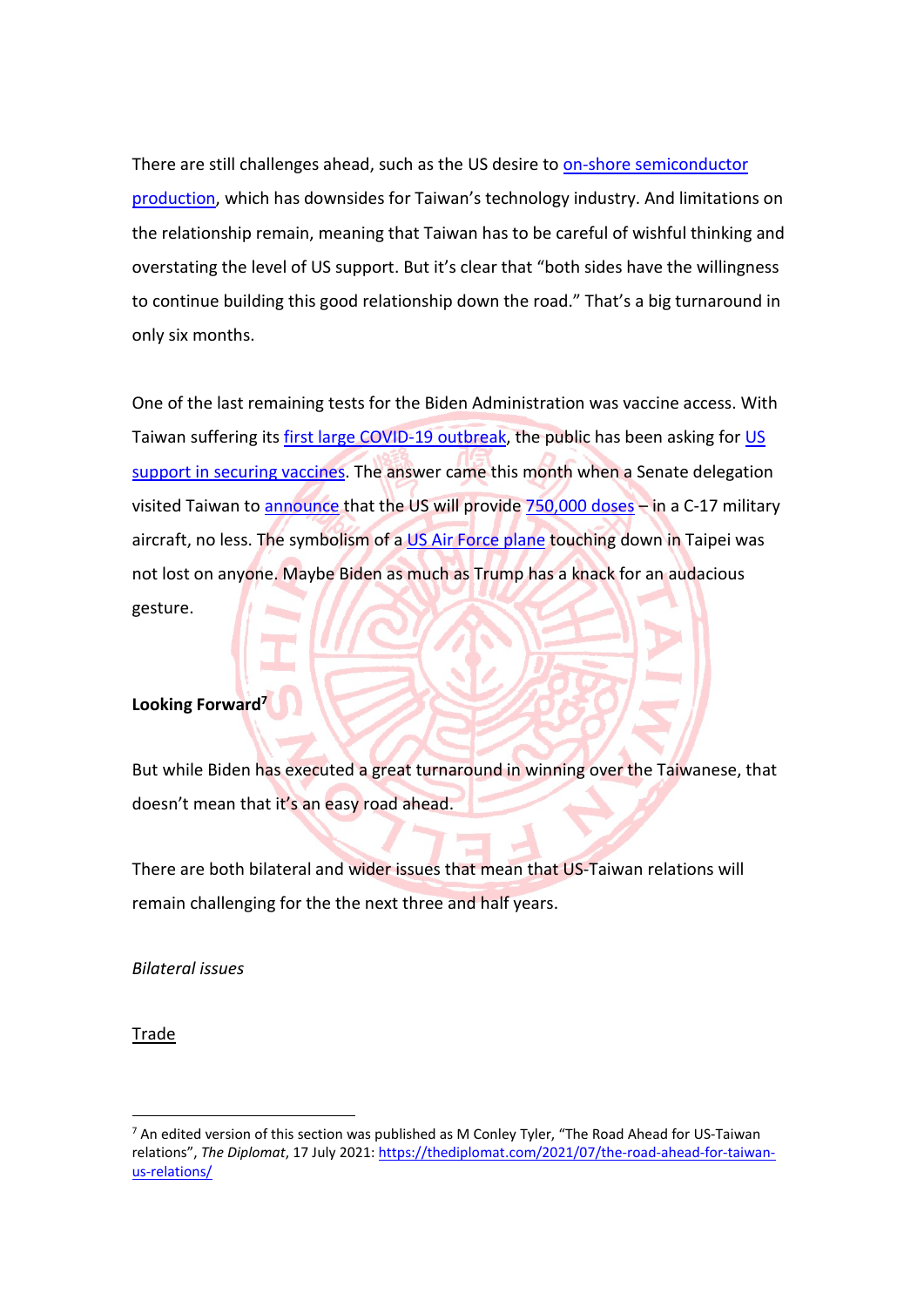There are still challenges ahead, such as the US desire to on-shore semiconductor production, which has downsides for Taiwan's technology industry. And limitations on the relationship remain, meaning that Taiwan has to be careful of wishful thinking and overstating the level of US support. But it's clear that "both sides have the willingness to continue building this good relationship down the road." That's a big turnaround in only six months.

One of the last remaining tests for the Biden Administration was vaccine access. With Taiwan suffering its first large COVID-19 outbreak, the public has been asking for US support in securing vaccines. The answer came this month when a Senate delegation visited Taiwan to announce that the US will provide 750,000 doses - in a C-17 military aircraft, no less. The symbolism of a US Air Force plane touching down in Taipei was not lost on anyone. Maybe Biden as much as Trump has a knack for an audacious gesture.

#### **Looking Forward**

But while Biden has executed a great turnaround in winning over the Taiwanese, that doesn't mean that it's an easy road ahead.

There are both bilateral and wider issues that mean that US-Taiwan relations will remain challenging for the the next three and half years.

*Bilateral issues*

Trade

 $7$  An edited version of this section was published as M Conley Tyler, "The Road Ahead for US-Taiwan relations", *The Diplomat*, 17 July 2021: https://thediplomat.com/2021/07/the-road-ahead-for-taiwanus-relations/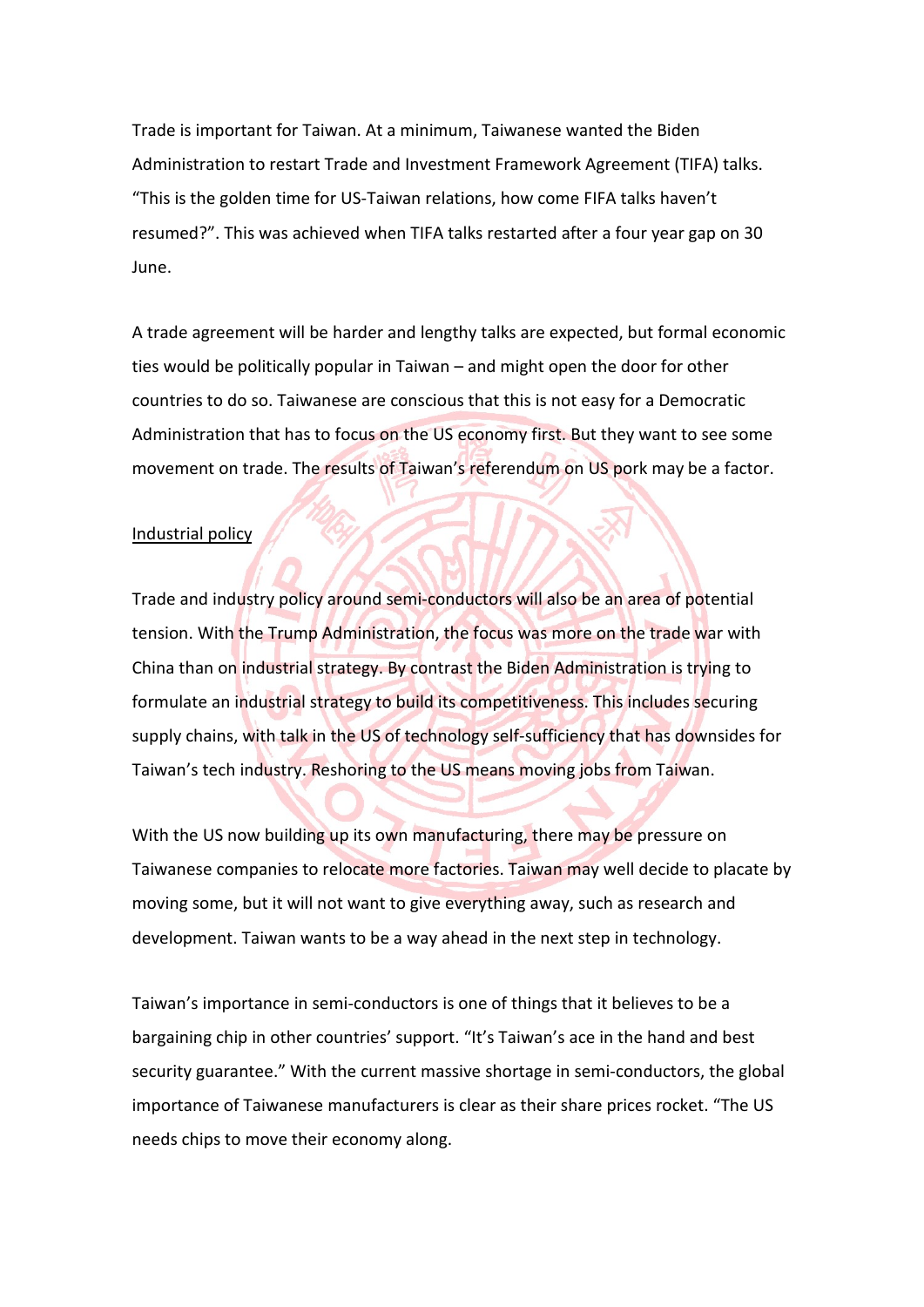Trade is important for Taiwan. At a minimum, Taiwanese wanted the Biden Administration to restart Trade and Investment Framework Agreement (TIFA) talks. "This is the golden time for US-Taiwan relations, how come FIFA talks haven't resumed?". This was achieved when TIFA talks restarted after a four year gap on 30 June.

A trade agreement will be harder and lengthy talks are expected, but formal economic ties would be politically popular in Taiwan – and might open the door for other countries to do so. Taiwanese are conscious that this is not easy for a Democratic Administration that has to focus on the US economy first. But they want to see some movement on trade. The results of Taiwan's referendum on US pork may be a factor.

#### Industrial policy

Trade and industry policy around semi-conductors will also be an area of potential tension. With the Trump Administration, the focus was more on the trade war with China than on industrial strategy. By contrast the Biden Administration is trying to formulate an industrial strategy to build its competitiveness. This includes securing supply chains, with talk in the US of technology self-sufficiency that has downsides for Taiwan's tech industry. Reshoring to the US means moving jobs from Taiwan.

With the US now building up its own manufacturing, there may be pressure on Taiwanese companies to relocate more factories. Taiwan may well decide to placate by moving some, but it will not want to give everything away, such as research and development. Taiwan wants to be a way ahead in the next step in technology.

Taiwan's importance in semi-conductors is one of things that it believes to be a bargaining chip in other countries' support. "It's Taiwan's ace in the hand and best security guarantee." With the current massive shortage in semi-conductors, the global importance of Taiwanese manufacturers is clear as their share prices rocket. "The US needs chips to move their economy along.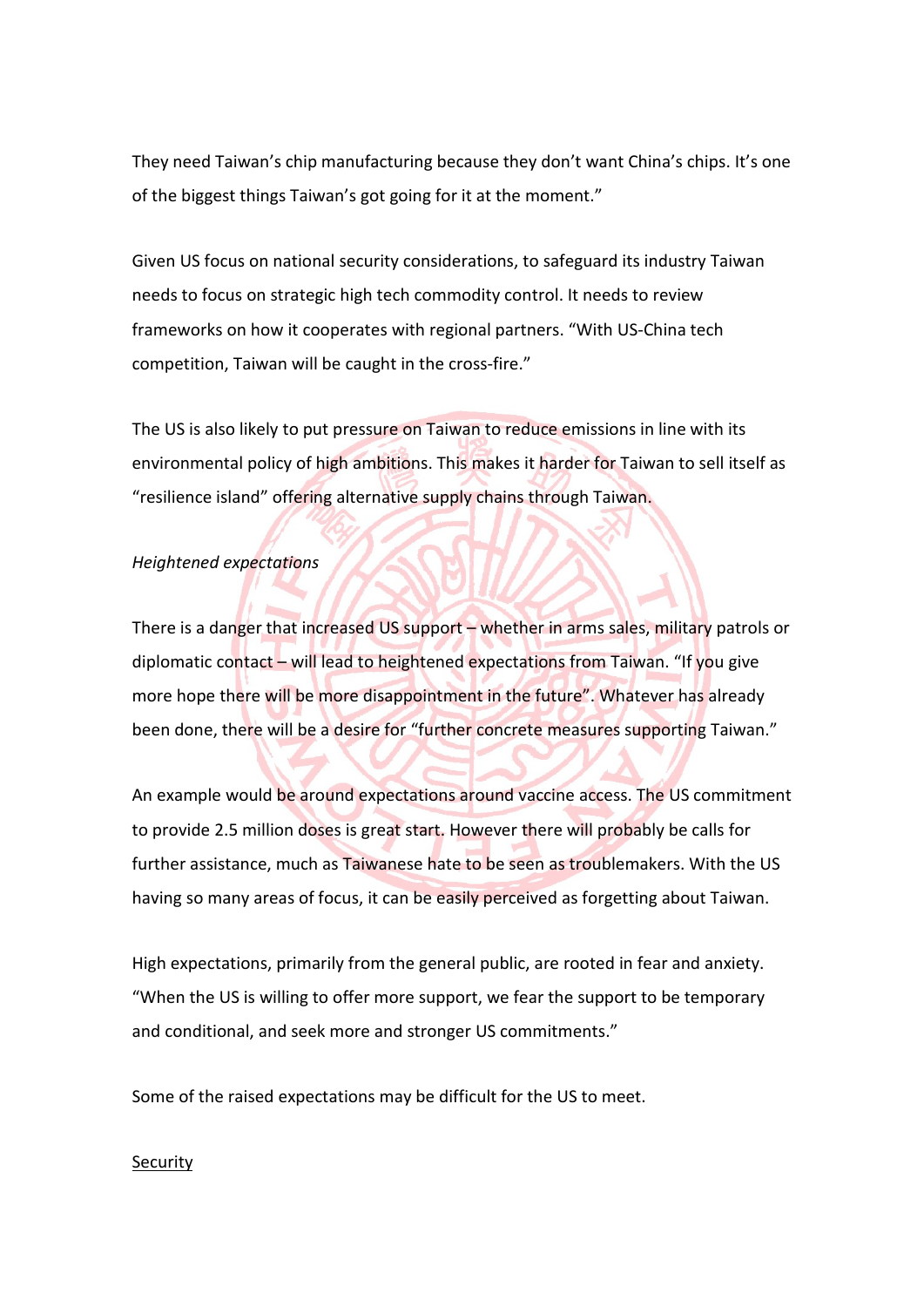They need Taiwan's chip manufacturing because they don't want China's chips. It's one of the biggest things Taiwan's got going for it at the moment."

Given US focus on national security considerations, to safeguard its industry Taiwan needs to focus on strategic high tech commodity control. It needs to review frameworks on how it cooperates with regional partners. "With US-China tech competition, Taiwan will be caught in the cross-fire."

The US is also likely to put pressure on Taiwan to reduce emissions in line with its environmental policy of high ambitions. This makes it harder for Taiwan to sell itself as "resilience island" offering alternative supply chains through Taiwan.

#### *Heightened expectations*

There is a danger that increased US support – whether in arms sales, military patrols or diplomatic contact – will lead to heightened expectations from Taiwan. "If you give more hope there will be more disappointment in the future". Whatever has already been done, there will be a desire for "further concrete measures supporting Taiwan."

An example would be around expectations around vaccine access. The US commitment to provide 2.5 million doses is great start. However there will probably be calls for further assistance, much as Taiwanese hate to be seen as troublemakers. With the US having so many areas of focus, it can be easily perceived as forgetting about Taiwan.

High expectations, primarily from the general public, are rooted in fear and anxiety. "When the US is willing to offer more support, we fear the support to be temporary and conditional, and seek more and stronger US commitments."

Some of the raised expectations may be difficult for the US to meet.

#### **Security**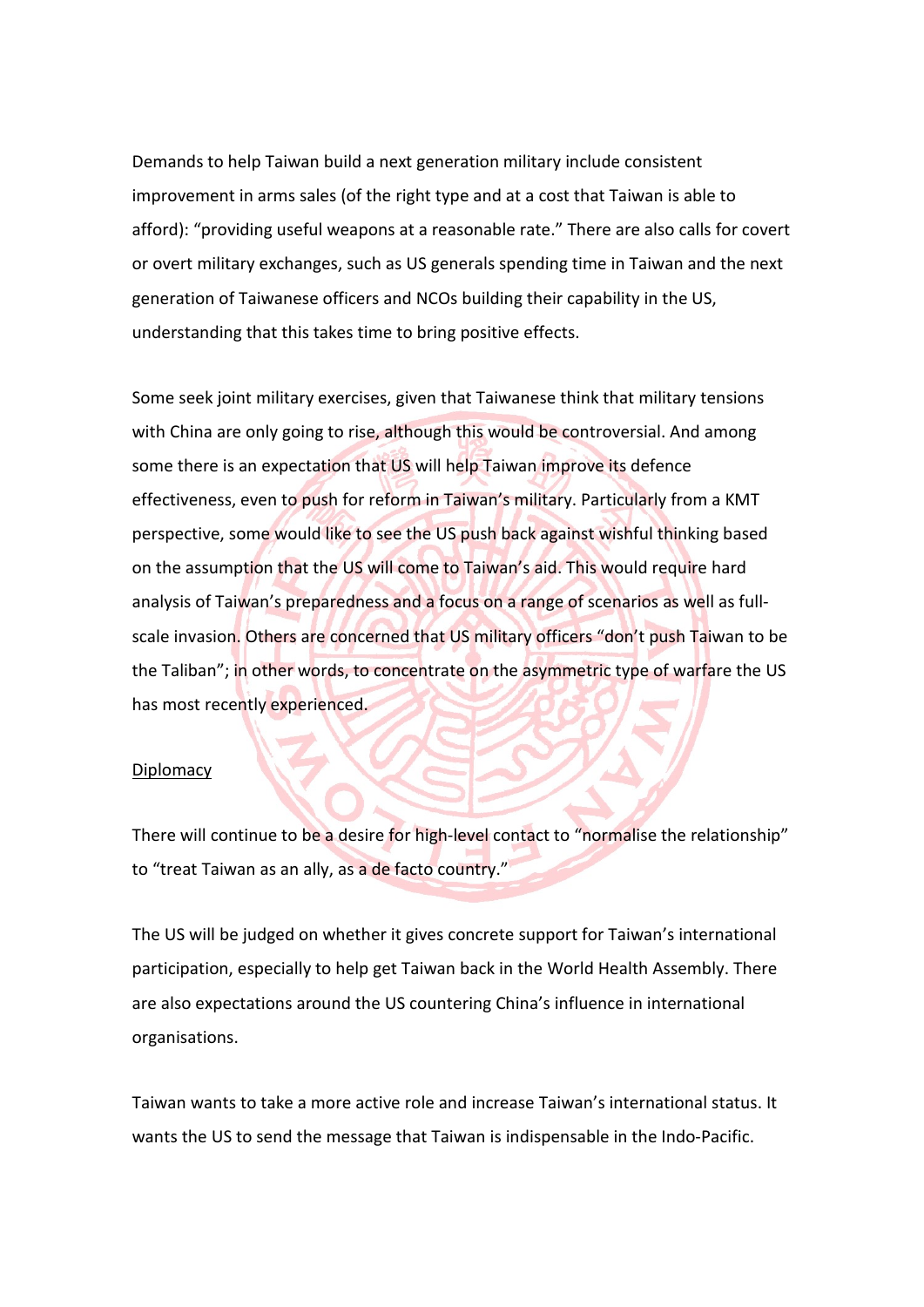Demands to help Taiwan build a next generation military include consistent improvement in arms sales (of the right type and at a cost that Taiwan is able to afford): "providing useful weapons at a reasonable rate." There are also calls for covert or overt military exchanges, such as US generals spending time in Taiwan and the next generation of Taiwanese officers and NCOs building their capability in the US, understanding that this takes time to bring positive effects.

Some seek joint military exercises, given that Taiwanese think that military tensions with China are only going to rise, although this would be controversial. And among some there is an expectation that US will help Taiwan improve its defence effectiveness, even to push for reform in Taiwan's military. Particularly from a KMT perspective, some would like to see the US push back against wishful thinking based on the assumption that the US will come to Taiwan's aid. This would require hard analysis of Taiwan's preparedness and a focus on a range of scenarios as well as fullscale invasion. Others are concerned that US military officers "don't push Taiwan to be the Taliban"; in other words, to concentrate on the asymmetric type of warfare the US has most recently experienced.

#### **Diplomacy**

There will continue to be a desire for high-level contact to "normalise the relationship" to "treat Taiwan as an ally, as a de facto country."

The US will be judged on whether it gives concrete support for Taiwan's international participation, especially to help get Taiwan back in the World Health Assembly. There are also expectations around the US countering China's influence in international organisations.

Taiwan wants to take a more active role and increase Taiwan's international status. It wants the US to send the message that Taiwan is indispensable in the Indo-Pacific.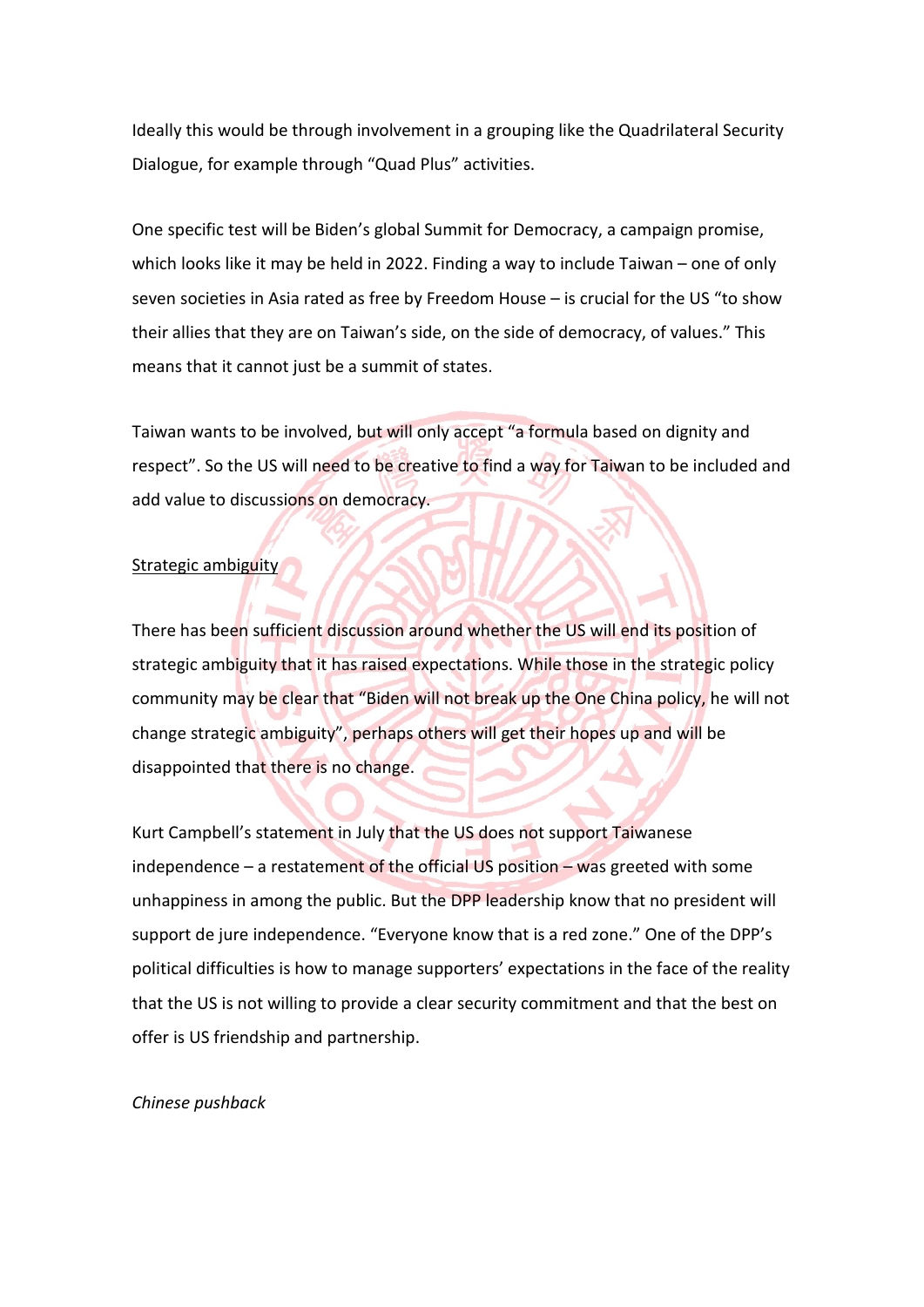Ideally this would be through involvement in a grouping like the Quadrilateral Security Dialogue, for example through "Quad Plus" activities.

One specific test will be Biden's global Summit for Democracy, a campaign promise, which looks like it may be held in 2022. Finding a way to include Taiwan – one of only seven societies in Asia rated as free by Freedom House – is crucial for the US "to show their allies that they are on Taiwan's side, on the side of democracy, of values." This means that it cannot just be a summit of states.

Taiwan wants to be involved, but will only accept "a formula based on dignity and respect". So the US will need to be creative to find a way for Taiwan to be included and add value to discussions on democracy.

#### Strategic ambiguity

There has been sufficient discussion around whether the US will end its position of strategic ambiguity that it has raised expectations. While those in the strategic policy community may be clear that "Biden will not break up the One China policy, he will not change strategic ambiguity", perhaps others will get their hopes up and will be disappointed that there is no change.

Kurt Campbell's statement in July that the US does not support Taiwanese independence  $-$  a restatement of the official US position  $-$  was greeted with some unhappiness in among the public. But the DPP leadership know that no president will support de jure independence. "Everyone know that is a red zone." One of the DPP's political difficulties is how to manage supporters' expectations in the face of the reality that the US is not willing to provide a clear security commitment and that the best on offer is US friendship and partnership.

#### *Chinese pushback*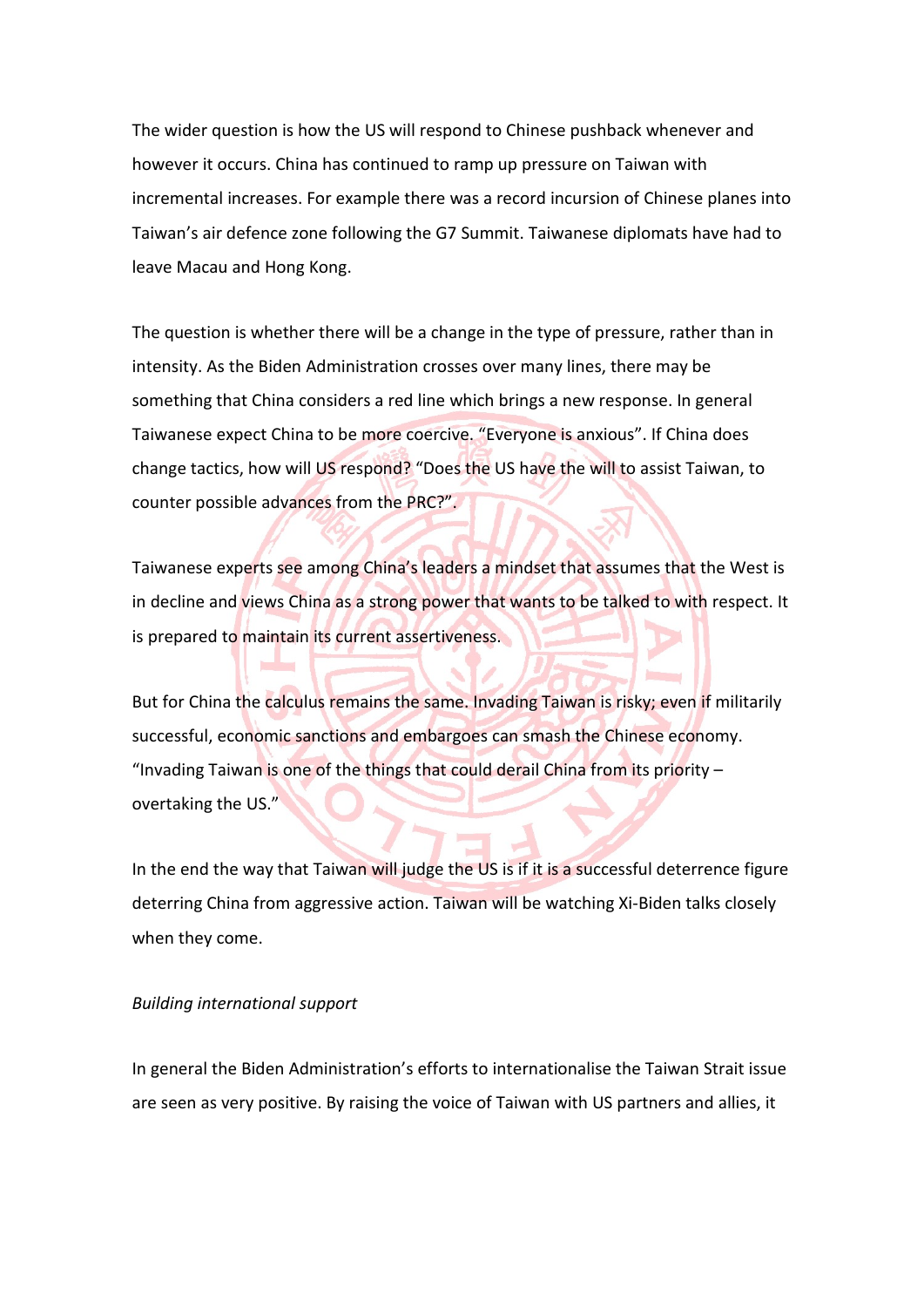The wider question is how the US will respond to Chinese pushback whenever and however it occurs. China has continued to ramp up pressure on Taiwan with incremental increases. For example there was a record incursion of Chinese planes into Taiwan's air defence zone following the G7 Summit. Taiwanese diplomats have had to leave Macau and Hong Kong.

The question is whether there will be a change in the type of pressure, rather than in intensity. As the Biden Administration crosses over many lines, there may be something that China considers a red line which brings a new response. In general Taiwanese expect China to be more coercive. "Everyone is anxious". If China does change tactics, how will US respond? "Does the US have the will to assist Taiwan, to counter possible advances from the PRC?".

Taiwanese experts see among China's leaders a mindset that assumes that the West is in decline and views China as a strong power that wants to be talked to with respect. It is prepared to maintain its current assertiveness.

But for China the calculus remains the same. Invading Taiwan is risky; even if militarily successful, economic sanctions and embargoes can smash the Chinese economy. "Invading Taiwan is one of the things that could derail China from its priority  $$ overtaking the US."

In the end the way that Taiwan will judge the US is if it is a successful deterrence figure deterring China from aggressive action. Taiwan will be watching Xi-Biden talks closely when they come.

#### *Building international support*

**College** 

In general the Biden Administration's efforts to internationalise the Taiwan Strait issue are seen as very positive. By raising the voice of Taiwan with US partners and allies, it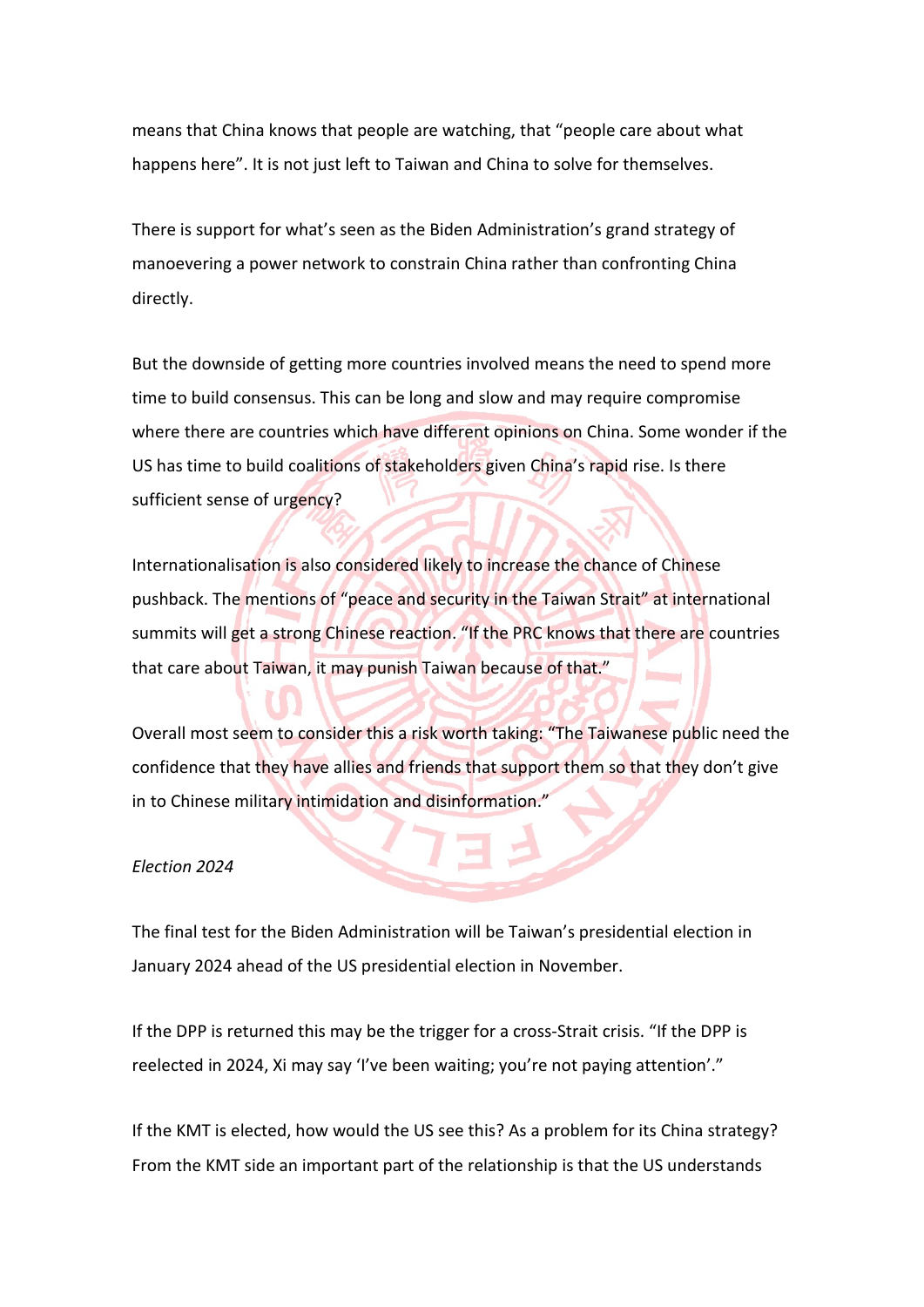means that China knows that people are watching, that "people care about what happens here". It is not just left to Taiwan and China to solve for themselves.

There is support for what's seen as the Biden Administration's grand strategy of manoevering a power network to constrain China rather than confronting China directly.

But the downside of getting more countries involved means the need to spend more time to build consensus. This can be long and slow and may require compromise where there are countries which have different opinions on China. Some wonder if the US has time to build coalitions of stakeholders given China's rapid rise. Is there sufficient sense of urgency?

Internationalisation is also considered likely to increase the chance of Chinese pushback. The mentions of "peace and security in the Taiwan Strait" at international summits will get a strong Chinese reaction. "If the PRC knows that there are countries that care about Taiwan, it may punish Taiwan because of that."

Overall most seem to consider this a risk worth taking: "The Taiwanese public need the confidence that they have allies and friends that support them so that they don't give in to Chinese military intimidation and disinformation."

#### *Election 2024*

The final test for the Biden Administration will be Taiwan's presidential election in January 2024 ahead of the US presidential election in November.

If the DPP is returned this may be the trigger for a cross-Strait crisis. "If the DPP is reelected in 2024, Xi may say 'I've been waiting; you're not paying attention'."

If the KMT is elected, how would the US see this? As a problem for its China strategy? From the KMT side an important part of the relationship is that the US understands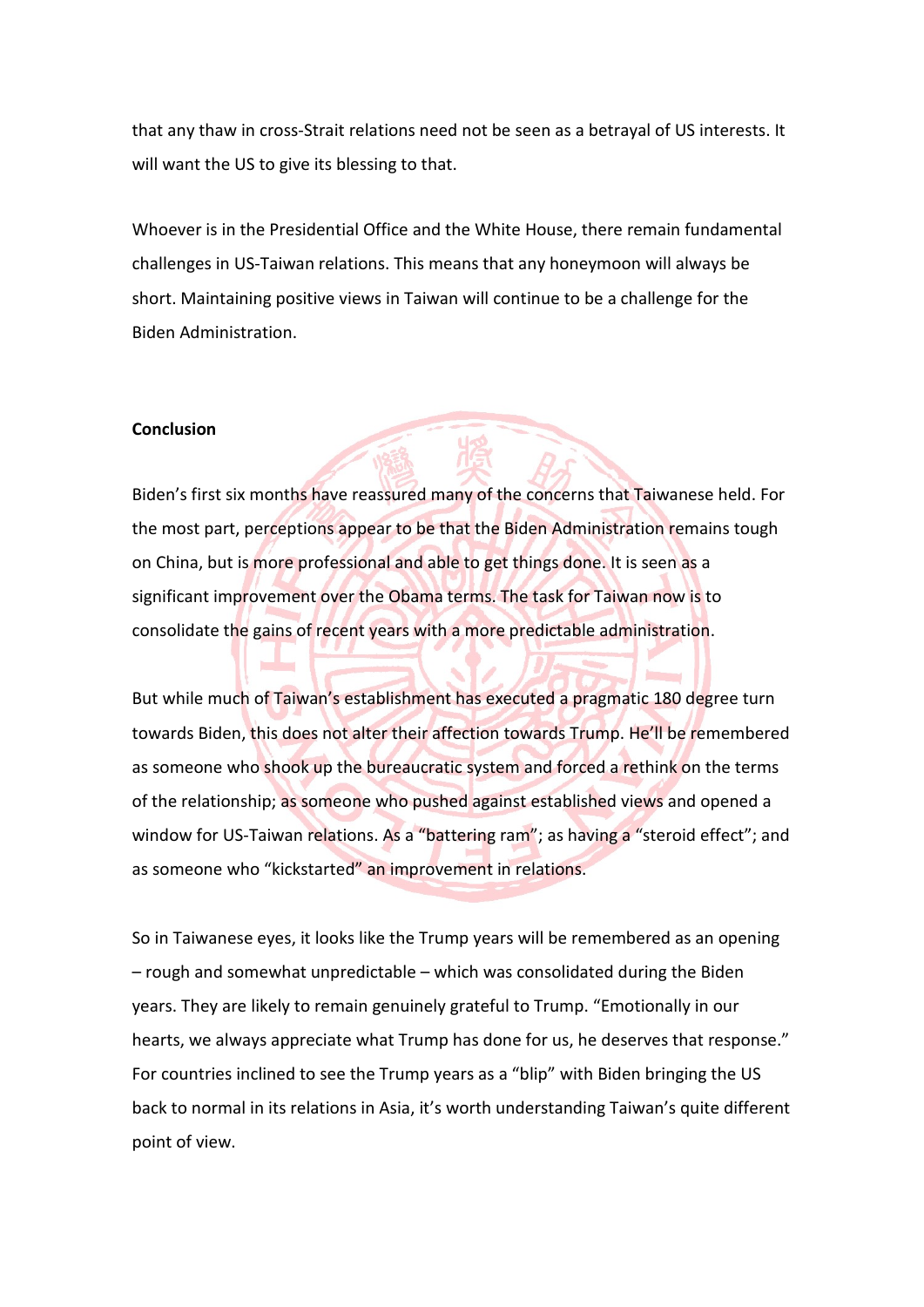that any thaw in cross-Strait relations need not be seen as a betrayal of US interests. It will want the US to give its blessing to that.

Whoever is in the Presidential Office and the White House, there remain fundamental challenges in US-Taiwan relations. This means that any honeymoon will always be short. Maintaining positive views in Taiwan will continue to be a challenge for the Biden Administration.

#### **Conclusion**

Biden's first six months have reassured many of the concerns that Taiwanese held. For the most part, perceptions appear to be that the Biden Administration remains tough on China, but is more professional and able to get things done. It is seen as a significant improvement over the Obama terms. The task for Taiwan now is to consolidate the gains of recent years with a more predictable administration.

But while much of Taiwan's establishment has executed a pragmatic 180 degree turn towards Biden, this does not alter their affection towards Trump. He'll be remembered as someone who shook up the bureaucratic system and forced a rethink on the terms of the relationship; as someone who pushed against established views and opened a window for US-Taiwan relations. As a "battering ram"; as having a "steroid effect"; and as someone who "kickstarted" an improvement in relations.

So in Taiwanese eyes, it looks like the Trump years will be remembered as an opening – rough and somewhat unpredictable – which was consolidated during the Biden years. They are likely to remain genuinely grateful to Trump. "Emotionally in our hearts, we always appreciate what Trump has done for us, he deserves that response." For countries inclined to see the Trump years as a "blip" with Biden bringing the US back to normal in its relations in Asia, it's worth understanding Taiwan's quite different point of view.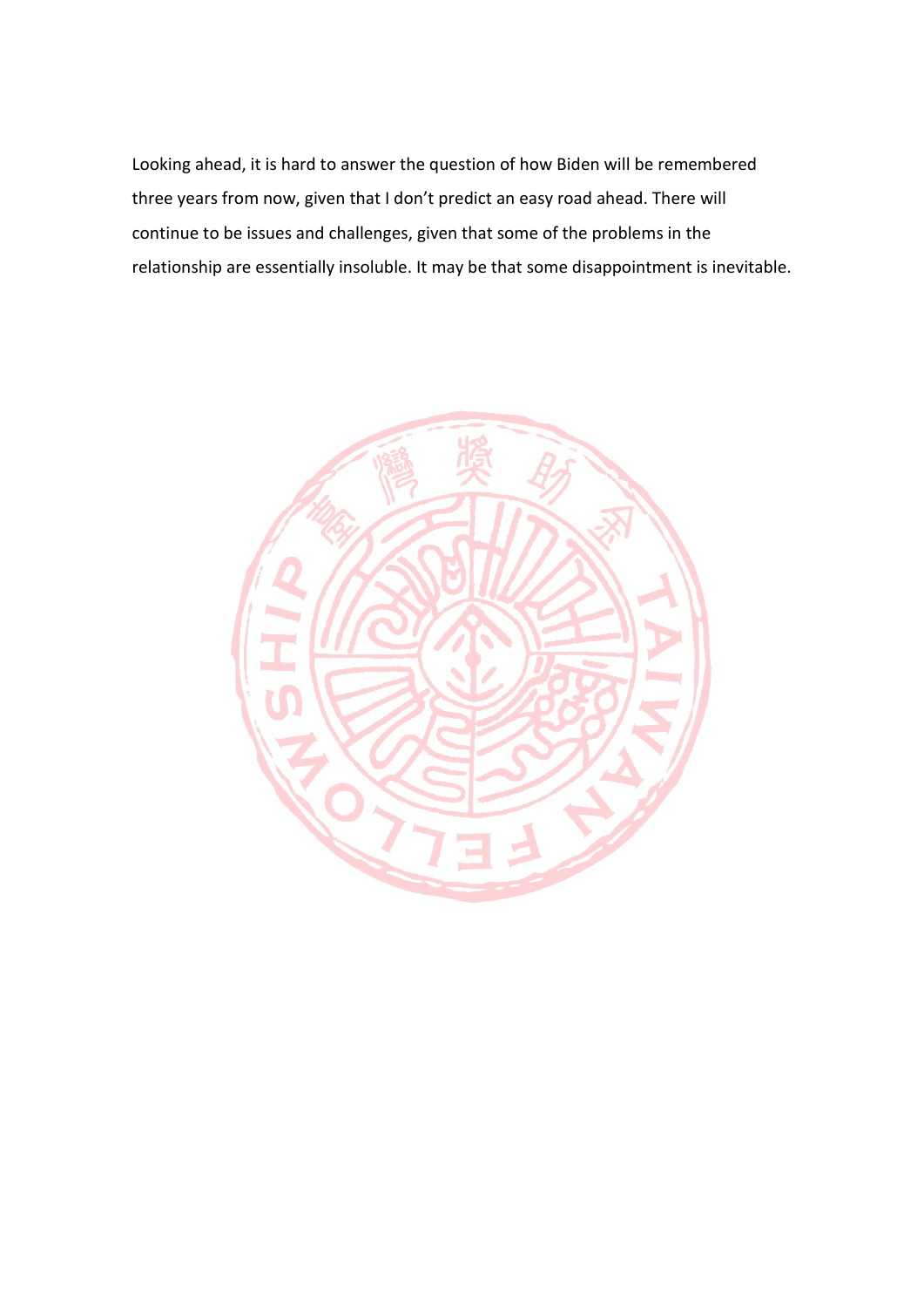Looking ahead, it is hard to answer the question of how Biden will be remembered three years from now, given that I don't predict an easy road ahead. There will continue to be issues and challenges, given that some of the problems in the relationship are essentially insoluble. It may be that some disappointment is inevitable.

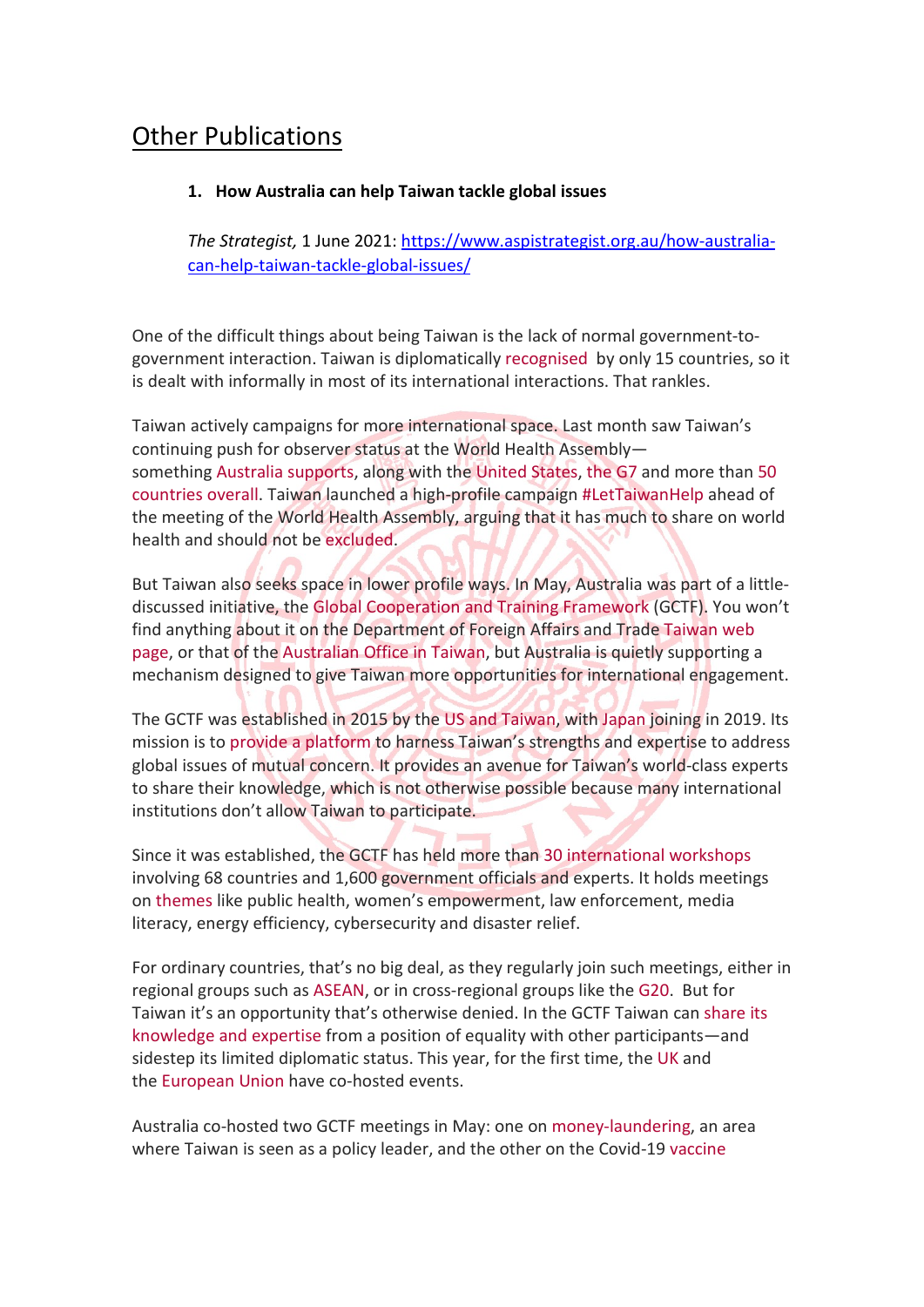### Other Publications

#### **1. How Australia can help Taiwan tackle global issues**

*The Strategist,* 1 June 2021: https://www.aspistrategist.org.au/how-australiacan-help-taiwan-tackle-global-issues/

One of the difficult things about being Taiwan is the lack of normal government-togovernment interaction. Taiwan is diplomatically recognised by only 15 countries, so it is dealt with informally in most of its international interactions. That rankles.

Taiwan actively campaigns for more international space. Last month saw Taiwan's continuing push for observer status at the World Health Assembly something Australia supports, along with the United States, the G7 and more than 50 countries overall. Taiwan launched a high-profile campaign #LetTaiwanHelp ahead of the meeting of the World Health Assembly, arguing that it has much to share on world health and should not be excluded.

But Taiwan also seeks space in lower profile ways. In May, Australia was part of a littlediscussed initiative, the Global Cooperation and Training Framework (GCTF). You won't find anything about it on the Department of Foreign Affairs and Trade Taiwan web page, or that of the Australian Office in Taiwan, but Australia is quietly supporting a mechanism designed to give Taiwan more opportunities for international engagement.

The GCTF was established in 2015 by the US and Taiwan, with Japan joining in 2019. Its mission is to provide a platform to harness Taiwan's strengths and expertise to address global issues of mutual concern. It provides an avenue for Taiwan's world-class experts to share their knowledge, which is not otherwise possible because many international institutions don't allow Taiwan to participate.

Since it was established, the GCTF has held more than 30 international workshops involving 68 countries and 1,600 government officials and experts. It holds meetings on themes like public health, women's empowerment, law enforcement, media literacy, energy efficiency, cybersecurity and disaster relief.

For ordinary countries, that's no big deal, as they regularly join such meetings, either in regional groups such as ASEAN, or in cross-regional groups like the G20. But for Taiwan it's an opportunity that's otherwise denied. In the GCTF Taiwan can share its knowledge and expertise from a position of equality with other participants—and sidestep its limited diplomatic status. This year, for the first time, the UK and the European Union have co-hosted events.

Australia co-hosted two GCTF meetings in May: one on money-laundering, an area where Taiwan is seen as a policy leader, and the other on the Covid-19 vaccine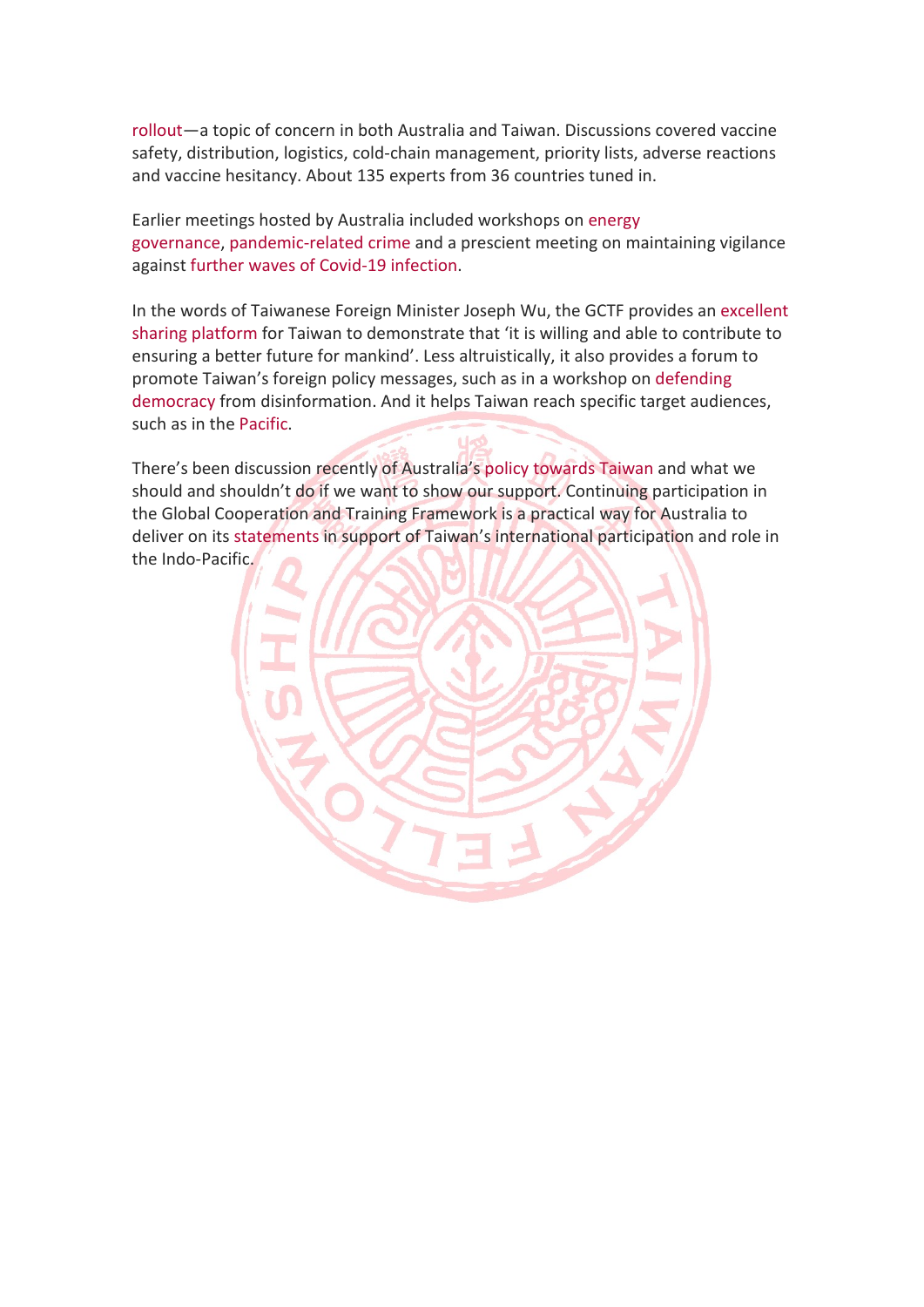rollout—a topic of concern in both Australia and Taiwan. Discussions covered vaccine safety, distribution, logistics, cold-chain management, priority lists, adverse reactions and vaccine hesitancy. About 135 experts from 36 countries tuned in.

Earlier meetings hosted by Australia included workshops on energy governance, pandemic-related crime and a prescient meeting on maintaining vigilance against further waves of Covid-19 infection.

In the words of Taiwanese Foreign Minister Joseph Wu, the GCTF provides an excellent sharing platform for Taiwan to demonstrate that 'it is willing and able to contribute to ensuring a better future for mankind'. Less altruistically, it also provides a forum to promote Taiwan's foreign policy messages, such as in a workshop on defending democracy from disinformation. And it helps Taiwan reach specific target audiences, such as in the Pacific.

There's been discussion recently of Australia's policy towards Taiwan and what we should and shouldn't do if we want to show our support. Continuing participation in the Global Cooperation and Training Framework is a practical way for Australia to deliver on its statements in support of Taiwan's international participation and role in the Indo-Pacific.

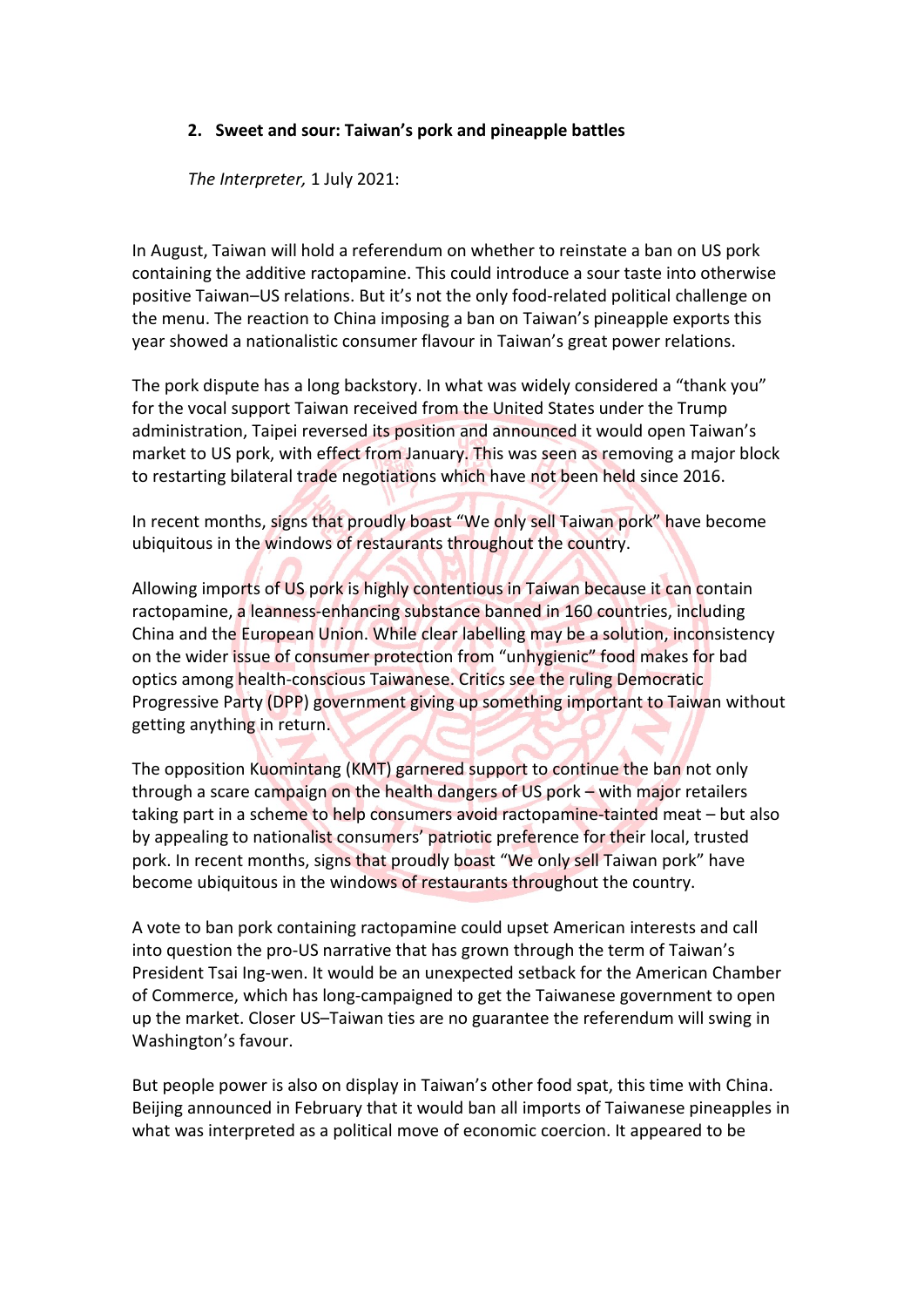#### **2. Sweet and sour: Taiwan's pork and pineapple battles**

*The Interpreter,* 1 July 2021:

In August, Taiwan will hold a referendum on whether to reinstate a ban on US pork containing the additive ractopamine. This could introduce a sour taste into otherwise positive Taiwan–US relations. But it's not the only food-related political challenge on the menu. The reaction to China imposing a ban on Taiwan's pineapple exports this year showed a nationalistic consumer flavour in Taiwan's great power relations.

The pork dispute has a long backstory. In what was widely considered a "thank you" for the vocal support Taiwan received from the United States under the Trump administration, Taipei reversed its position and announced it would open Taiwan's market to US pork, with effect from January. This was seen as removing a major block to restarting bilateral trade negotiations which have not been held since 2016.

In recent months, signs that proudly boast "We only sell Taiwan pork" have become ubiquitous in the windows of restaurants throughout the country.

Allowing imports of US pork is highly contentious in Taiwan because it can contain ractopamine, a leanness-enhancing substance banned in 160 countries, including China and the European Union. While clear labelling may be a solution, inconsistency on the wider issue of consumer protection from "unhygienic" food makes for bad optics among health-conscious Taiwanese. Critics see the ruling Democratic Progressive Party (DPP) government giving up something important to Taiwan without getting anything in return.

The opposition Kuomintang (KMT) garnered support to continue the ban not only through a scare campaign on the health dangers of US pork – with major retailers taking part in a scheme to help consumers avoid ractopamine-tainted meat – but also by appealing to nationalist consumers' patriotic preference for their local, trusted pork. In recent months, signs that proudly boast "We only sell Taiwan pork" have become ubiquitous in the windows of restaurants throughout the country.

A vote to ban pork containing ractopamine could upset American interests and call into question the pro-US narrative that has grown through the term of Taiwan's President Tsai Ing-wen. It would be an unexpected setback for the American Chamber of Commerce, which has long-campaigned to get the Taiwanese government to open up the market. Closer US–Taiwan ties are no guarantee the referendum will swing in Washington's favour.

But people power is also on display in Taiwan's other food spat, this time with China. Beijing announced in February that it would ban all imports of Taiwanese pineapples in what was interpreted as a political move of economic coercion. It appeared to be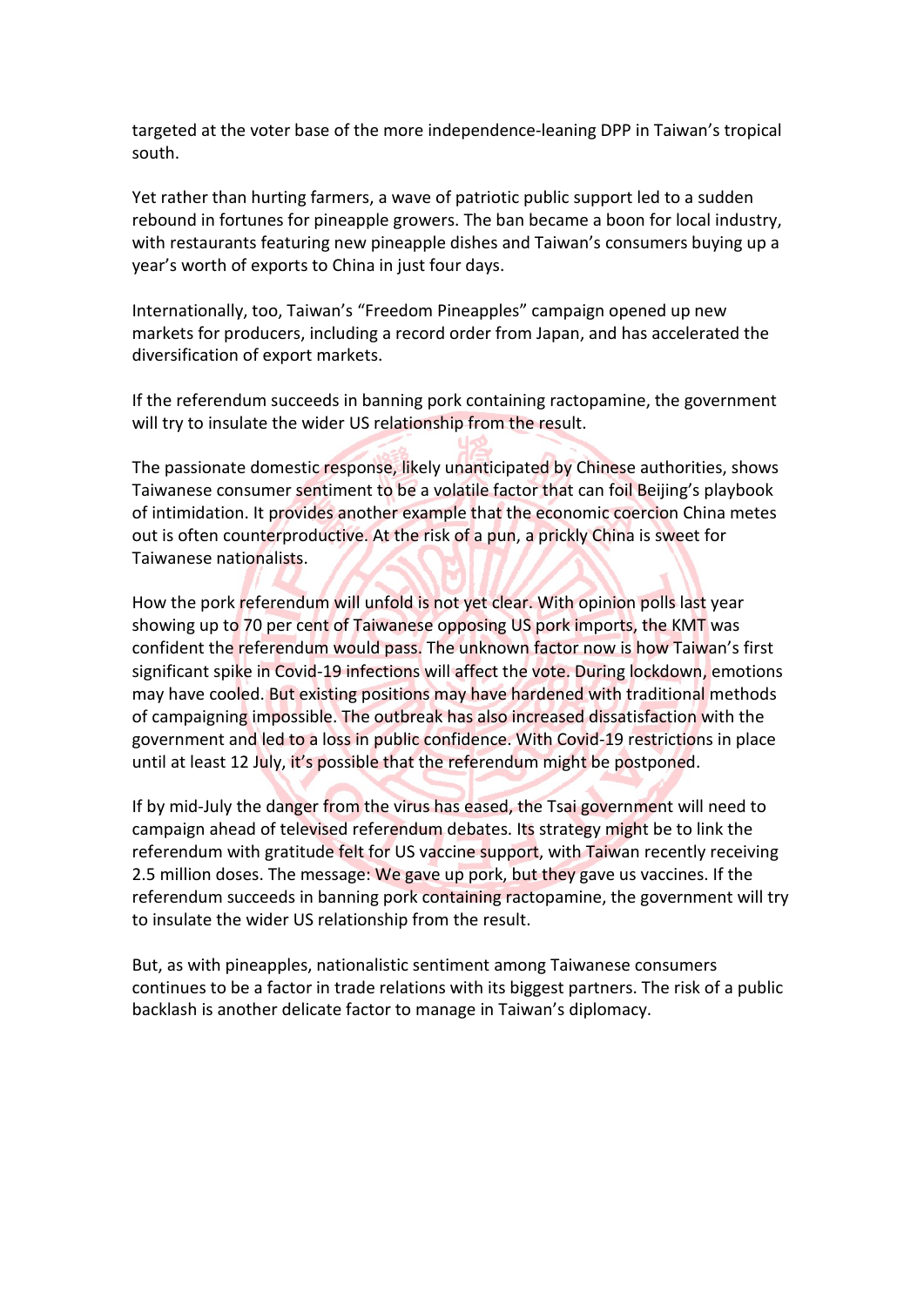targeted at the voter base of the more independence-leaning DPP in Taiwan's tropical south.

Yet rather than hurting farmers, a wave of patriotic public support led to a sudden rebound in fortunes for pineapple growers. The ban became a boon for local industry, with restaurants featuring new pineapple dishes and Taiwan's consumers buying up a year's worth of exports to China in just four days.

Internationally, too, Taiwan's "Freedom Pineapples" campaign opened up new markets for producers, including a record order from Japan, and has accelerated the diversification of export markets.

If the referendum succeeds in banning pork containing ractopamine, the government will try to insulate the wider US relationship from the result.

The passionate domestic response, likely unanticipated by Chinese authorities, shows Taiwanese consumer sentiment to be a volatile factor that can foil Beijing's playbook of intimidation. It provides another example that the economic coercion China metes out is often counterproductive. At the risk of a pun, a prickly China is sweet for Taiwanese nationalists.

How the pork referendum will unfold is not yet clear. With opinion polls last year showing up to 70 per cent of Taiwanese opposing US pork imports, the KMT was confident the referendum would pass. The unknown factor now is how Taiwan's first significant spike in Covid-19 infections will affect the vote. During lockdown, emotions may have cooled. But existing positions may have hardened with traditional methods of campaigning impossible. The outbreak has also increased dissatisfaction with the government and led to a loss in public confidence. With Covid-19 restrictions in place until at least 12 July, it's possible that the referendum might be postponed.

If by mid-July the danger from the virus has eased, the Tsai government will need to campaign ahead of televised referendum debates. Its strategy might be to link the referendum with gratitude felt for US vaccine support, with Taiwan recently receiving 2.5 million doses. The message: We gave up pork, but they gave us vaccines. If the referendum succeeds in banning pork containing ractopamine, the government will try to insulate the wider US relationship from the result.

But, as with pineapples, nationalistic sentiment among Taiwanese consumers continues to be a factor in trade relations with its biggest partners. The risk of a public backlash is another delicate factor to manage in Taiwan's diplomacy.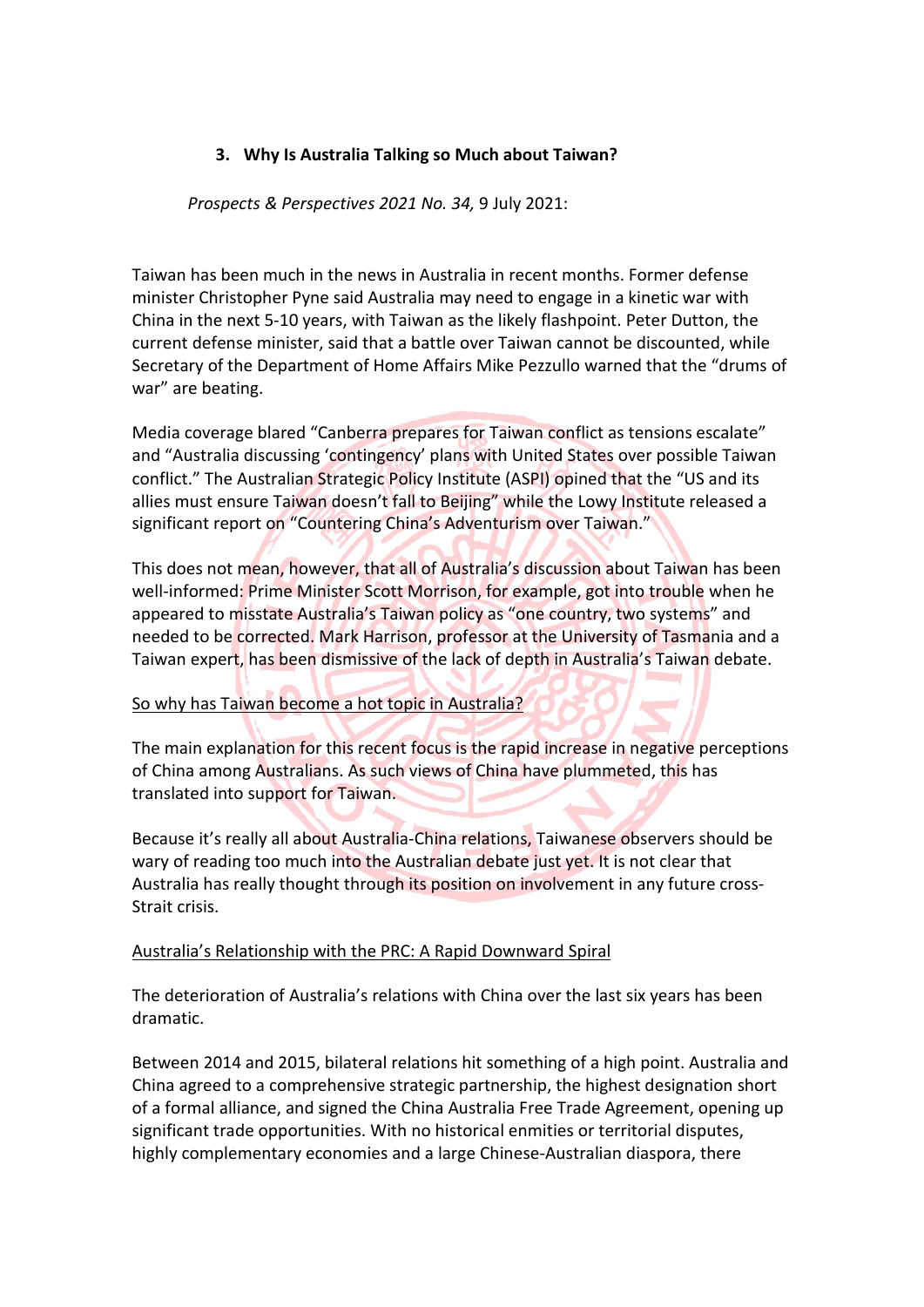#### **3. Why Is Australia Talking so Much about Taiwan?**

#### *Prospects & Perspectives 2021 No. 34,* 9 July 2021:

Taiwan has been much in the news in Australia in recent months. Former defense minister Christopher Pyne said Australia may need to engage in a kinetic war with China in the next 5-10 years, with Taiwan as the likely flashpoint. Peter Dutton, the current defense minister, said that a battle over Taiwan cannot be discounted, while Secretary of the Department of Home Affairs Mike Pezzullo warned that the "drums of war" are beating.

Media coverage blared "Canberra prepares for Taiwan conflict as tensions escalate" and "Australia discussing 'contingency' plans with United States over possible Taiwan conflict." The Australian Strategic Policy Institute (ASPI) opined that the "US and its allies must ensure Taiwan doesn't fall to Beijing" while the Lowy Institute released a significant report on "Countering China's Adventurism over Taiwan."

This does not mean, however, that all of Australia's discussion about Taiwan has been well-informed: Prime Minister Scott Morrison, for example, got into trouble when he appeared to misstate Australia's Taiwan policy as "one country, two systems" and needed to be corrected. Mark Harrison, professor at the University of Tasmania and a Taiwan expert, has been dismissive of the lack of depth in Australia's Taiwan debate.

#### So why has Taiwan become a hot topic in Australia?

The main explanation for this recent focus is the rapid increase in negative perceptions of China among Australians. As such views of China have plummeted, this has translated into support for Taiwan.

Because it's really all about Australia-China relations, Taiwanese observers should be wary of reading too much into the Australian debate just yet. It is not clear that Australia has really thought through its position on involvement in any future cross-Strait crisis.

#### Australia's Relationship with the PRC: A Rapid Downward Spiral

The deterioration of Australia's relations with China over the last six years has been dramatic.

Between 2014 and 2015, bilateral relations hit something of a high point. Australia and China agreed to a comprehensive strategic partnership, the highest designation short of a formal alliance, and signed the China Australia Free Trade Agreement, opening up significant trade opportunities. With no historical enmities or territorial disputes, highly complementary economies and a large Chinese-Australian diaspora, there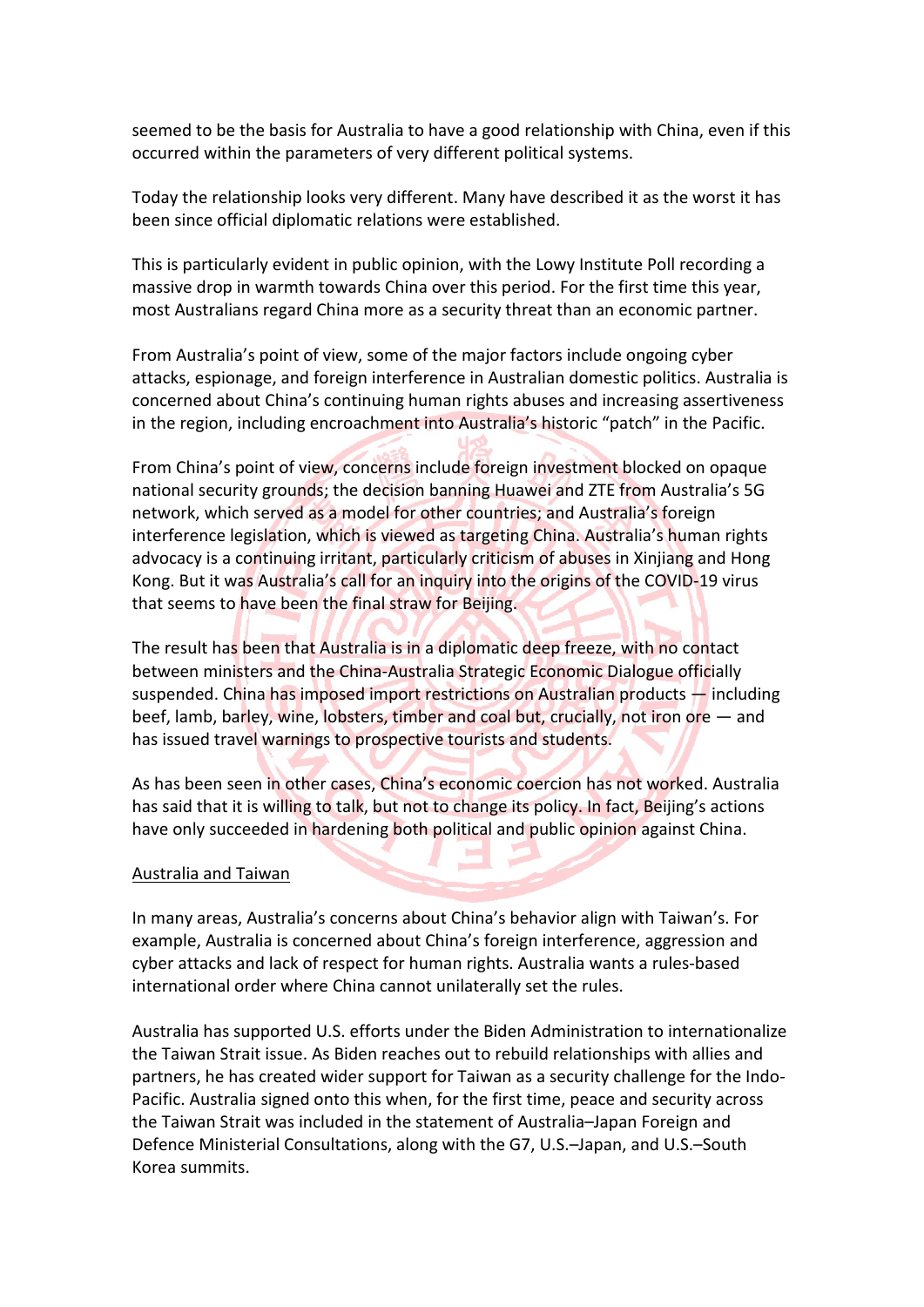seemed to be the basis for Australia to have a good relationship with China, even if this occurred within the parameters of very different political systems.

Today the relationship looks very different. Many have described it as the worst it has been since official diplomatic relations were established.

This is particularly evident in public opinion, with the Lowy Institute Poll recording a massive drop in warmth towards China over this period. For the first time this year, most Australians regard China more as a security threat than an economic partner.

From Australia's point of view, some of the major factors include ongoing cyber attacks, espionage, and foreign interference in Australian domestic politics. Australia is concerned about China's continuing human rights abuses and increasing assertiveness in the region, including encroachment into Australia's historic "patch" in the Pacific.

From China's point of view, concerns include foreign investment blocked on opaque national security grounds; the decision banning Huawei and ZTE from Australia's 5G network, which served as a model for other countries; and Australia's foreign interference legislation, which is viewed as targeting China. Australia's human rights advocacy is a continuing irritant, particularly criticism of abuses in Xinjiang and Hong Kong. But it was Australia's call for an inquiry into the origins of the COVID-19 virus that seems to have been the final straw for Beijing.

The result has been that Australia is in a diplomatic deep freeze, with no contact between ministers and the China-Australia Strategic Economic Dialogue officially suspended. China has imposed import restrictions on Australian products — including beef, lamb, barley, wine, lobsters, timber and coal but, crucially, not iron ore — and has issued travel warnings to prospective tourists and students.

As has been seen in other cases, China's economic coercion has not worked. Australia has said that it is willing to talk, but not to change its policy. In fact, Beijing's actions have only succeeded in hardening both political and public opinion against China.

#### Australia and Taiwan

In many areas, Australia's concerns about China's behavior align with Taiwan's. For example, Australia is concerned about China's foreign interference, aggression and cyber attacks and lack of respect for human rights. Australia wants a rules-based international order where China cannot unilaterally set the rules.

Australia has supported U.S. efforts under the Biden Administration to internationalize the Taiwan Strait issue. As Biden reaches out to rebuild relationships with allies and partners, he has created wider support for Taiwan as a security challenge for the Indo-Pacific. Australia signed onto this when, for the first time, peace and security across the Taiwan Strait was included in the statement of Australia–Japan Foreign and Defence Ministerial Consultations, along with the G7, U.S.–Japan, and U.S.–South Korea summits.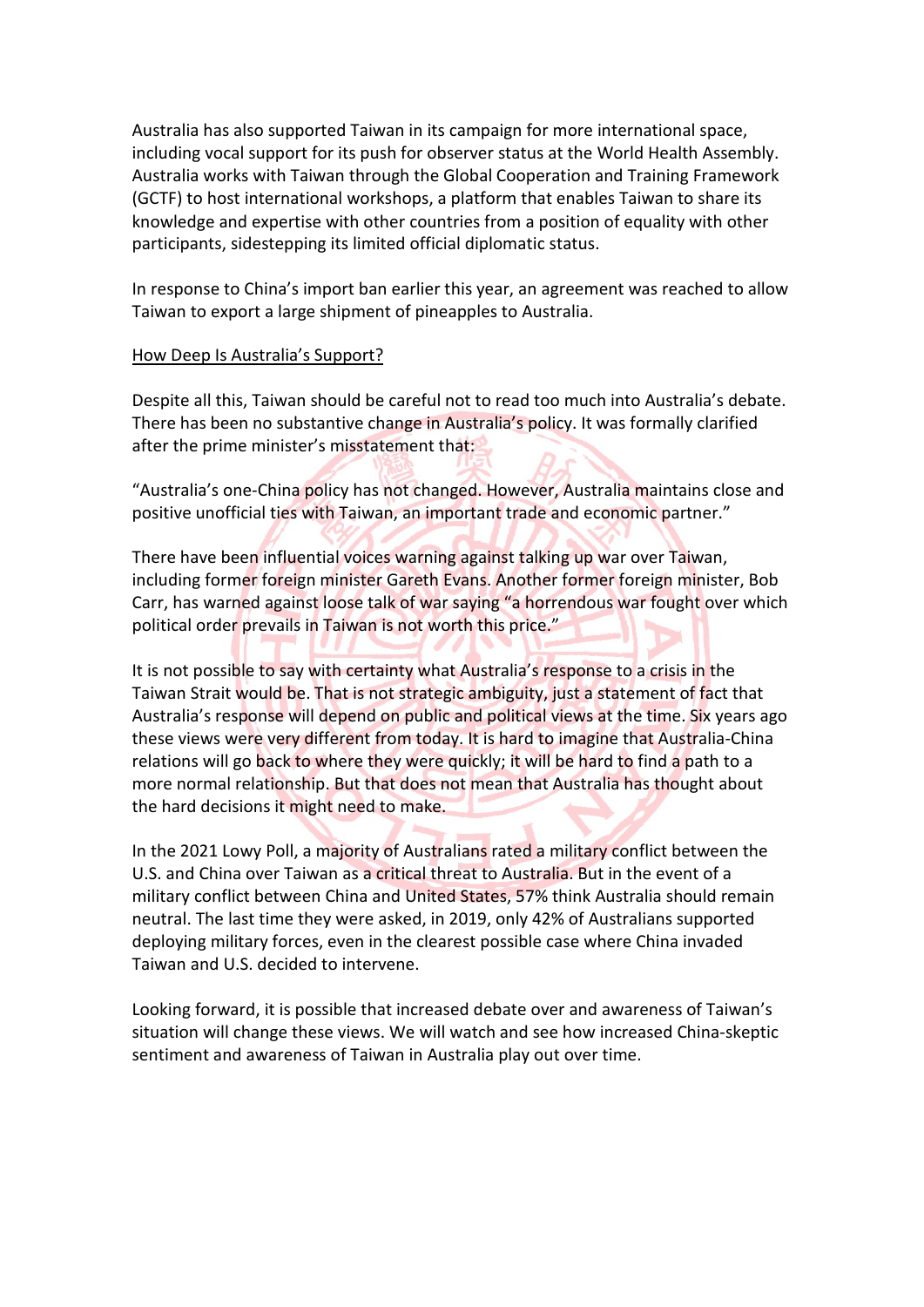Australia has also supported Taiwan in its campaign for more international space, including vocal support for its push for observer status at the World Health Assembly. Australia works with Taiwan through the Global Cooperation and Training Framework (GCTF) to host international workshops, a platform that enables Taiwan to share its knowledge and expertise with other countries from a position of equality with other participants, sidestepping its limited official diplomatic status.

In response to China's import ban earlier this year, an agreement was reached to allow Taiwan to export a large shipment of pineapples to Australia.

#### How Deep Is Australia's Support?

Despite all this, Taiwan should be careful not to read too much into Australia's debate. There has been no substantive change in Australia's policy. It was formally clarified after the prime minister's misstatement that:

"Australia's one-China policy has not changed. However, Australia maintains close and positive unofficial ties with Taiwan, an important trade and economic partner."

There have been influential voices warning against talking up war over Taiwan, including former foreign minister Gareth Evans. Another former foreign minister, Bob Carr, has warned against loose talk of war saying "a horrendous war fought over which political order prevails in Taiwan is not worth this price."

It is not possible to say with certainty what Australia's response to a crisis in the Taiwan Strait would be. That is not strategic ambiguity, just a statement of fact that Australia's response will depend on public and political views at the time. Six years ago these views were very different from today. It is hard to imagine that Australia-China relations will go back to where they were quickly; it will be hard to find a path to a more normal relationship. But that does not mean that Australia has thought about the hard decisions it might need to make.

In the 2021 Lowy Poll, a majority of Australians rated a military conflict between the U.S. and China over Taiwan as a critical threat to Australia. But in the event of a military conflict between China and United States, 57% think Australia should remain neutral. The last time they were asked, in 2019, only 42% of Australians supported deploying military forces, even in the clearest possible case where China invaded Taiwan and U.S. decided to intervene.

Looking forward, it is possible that increased debate over and awareness of Taiwan's situation will change these views. We will watch and see how increased China-skeptic sentiment and awareness of Taiwan in Australia play out over time.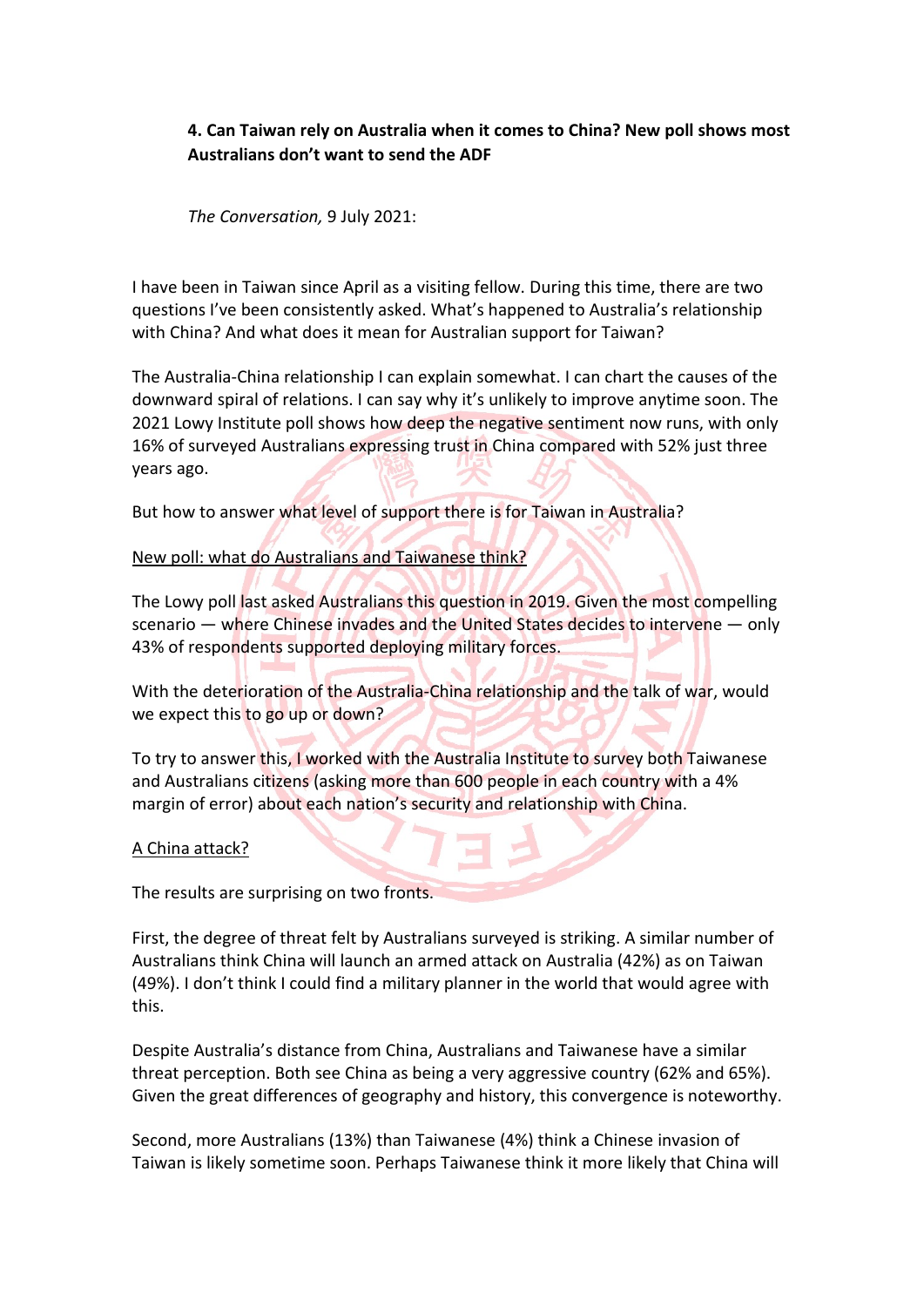#### **4. Can Taiwan rely on Australia when it comes to China? New poll shows most Australians don't want to send the ADF**

*The Conversation,* 9 July 2021:

I have been in Taiwan since April as a visiting fellow. During this time, there are two questions I've been consistently asked. What's happened to Australia's relationship with China? And what does it mean for Australian support for Taiwan?

The Australia-China relationship I can explain somewhat. I can chart the causes of the downward spiral of relations. I can say why it's unlikely to improve anytime soon. The 2021 Lowy Institute poll shows how deep the negative sentiment now runs, with only 16% of surveyed Australians expressing trust in China compared with 52% just three years ago.

But how to answer what level of support there is for Taiwan in Australia?

#### New poll: what do Australians and Taiwanese think?

The Lowy poll last asked Australians this question in 2019. Given the most compelling scenario — where Chinese invades and the United States decides to intervene — only 43% of respondents supported deploying military forces.

With the deterioration of the Australia-China relationship and the talk of war, would we expect this to go up or down?

To try to answer this, I worked with the Australia Institute to survey both Taiwanese and Australians citizens (asking more than 600 people in each country with a 4% margin of error) about each nation's security and relationship with China.

#### A China attack?

The results are surprising on two fronts.

First, the degree of threat felt by Australians surveyed is striking. A similar number of Australians think China will launch an armed attack on Australia (42%) as on Taiwan (49%). I don't think I could find a military planner in the world that would agree with this.

Despite Australia's distance from China, Australians and Taiwanese have a similar threat perception. Both see China as being a very aggressive country (62% and 65%). Given the great differences of geography and history, this convergence is noteworthy.

Second, more Australians (13%) than Taiwanese (4%) think a Chinese invasion of Taiwan is likely sometime soon. Perhaps Taiwanese think it more likely that China will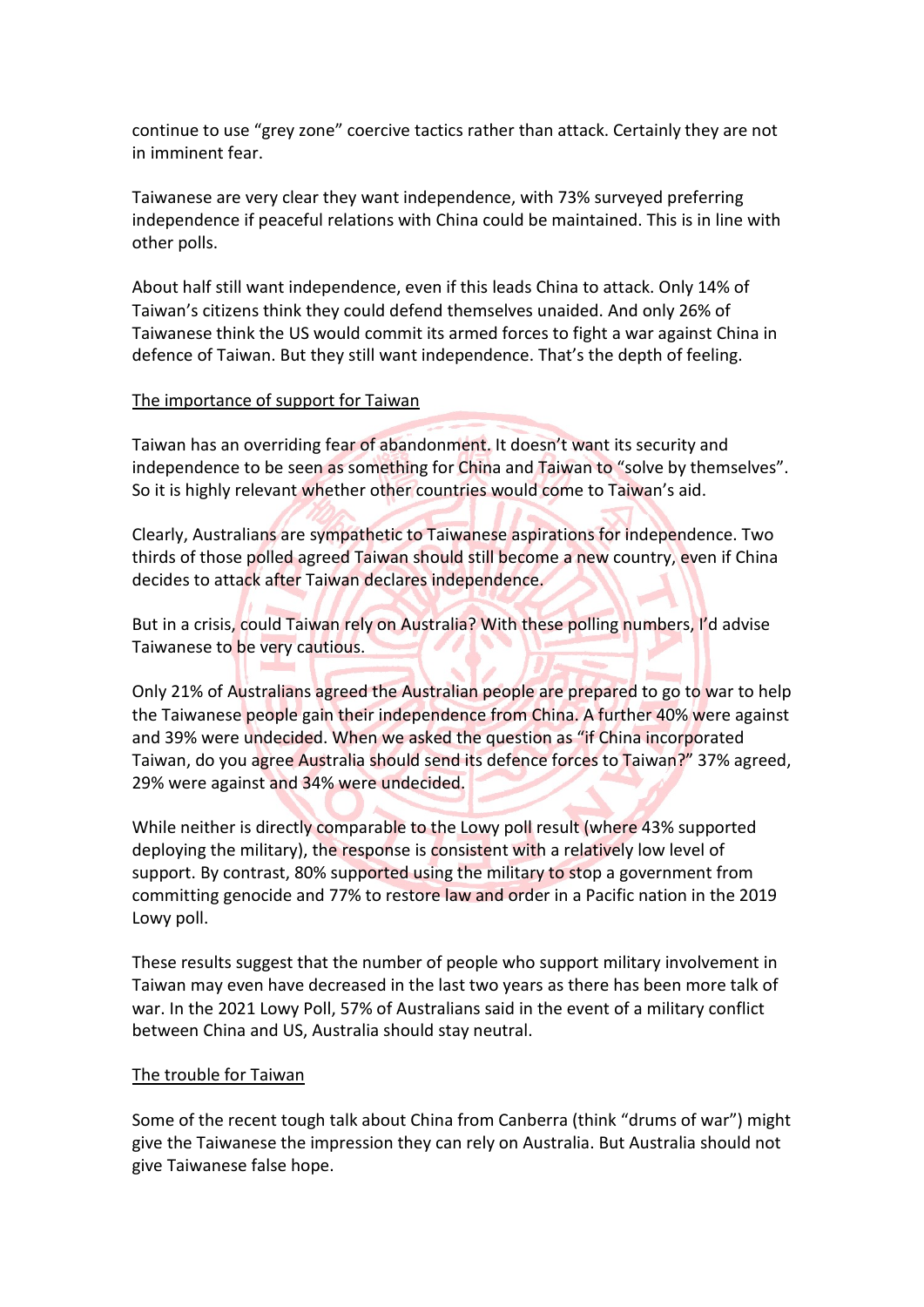continue to use "grey zone" coercive tactics rather than attack. Certainly they are not in imminent fear.

Taiwanese are very clear they want independence, with 73% surveyed preferring independence if peaceful relations with China could be maintained. This is in line with other polls.

About half still want independence, even if this leads China to attack. Only 14% of Taiwan's citizens think they could defend themselves unaided. And only 26% of Taiwanese think the US would commit its armed forces to fight a war against China in defence of Taiwan. But they still want independence. That's the depth of feeling.

#### The importance of support for Taiwan

Taiwan has an overriding fear of abandonment. It doesn't want its security and independence to be seen as something for China and Taiwan to "solve by themselves". So it is highly relevant whether other countries would come to Taiwan's aid.

Clearly, Australians are sympathetic to Taiwanese aspirations for independence. Two thirds of those polled agreed Taiwan should still become a new country, even if China decides to attack after Taiwan declares independence.

But in a crisis, could Taiwan rely on Australia? With these polling numbers, I'd advise Taiwanese to be very cautious.

Only 21% of Australians agreed the Australian people are prepared to go to war to help the Taiwanese people gain their independence from China. A further 40% were against and 39% were undecided. When we asked the question as "if China incorporated Taiwan, do you agree Australia should send its defence forces to Taiwan?" 37% agreed, 29% were against and 34% were undecided.

While neither is directly comparable to the Lowy poll result (where 43% supported deploying the military), the response is consistent with a relatively low level of support. By contrast, 80% supported using the military to stop a government from committing genocide and 77% to restore law and order in a Pacific nation in the 2019 Lowy poll.

These results suggest that the number of people who support military involvement in Taiwan may even have decreased in the last two years as there has been more talk of war. In the 2021 Lowy Poll, 57% of Australians said in the event of a military conflict between China and US, Australia should stay neutral.

#### The trouble for Taiwan

Some of the recent tough talk about China from Canberra (think "drums of war") might give the Taiwanese the impression they can rely on Australia. But Australia should not give Taiwanese false hope.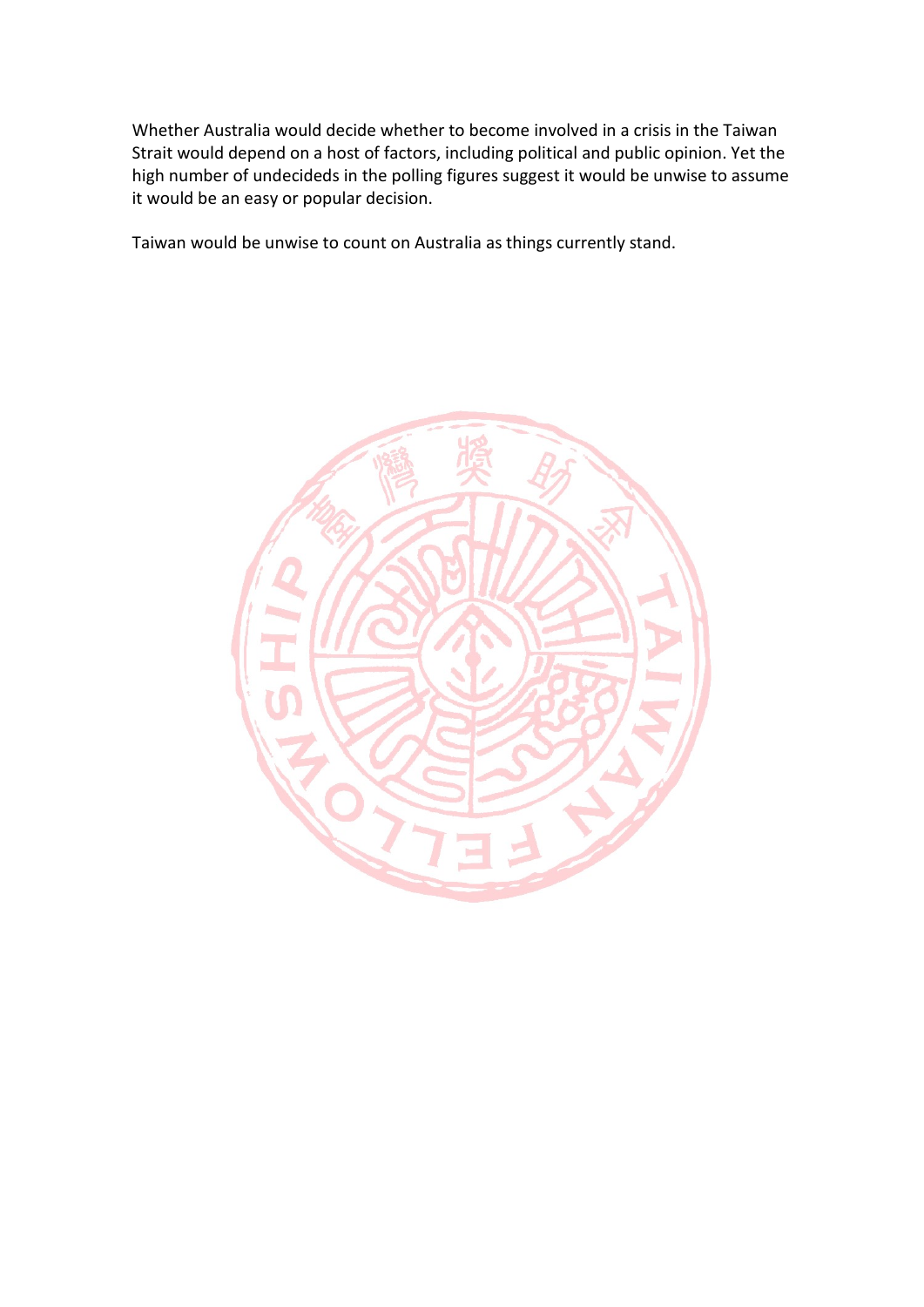Whether Australia would decide whether to become involved in a crisis in the Taiwan Strait would depend on a host of factors, including political and public opinion. Yet the high number of undecideds in the polling figures suggest it would be unwise to assume it would be an easy or popular decision.

Taiwan would be unwise to count on Australia as things currently stand.

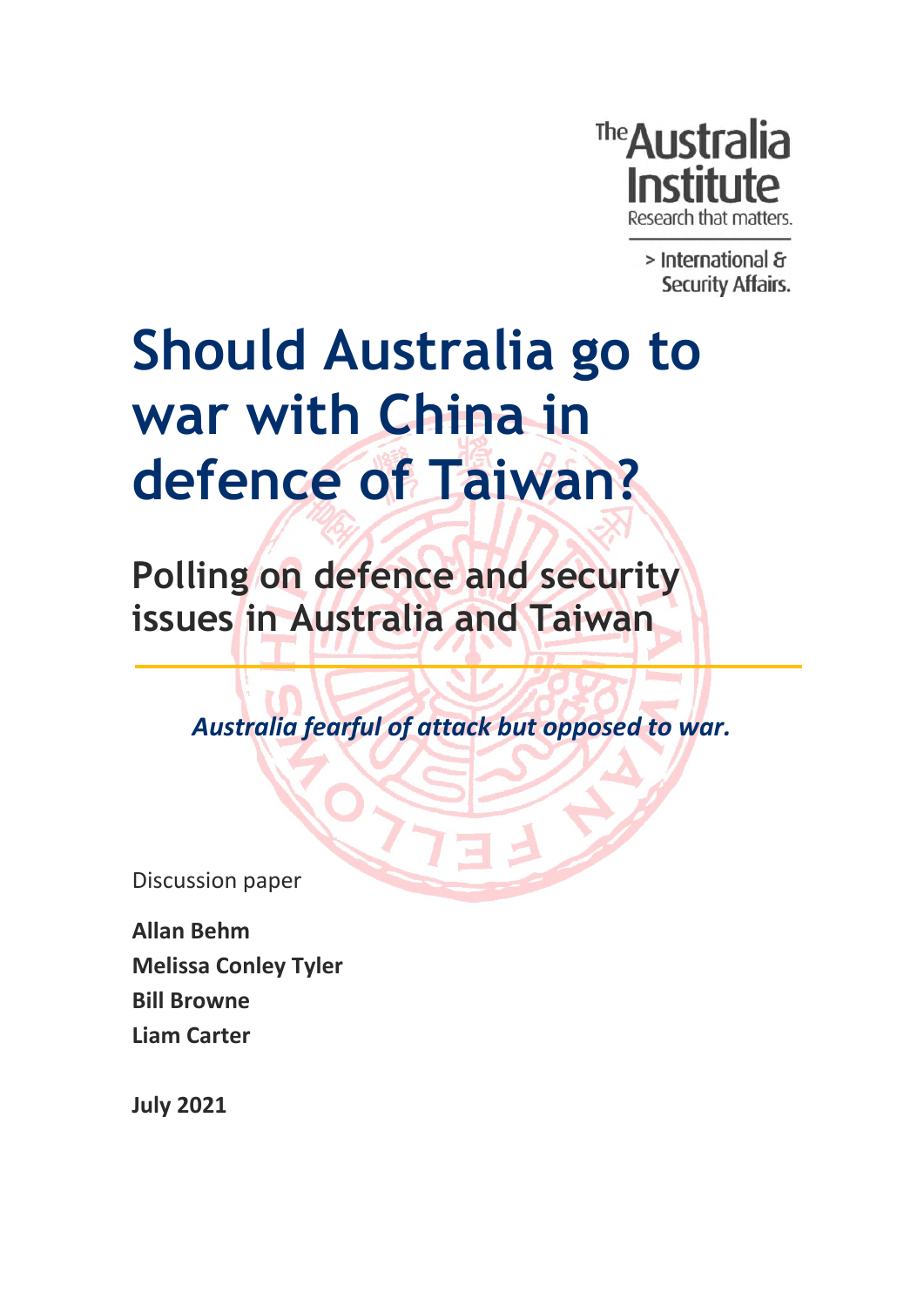

> International & Security Affairs.

# **Should Australia go to war with China in defence of Taiwan?**

**Polling on defence and security issues in Australia and Taiwan**

*Australia fearful of attack but opposed to war.*

Discussion paper

**Allan Behm Melissa Conley Tyler Bill Browne Liam Carter**

**July 2021**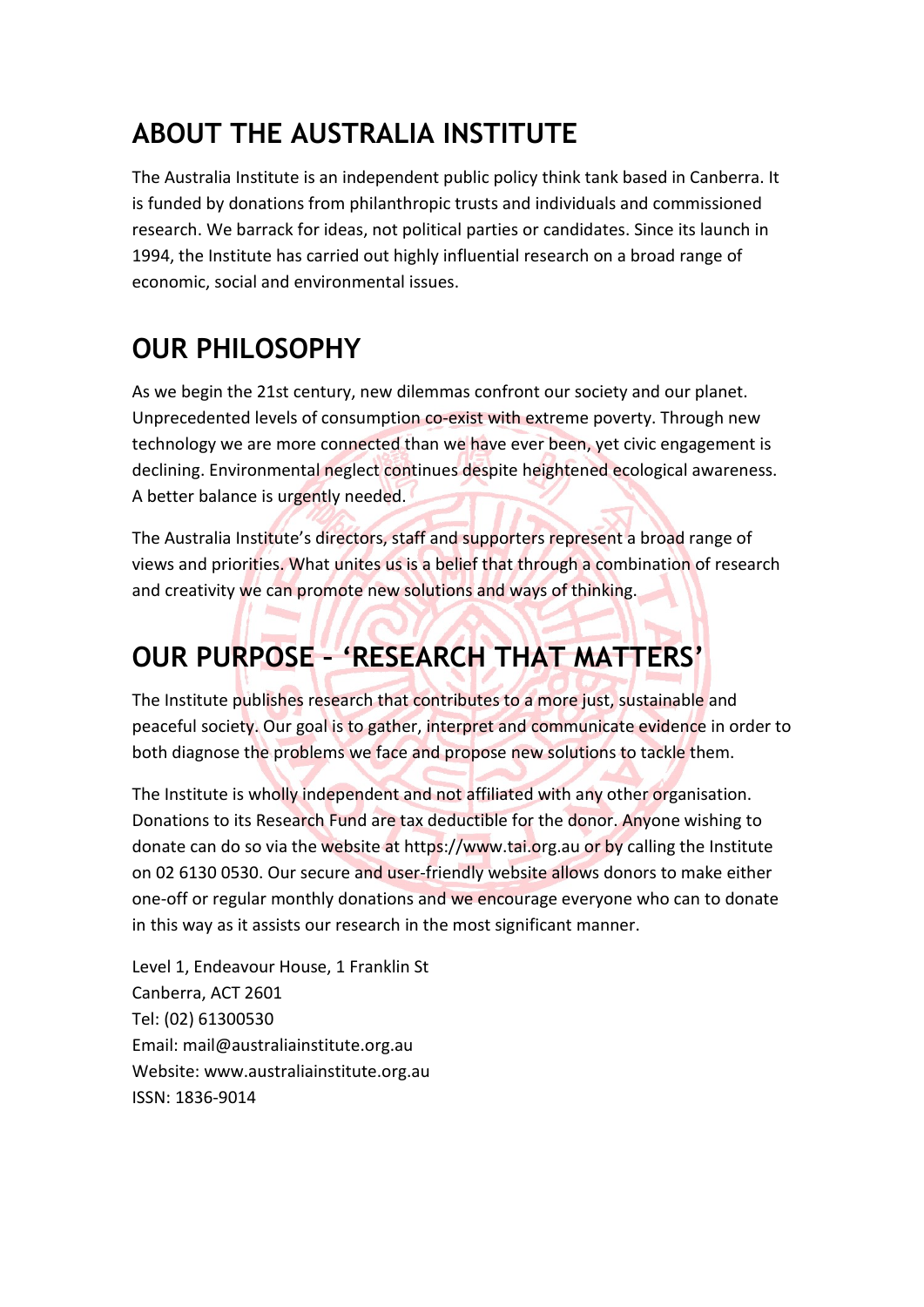## **ABOUT THE AUSTRALIA INSTITUTE**

The Australia Institute is an independent public policy think tank based in Canberra. It is funded by donations from philanthropic trusts and individuals and commissioned research. We barrack for ideas, not political parties or candidates. Since its launch in 1994, the Institute has carried out highly influential research on a broad range of economic, social and environmental issues.

## **OUR PHILOSOPHY**

As we begin the 21st century, new dilemmas confront our society and our planet. Unprecedented levels of consumption co-exist with extreme poverty. Through new technology we are more connected than we have ever been, yet civic engagement is declining. Environmental neglect continues despite heightened ecological awareness. A better balance is urgently needed.

The Australia Institute's directors, staff and supporters represent a broad range of views and priorities. What unites us is a belief that through a combination of research and creativity we can promote new solutions and ways of thinking.

## **OUR PURPOSE – 'RESEARCH THAT MATTERS'**

The Institute publishes research that contributes to a more just, sustainable and peaceful society. Our goal is to gather, interpret and communicate evidence in order to both diagnose the problems we face and propose new solutions to tackle them.

The Institute is wholly independent and not affiliated with any other organisation. Donations to its Research Fund are tax deductible for the donor. Anyone wishing to donate can do so via the website at https://www.tai.org.au or by calling the Institute on 02 6130 0530. Our secure and user-friendly website allows donors to make either one-off or regular monthly donations and we encourage everyone who can to donate in this way as it assists our research in the most significant manner.

Level 1, Endeavour House, 1 Franklin St Canberra, ACT 2601 Tel: (02) 61300530 Email: mail@australiainstitute.org.au Website: www.australiainstitute.org.au ISSN: 1836-9014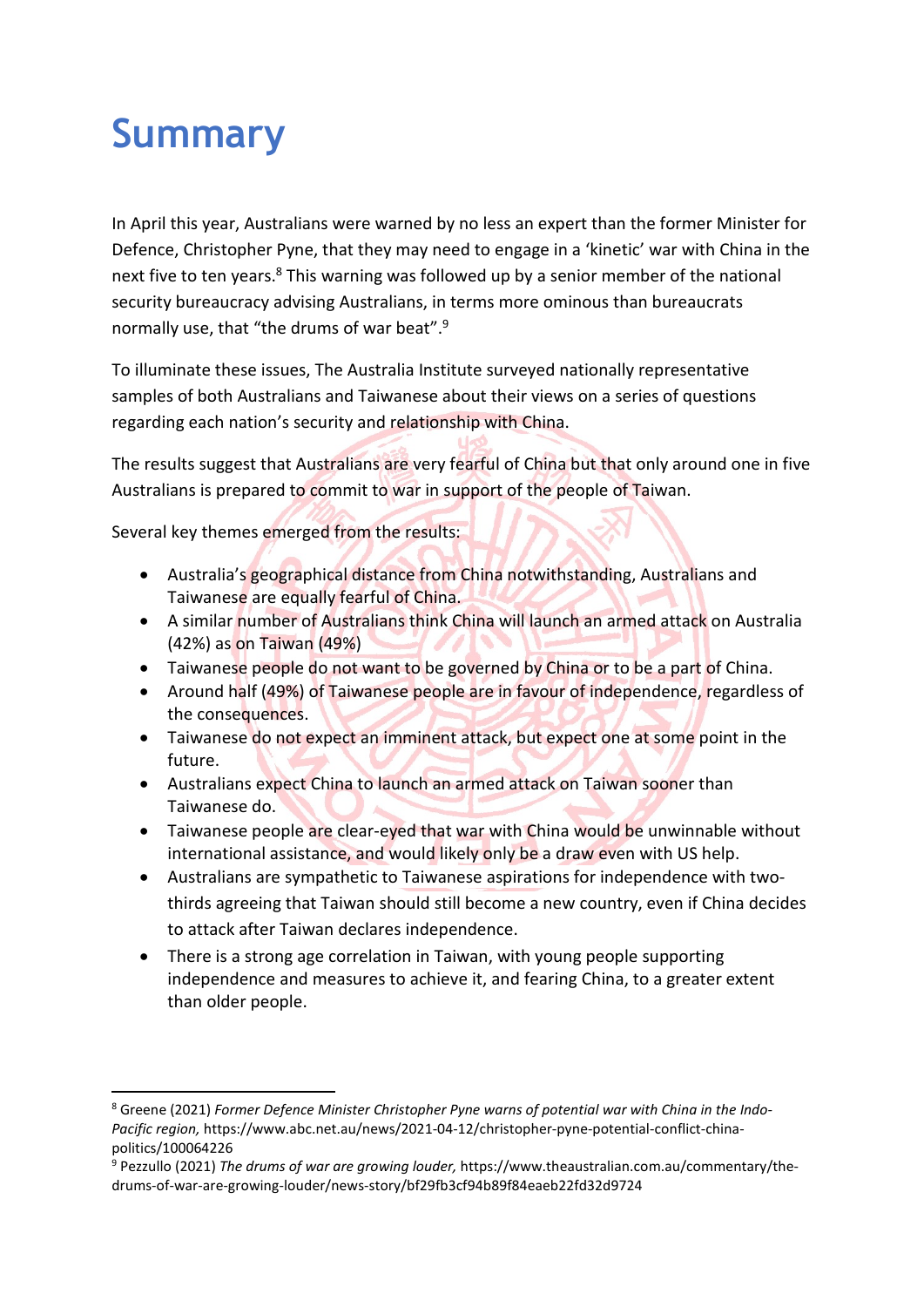## **Summary**

In April this year, Australians were warned by no less an expert than the former Minister for Defence, Christopher Pyne, that they may need to engage in a 'kinetic' war with China in the next five to ten years.<sup>8</sup> This warning was followed up by a senior member of the national security bureaucracy advising Australians, in terms more ominous than bureaucrats normally use, that "the drums of war beat".<sup>9</sup>

To illuminate these issues, The Australia Institute surveyed nationally representative samples of both Australians and Taiwanese about their views on a series of questions regarding each nation's security and relationship with China.

The results suggest that Australians are very fearful of China but that only around one in five Australians is prepared to commit to war in support of the people of Taiwan.

Several key themes emerged from the results:

- Australia's geographical distance from China notwithstanding, Australians and Taiwanese are equally fearful of China.
- A similar number of Australians think China will launch an armed attack on Australia (42%) as on Taiwan (49%)
- Taiwanese people do not want to be governed by China or to be a part of China.
- Around half (49%) of Taiwanese people are in favour of independence, regardless of the consequences.
- Taiwanese do not expect an imminent attack, but expect one at some point in the future.
- Australians expect China to launch an armed attack on Taiwan sooner than Taiwanese do.
- Taiwanese people are clear-eyed that war with China would be unwinnable without international assistance, and would likely only be a draw even with US help.
- Australians are sympathetic to Taiwanese aspirations for independence with twothirds agreeing that Taiwan should still become a new country, even if China decides to attack after Taiwan declares independence.
- There is a strong age correlation in Taiwan, with young people supporting independence and measures to achieve it, and fearing China, to a greater extent than older people.

<sup>8</sup> Greene (2021) *Former Defence Minister Christopher Pyne warns of potential war with China in the Indo-Pacific region,* https://www.abc.net.au/news/2021-04-12/christopher-pyne-potential-conflict-chinapolitics/100064226

<sup>9</sup> Pezzullo (2021) *The drums of war are growing louder,* https://www.theaustralian.com.au/commentary/thedrums-of-war-are-growing-louder/news-story/bf29fb3cf94b89f84eaeb22fd32d9724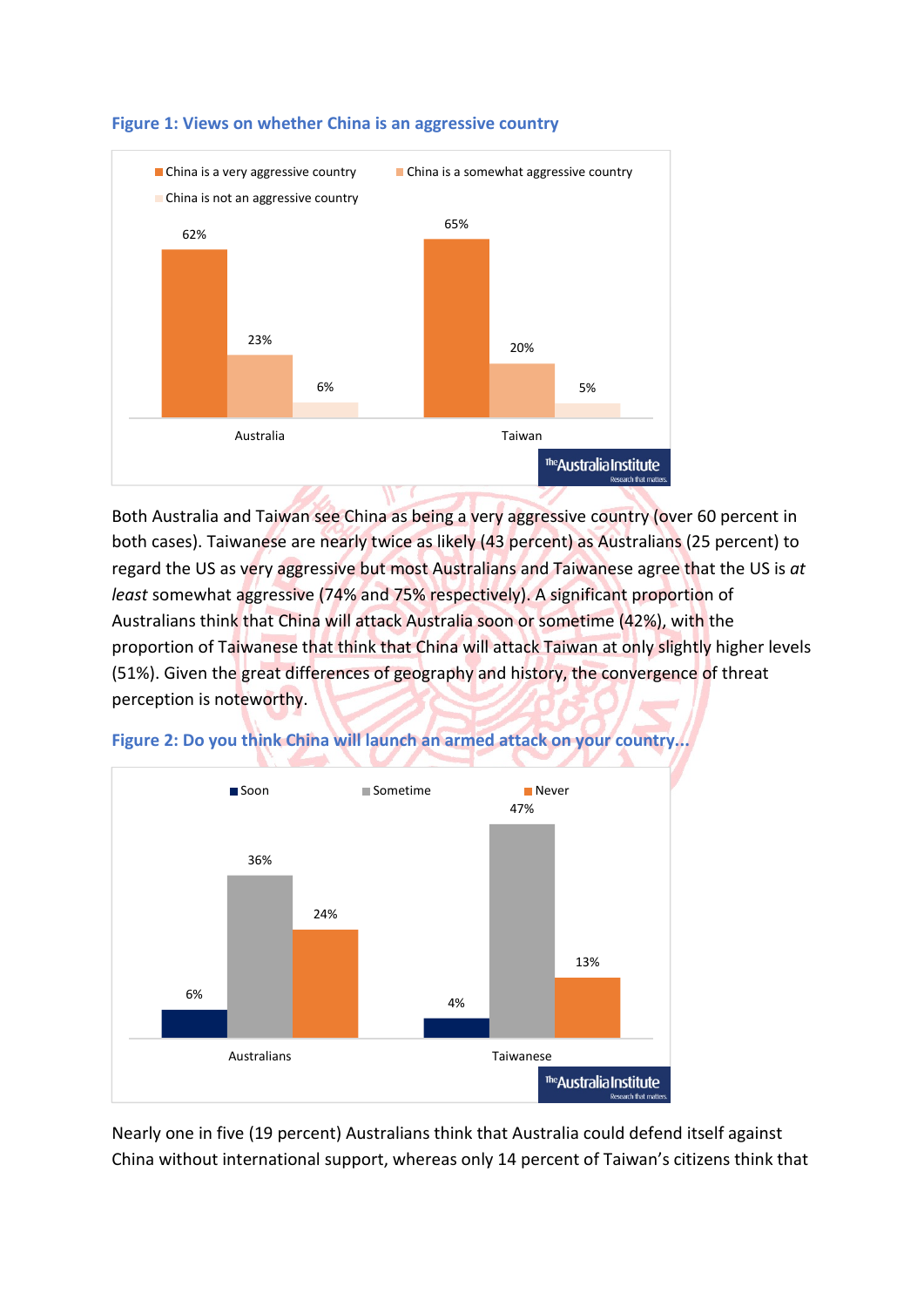

#### **Figure 1: Views on whether China is an aggressive country**

Both Australia and Taiwan see China as being a very aggressive country (over 60 percent in both cases). Taiwanese are nearly twice as likely (43 percent) as Australians (25 percent) to regard the US as very aggressive but most Australians and Taiwanese agree that the US is *at least* somewhat aggressive (74% and 75% respectively). A significant proportion of Australians think that China will attack Australia soon or sometime (42%), with the proportion of Taiwanese that think that China will attack Taiwan at only slightly higher levels (51%). Given the great differences of geography and history, the convergence of threat perception is noteworthy.



**Figure 2: Do you think China will launch an armed attack on your country...**

Nearly one in five (19 percent) Australians think that Australia could defend itself against China without international support, whereas only 14 percent of Taiwan's citizens think that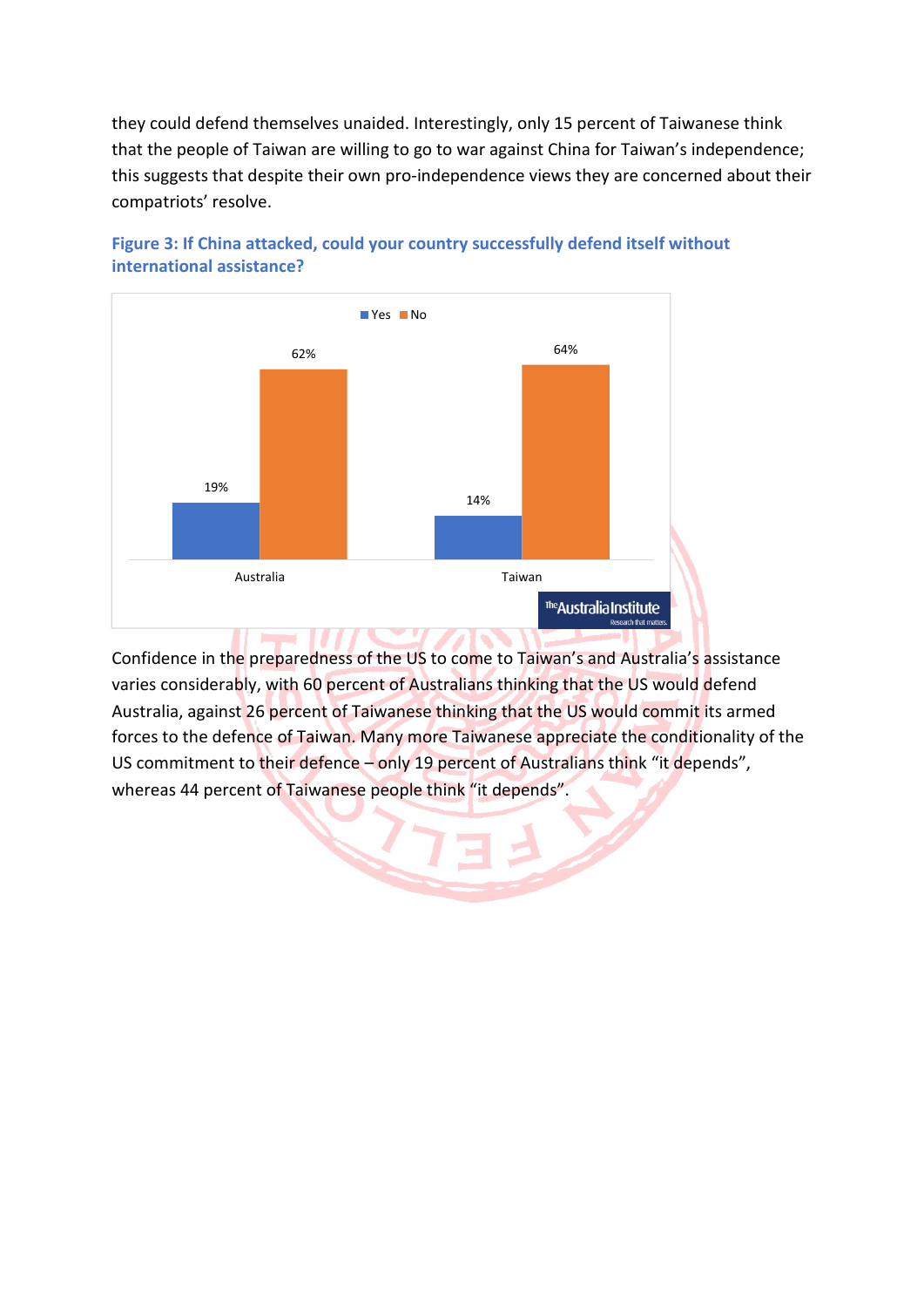they could defend themselves unaided. Interestingly, only 15 percent of Taiwanese think that the people of Taiwan are willing to go to war against China for Taiwan's independence; this suggests that despite their own pro-independence views they are concerned about their compatriots' resolve.





Confidence in the preparedness of the US to come to Taiwan's and Australia's assistance varies considerably, with 60 percent of Australians thinking that the US would defend Australia, against 26 percent of Taiwanese thinking that the US would commit its armed forces to the defence of Taiwan. Many more Taiwanese appreciate the conditionality of the US commitment to their defence – only 19 percent of Australians think "it depends", whereas 44 percent of Taiwanese people think "it depends".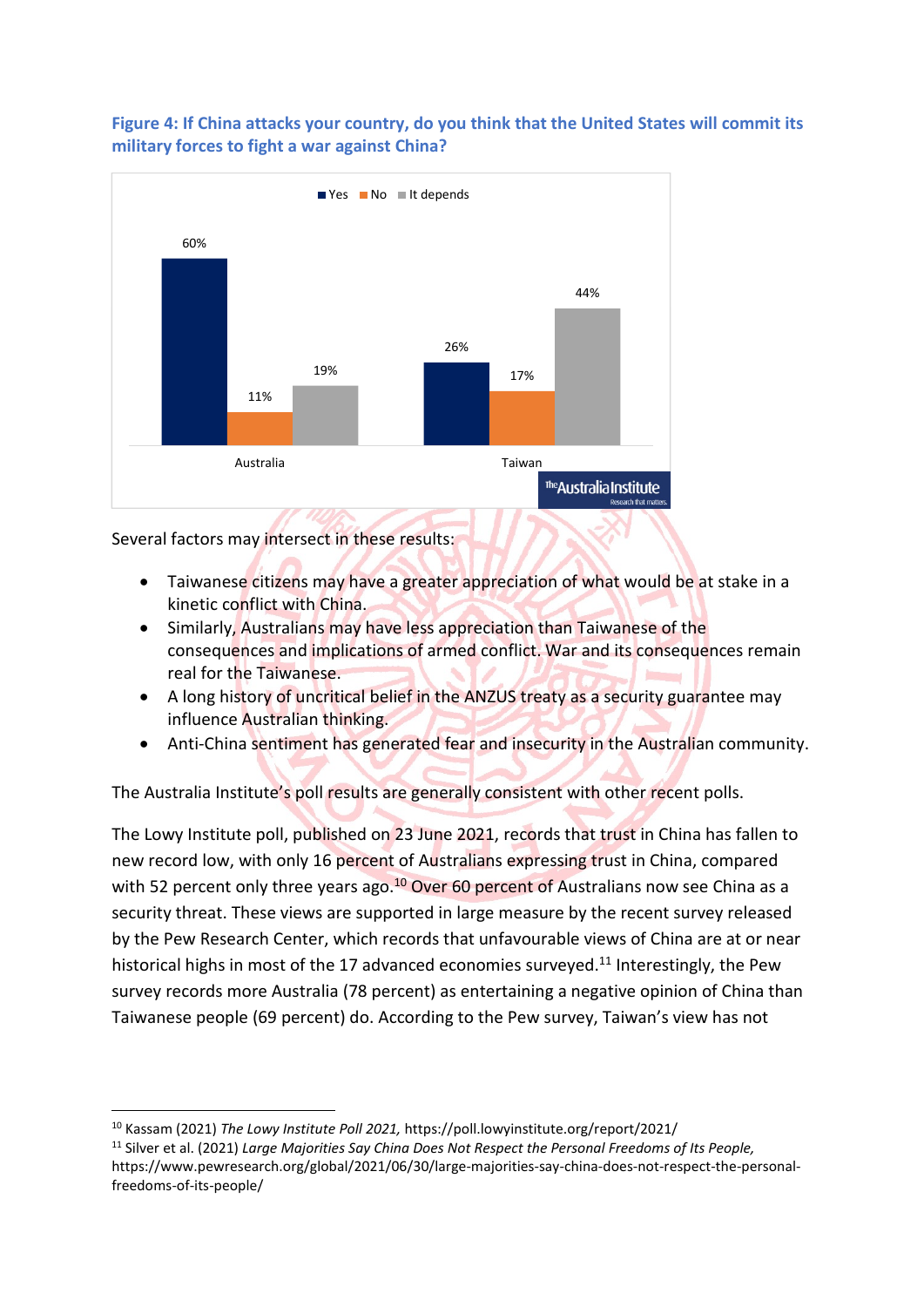#### **Figure 4: If China attacks your country, do you think that the United States will commit its military forces to fight a war against China?**



Several factors may intersect in these results:

- Taiwanese citizens may have a greater appreciation of what would be at stake in a kinetic conflict with China.
- Similarly, Australians may have less appreciation than Taiwanese of the consequences and implications of armed conflict. War and its consequences remain real for the Taiwanese.
- A long history of uncritical belief in the ANZUS treaty as a security guarantee may influence Australian thinking.
- Anti-China sentiment has generated fear and insecurity in the Australian community.

The Australia Institute's poll results are generally consistent with other recent polls.

The Lowy Institute poll, published on 23 June 2021, records that trust in China has fallen to new record low, with only 16 percent of Australians expressing trust in China, compared with 52 percent only three years ago.<sup>10</sup> Over 60 percent of Australians now see China as a security threat. These views are supported in large measure by the recent survey released by the Pew Research Center, which records that unfavourable views of China are at or near historical highs in most of the 17 advanced economies surveyed.<sup>11</sup> Interestingly, the Pew survey records more Australia (78 percent) as entertaining a negative opinion of China than Taiwanese people (69 percent) do. According to the Pew survey, Taiwan's view has not

<sup>10</sup> Kassam (2021) *The Lowy Institute Poll 2021,* https://poll.lowyinstitute.org/report/2021/

<sup>11</sup> Silver et al. (2021) *Large Majorities Say China Does Not Respect the Personal Freedoms of Its People,* https://www.pewresearch.org/global/2021/06/30/large-majorities-say-china-does-not-respect-the-personalfreedoms-of-its-people/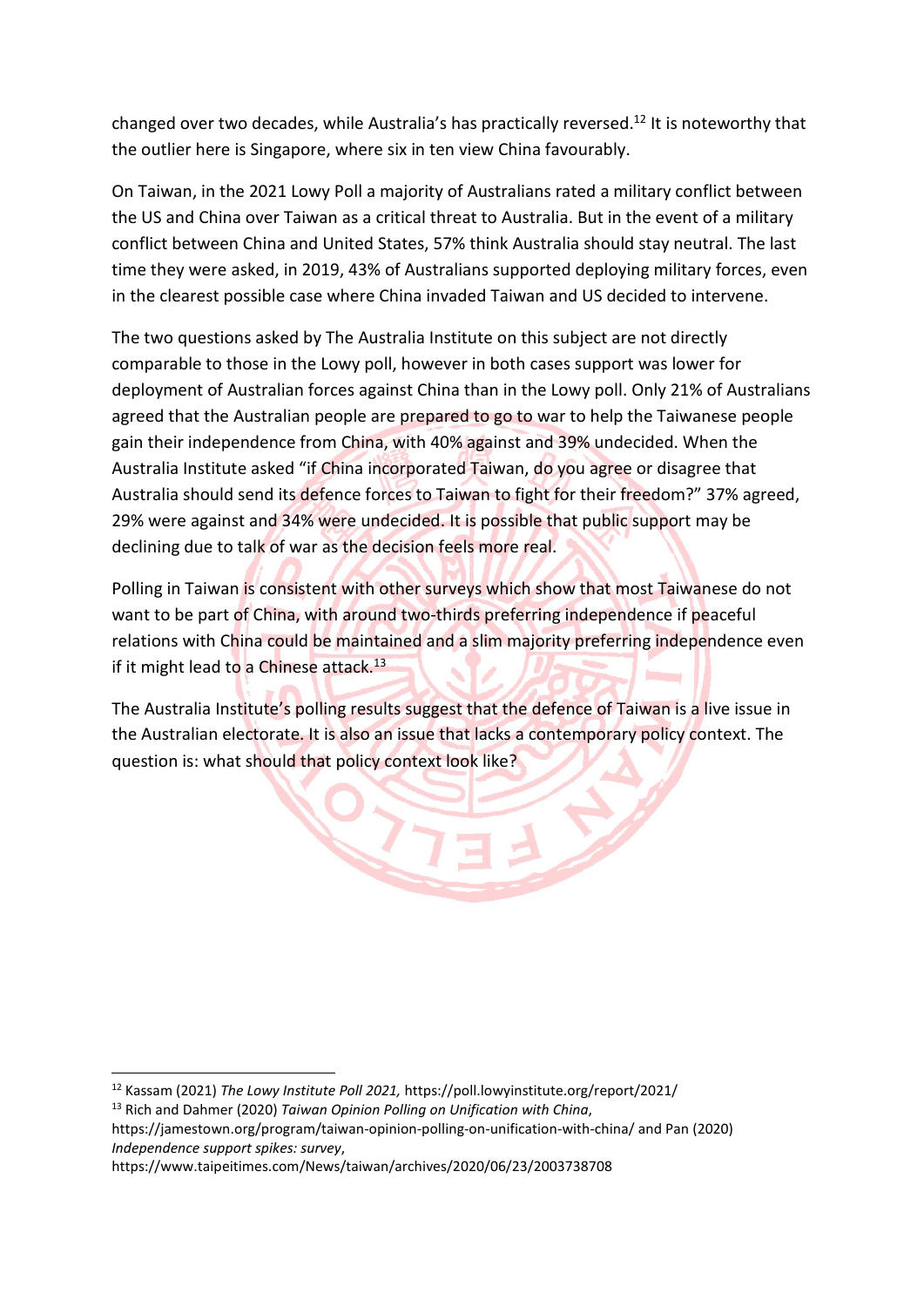changed over two decades, while Australia's has practically reversed.<sup>12</sup> It is noteworthy that the outlier here is Singapore, where six in ten view China favourably.

On Taiwan, in the 2021 Lowy Poll a majority of Australians rated a military conflict between the US and China over Taiwan as a critical threat to Australia. But in the event of a military conflict between China and United States, 57% think Australia should stay neutral. The last time they were asked, in 2019, 43% of Australians supported deploying military forces, even in the clearest possible case where China invaded Taiwan and US decided to intervene.

The two questions asked by The Australia Institute on this subject are not directly comparable to those in the Lowy poll, however in both cases support was lower for deployment of Australian forces against China than in the Lowy poll. Only 21% of Australians agreed that the Australian people are prepared to go to war to help the Taiwanese people gain their independence from China, with 40% against and 39% undecided. When the Australia Institute asked "if China incorporated Taiwan, do you agree or disagree that Australia should send its defence forces to Taiwan to fight for their freedom?" 37% agreed, 29% were against and 34% were undecided. It is possible that public support may be declining due to talk of war as the decision feels more real.

Polling in Taiwan is consistent with other surveys which show that most Taiwanese do not want to be part of China, with around two-thirds preferring independence if peaceful relations with China could be maintained and a slim majority preferring independence even if it might lead to a Chinese attack.<sup>13</sup>

The Australia Institute's polling results suggest that the defence of Taiwan is a live issue in the Australian electorate. It is also an issue that lacks a contemporary policy context. The question is: what should that policy context look like?

<sup>12</sup> Kassam (2021) *The Lowy Institute Poll 2021,* https://poll.lowyinstitute.org/report/2021/

<sup>13</sup> Rich and Dahmer (2020) *Taiwan Opinion Polling on Unification with China*,

https://jamestown.org/program/taiwan-opinion-polling-on-unification-with-china/ and Pan (2020) *Independence support spikes: survey*,

https://www.taipeitimes.com/News/taiwan/archives/2020/06/23/2003738708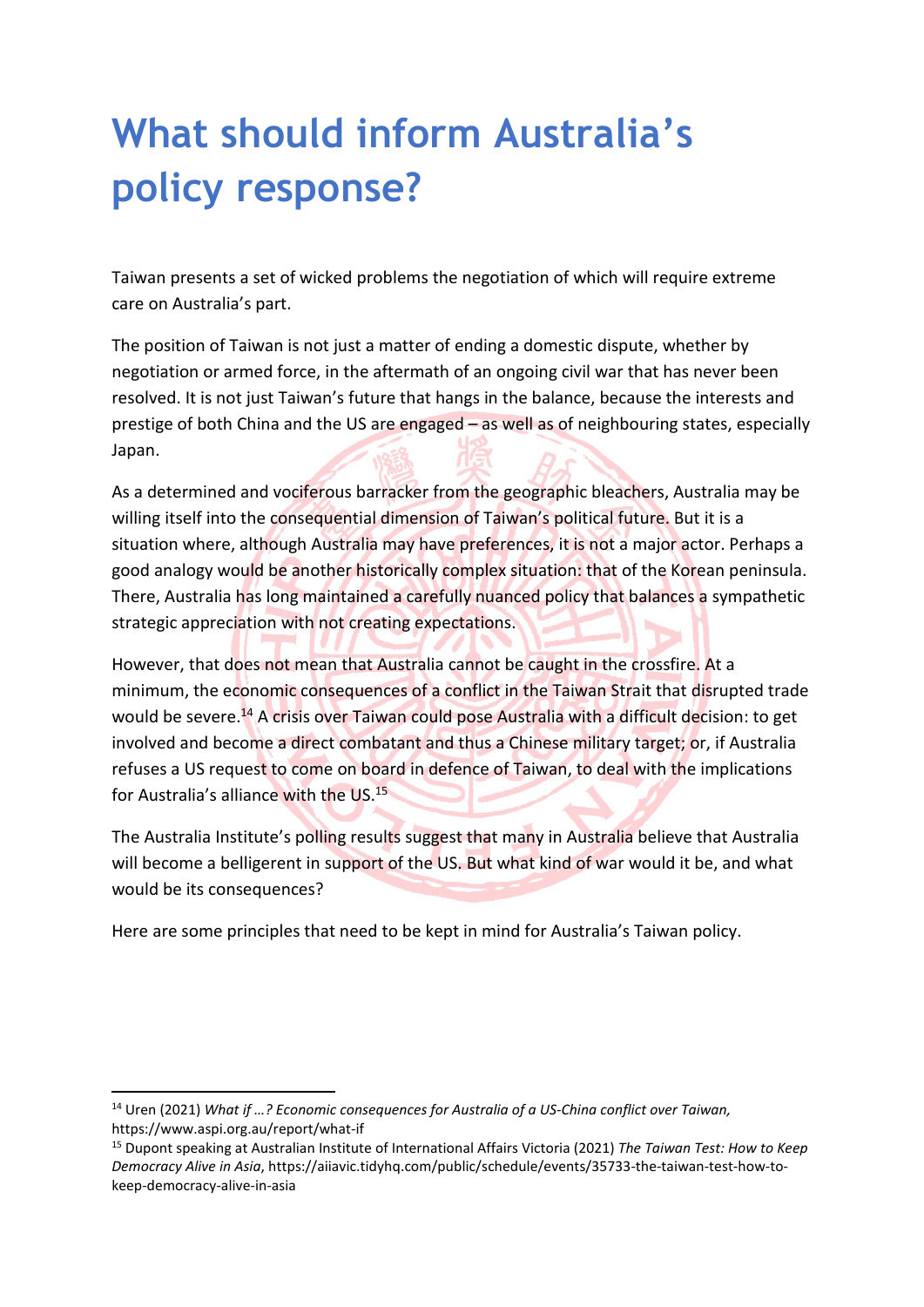## **What should inform Australia's policy response?**

Taiwan presents a set of wicked problems the negotiation of which will require extreme care on Australia's part.

The position of Taiwan is not just a matter of ending a domestic dispute, whether by negotiation or armed force, in the aftermath of an ongoing civil war that has never been resolved. It is not just Taiwan's future that hangs in the balance, because the interests and prestige of both China and the US are engaged – as well as of neighbouring states, especially Japan.

As a determined and vociferous barracker from the geographic bleachers, Australia may be willing itself into the consequential dimension of Taiwan's political future. But it is a situation where, although Australia may have preferences, it is not a major actor. Perhaps a good analogy would be another historically complex situation: that of the Korean peninsula. There, Australia has long maintained a carefully nuanced policy that balances a sympathetic strategic appreciation with not creating expectations.

However, that does not mean that Australia cannot be caught in the crossfire. At a minimum, the economic consequences of a conflict in the Taiwan Strait that disrupted trade would be severe.<sup>14</sup> A crisis over Taiwan could pose Australia with a difficult decision: to get involved and become a direct combatant and thus a Chinese military target; or, if Australia refuses a US request to come on board in defence of Taiwan, to deal with the implications for Australia's alliance with the US.<sup>15</sup>

The Australia Institute's polling results suggest that many in Australia believe that Australia will become a belligerent in support of the US. But what kind of war would it be, and what would be its consequences?

Here are some principles that need to be kept in mind for Australia's Taiwan policy.

<sup>14</sup> Uren (2021) *What if …? Economic consequences for Australia of a US-China conflict over Taiwan,* https://www.aspi.org.au/report/what-if

<sup>15</sup> Dupont speaking at Australian Institute of International Affairs Victoria (2021) *The Taiwan Test: How to Keep Democracy Alive in Asia*, https://aiiavic.tidyhq.com/public/schedule/events/35733-the-taiwan-test-how-tokeep-democracy-alive-in-asia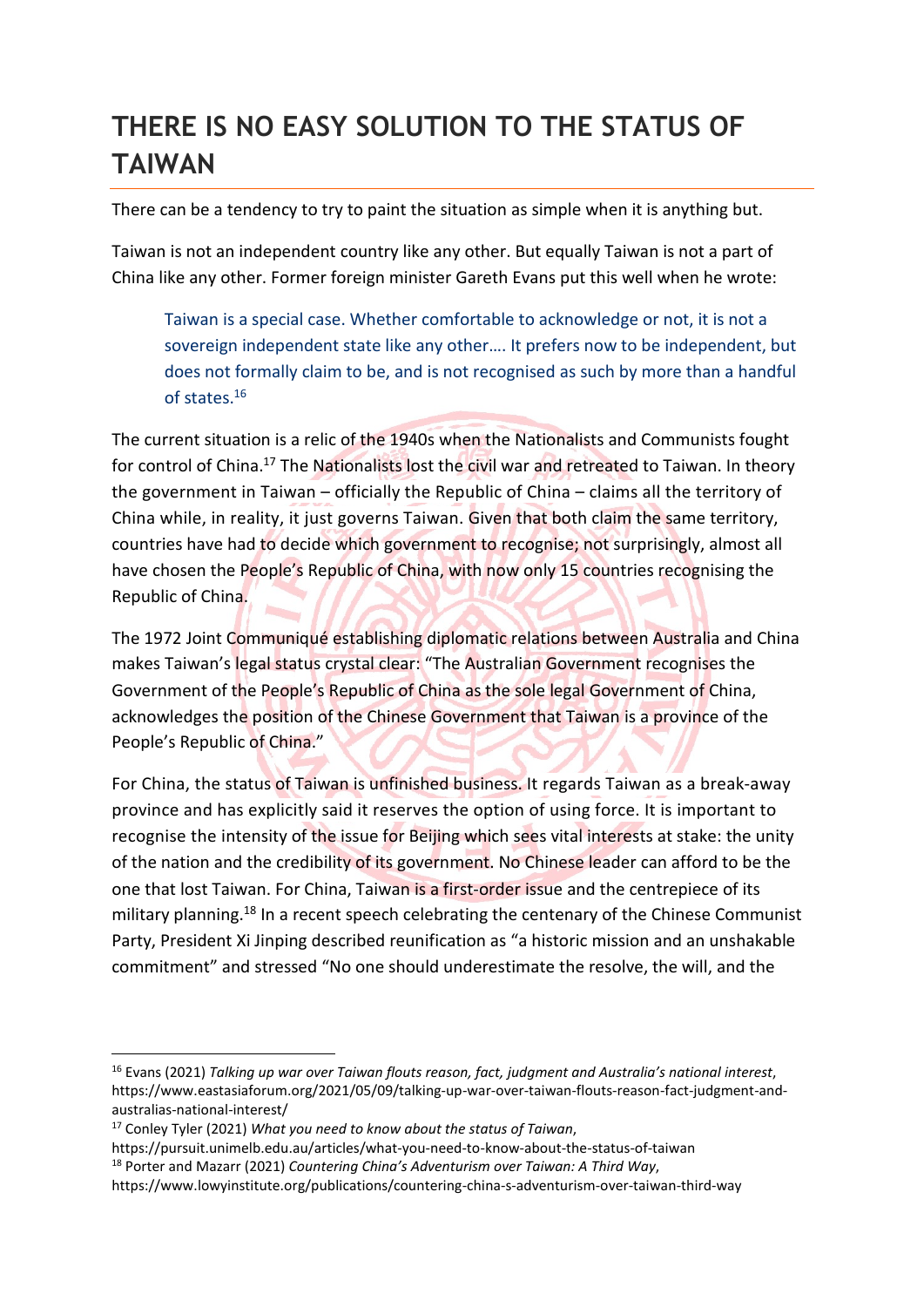## **THERE IS NO EASY SOLUTION TO THE STATUS OF TAIWAN**

There can be a tendency to try to paint the situation as simple when it is anything but.

Taiwan is not an independent country like any other. But equally Taiwan is not a part of China like any other. Former foreign minister Gareth Evans put this well when he wrote:

Taiwan is a special case. Whether comfortable to acknowledge or not, it is not a sovereign independent state like any other…. It prefers now to be independent, but does not formally claim to be, and is not recognised as such by more than a handful of states.<sup>16</sup>

The current situation is a relic of the 1940s when the Nationalists and Communists fought for control of China.<sup>17</sup> The Nationalists lost the civil war and retreated to Taiwan. In theory the government in Taiwan – officially the Republic of China – claims all the territory of China while, in reality, it just governs Taiwan. Given that both claim the same territory, countries have had to decide which government to recognise; not surprisingly, almost all have chosen the People's Republic of China, with now only 15 countries recognising the Republic of China.

The 1972 Joint Communiqué establishing diplomatic relations between Australia and China makes Taiwan's legal status crystal clear: "The Australian Government recognises the Government of the People's Republic of China as the sole legal Government of China, acknowledges the position of the Chinese Government that Taiwan is a province of the People's Republic of China."

For China, the status of Taiwan is unfinished business. It regards Taiwan as a break-away province and has explicitly said it reserves the option of using force. It is important to recognise the intensity of the issue for Beijing which sees vital interests at stake: the unity of the nation and the credibility of its government. No Chinese leader can afford to be the one that lost Taiwan. For China, Taiwan is a first-order issue and the centrepiece of its military planning.<sup>18</sup> In a recent speech celebrating the centenary of the Chinese Communist Party, President Xi Jinping described reunification as "a historic mission and an unshakable commitment" and stressed "No one should underestimate the resolve, the will, and the

<sup>16</sup> Evans (2021) *Talking up war over Taiwan flouts reason, fact, judgment and Australia's national interest*, https://www.eastasiaforum.org/2021/05/09/talking-up-war-over-taiwan-flouts-reason-fact-judgment-andaustralias-national-interest/

<sup>17</sup> Conley Tyler (2021) *What you need to know about the status of Taiwan*,

https://pursuit.unimelb.edu.au/articles/what-you-need-to-know-about-the-status-of-taiwan <sup>18</sup> Porter and Mazarr (2021) *Countering China's Adventurism over Taiwan: A Third Way*,

https://www.lowyinstitute.org/publications/countering-china-s-adventurism-over-taiwan-third-way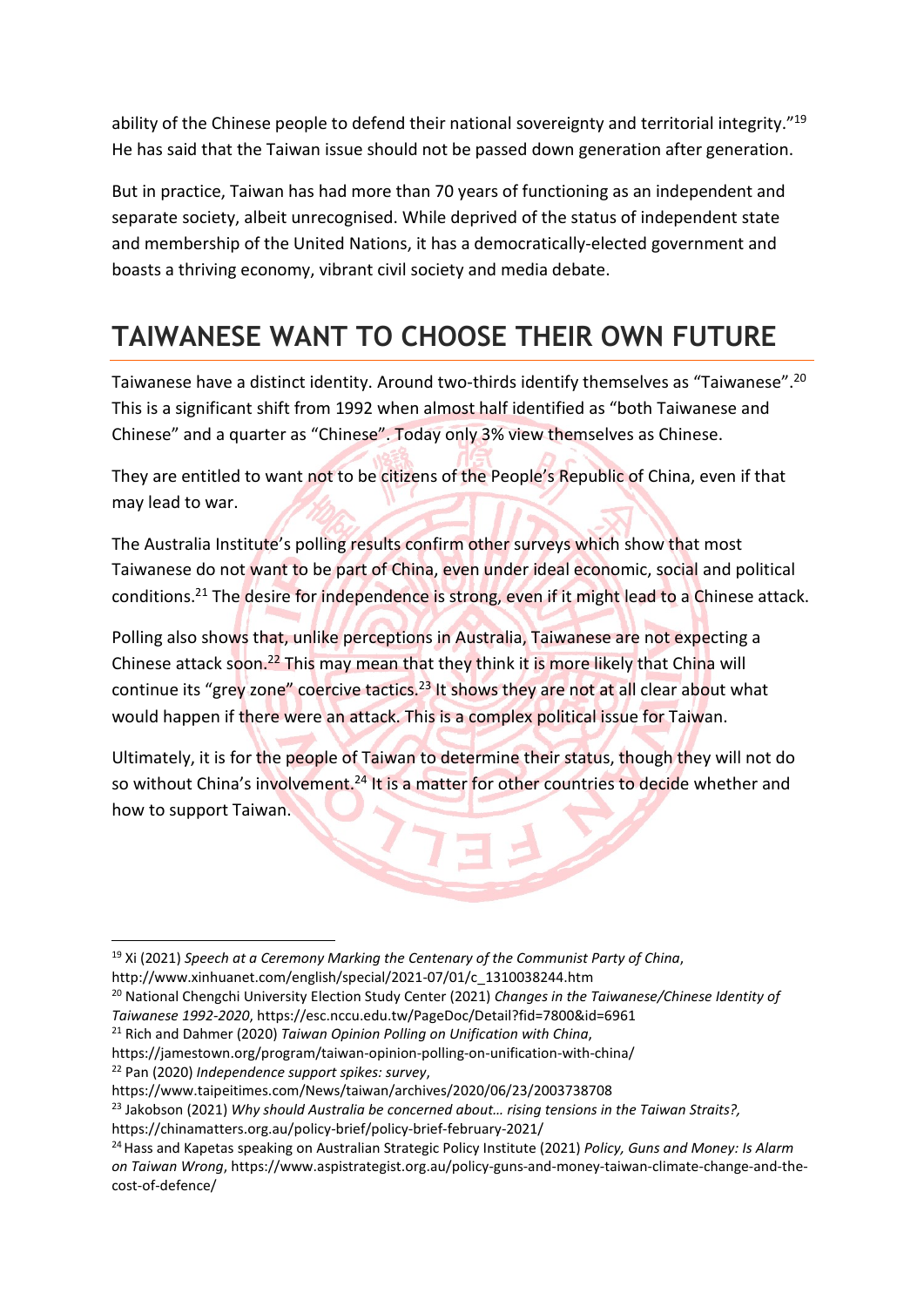ability of the Chinese people to defend their national sovereignty and territorial integrity."<sup>19</sup> He has said that the Taiwan issue should not be passed down generation after generation.

But in practice, Taiwan has had more than 70 years of functioning as an independent and separate society, albeit unrecognised. While deprived of the status of independent state and membership of the United Nations, it has a democratically-elected government and boasts a thriving economy, vibrant civil society and media debate.

## **TAIWANESE WANT TO CHOOSE THEIR OWN FUTURE**

Taiwanese have a distinct identity. Around two-thirds identify themselves as "Taiwanese".<sup>20</sup> This is a significant shift from 1992 when almost half identified as "both Taiwanese and Chinese" and a quarter as "Chinese". Today only 3% view themselves as Chinese.

They are entitled to want not to be citizens of the People's Republic of China, even if that may lead to war.

The Australia Institute's polling results confirm other surveys which show that most Taiwanese do not want to be part of China, even under ideal economic, social and political conditions.<sup>21</sup> The desire for independence is strong, even if it might lead to a Chinese attack.

Polling also shows that, unlike perceptions in Australia, Taiwanese are not expecting a Chinese attack soon.<sup>22</sup> This may mean that they think it is more likely that China will continue its "grey zone" coercive tactics.<sup>23</sup> It shows they are not at all clear about what would happen if there were an attack. This is a complex political issue for Taiwan.

Ultimately, it is for the people of Taiwan to determine their status, though they will not do so without China's involvement.<sup>24</sup> It is a matter for other countries to decide whether and how to support Taiwan.

<sup>21</sup> Rich and Dahmer (2020) *Taiwan Opinion Polling on Unification with China*,

<sup>19</sup> Xi (2021) *Speech at a Ceremony Marking the Centenary of the Communist Party of China*,

http://www.xinhuanet.com/english/special/2021-07/01/c\_1310038244.htm

<sup>20</sup> National Chengchi University Election Study Center (2021) *Changes in the Taiwanese/Chinese Identity of Taiwanese 1992-2020*, https://esc.nccu.edu.tw/PageDoc/Detail?fid=7800&id=6961

https://jamestown.org/program/taiwan-opinion-polling-on-unification-with-china/ <sup>22</sup> Pan (2020) *Independence support spikes: survey*,

https://www.taipeitimes.com/News/taiwan/archives/2020/06/23/2003738708

<sup>23</sup> Jakobson (2021) *Why should Australia be concerned about… rising tensions in the Taiwan Straits?,* https://chinamatters.org.au/policy-brief/policy-brief-february-2021/

<sup>24</sup>Hass and Kapetas speaking on Australian Strategic Policy Institute (2021) *Policy, Guns and Money: Is Alarm on Taiwan Wrong*, https://www.aspistrategist.org.au/policy-guns-and-money-taiwan-climate-change-and-thecost-of-defence/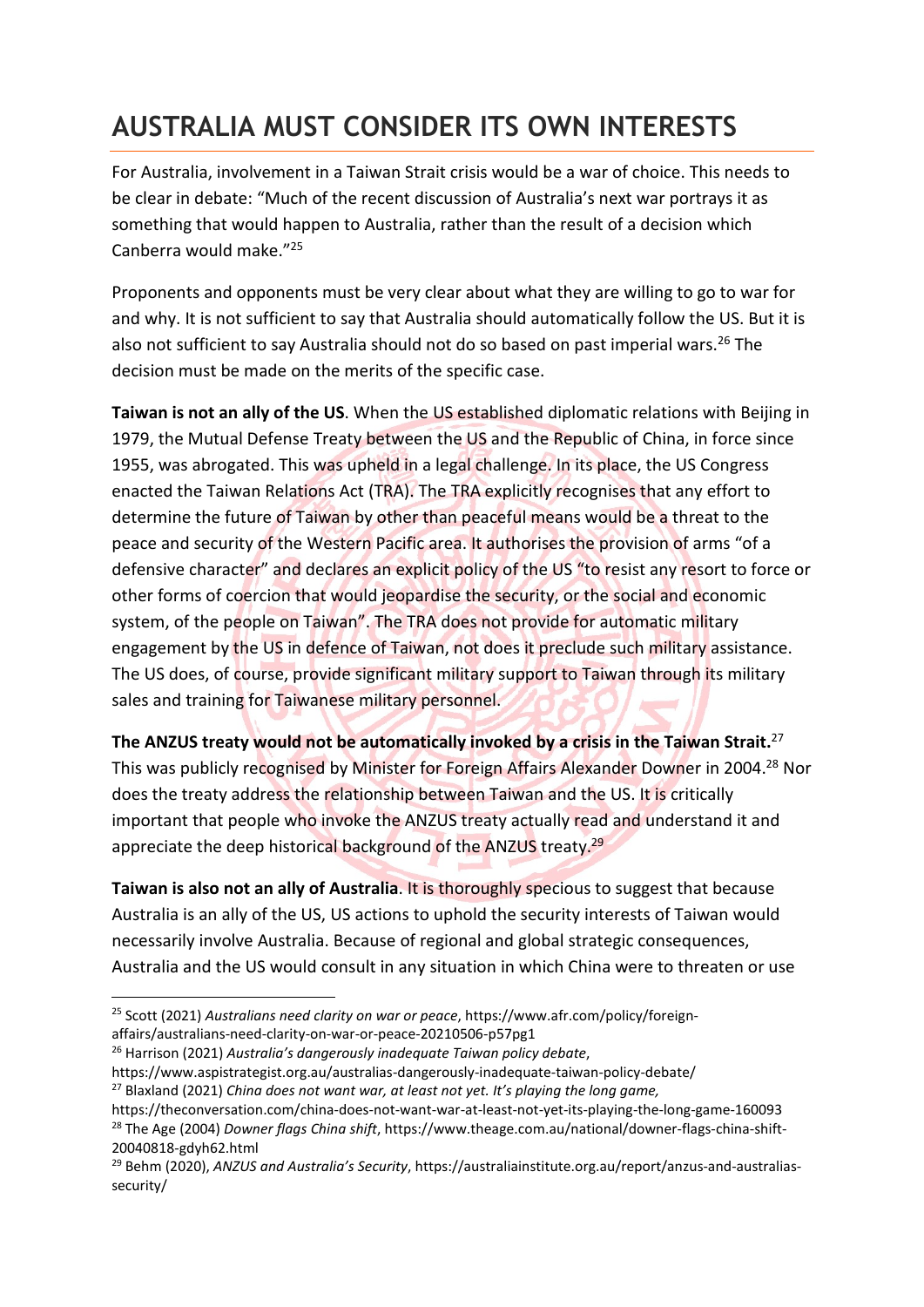## **AUSTRALIA MUST CONSIDER ITS OWN INTERESTS**

For Australia, involvement in a Taiwan Strait crisis would be a war of choice. This needs to be clear in debate: "Much of the recent discussion of Australia's next war portrays it as something that would happen to Australia, rather than the result of a decision which Canberra would make."<sup>25</sup>

Proponents and opponents must be very clear about what they are willing to go to war for and why. It is not sufficient to say that Australia should automatically follow the US. But it is also not sufficient to say Australia should not do so based on past imperial wars.<sup>26</sup> The decision must be made on the merits of the specific case.

**Taiwan is not an ally of the US**. When the US established diplomatic relations with Beijing in 1979, the Mutual Defense Treaty between the US and the Republic of China, in force since 1955, was abrogated. This was upheld in a legal challenge. In its place, the US Congress enacted the Taiwan Relations Act (TRA). The TRA explicitly recognises that any effort to determine the future of Taiwan by other than peaceful means would be a threat to the peace and security of the Western Pacific area. It authorises the provision of arms "of a defensive character" and declares an explicit policy of the US "to resist any resort to force or other forms of coercion that would jeopardise the security, or the social and economic system, of the people on Taiwan". The TRA does not provide for automatic military engagement by the US in defence of Taiwan, not does it preclude such military assistance. The US does, of course, provide significant military support to Taiwan through its military sales and training for Taiwanese military personnel.

**The ANZUS treaty would not be automatically invoked by a crisis in the Taiwan Strait.**<sup>27</sup>

This was publicly recognised by Minister for Foreign Affairs Alexander Downer in 2004.<sup>28</sup> Nor does the treaty address the relationship between Taiwan and the US. It is critically important that people who invoke the ANZUS treaty actually read and understand it and appreciate the deep historical background of the ANZUS treaty.<sup>29</sup>

**Taiwan is also not an ally of Australia**. It is thoroughly specious to suggest that because Australia is an ally of the US, US actions to uphold the security interests of Taiwan would necessarily involve Australia. Because of regional and global strategic consequences, Australia and the US would consult in any situation in which China were to threaten or use

<sup>26</sup> Harrison (2021) *Australia's dangerously inadequate Taiwan policy debate*,

https://www.aspistrategist.org.au/australias-dangerously-inadequate-taiwan-policy-debate/ <sup>27</sup> Blaxland (2021) *China does not want war, at least not yet. It's playing the long game,*

<sup>25</sup> Scott (2021) *Australians need clarity on war or peace*, https://www.afr.com/policy/foreignaffairs/australians-need-clarity-on-war-or-peace-20210506-p57pg1

https://theconversation.com/china-does-not-want-war-at-least-not-yet-its-playing-the-long-game-160093 <sup>28</sup> The Age (2004) *Downer flags China shift*, https://www.theage.com.au/national/downer-flags-china-shift-20040818-gdyh62.html

<sup>29</sup> Behm (2020), *ANZUS and Australia's Security*, https://australiainstitute.org.au/report/anzus-and-australiassecurity/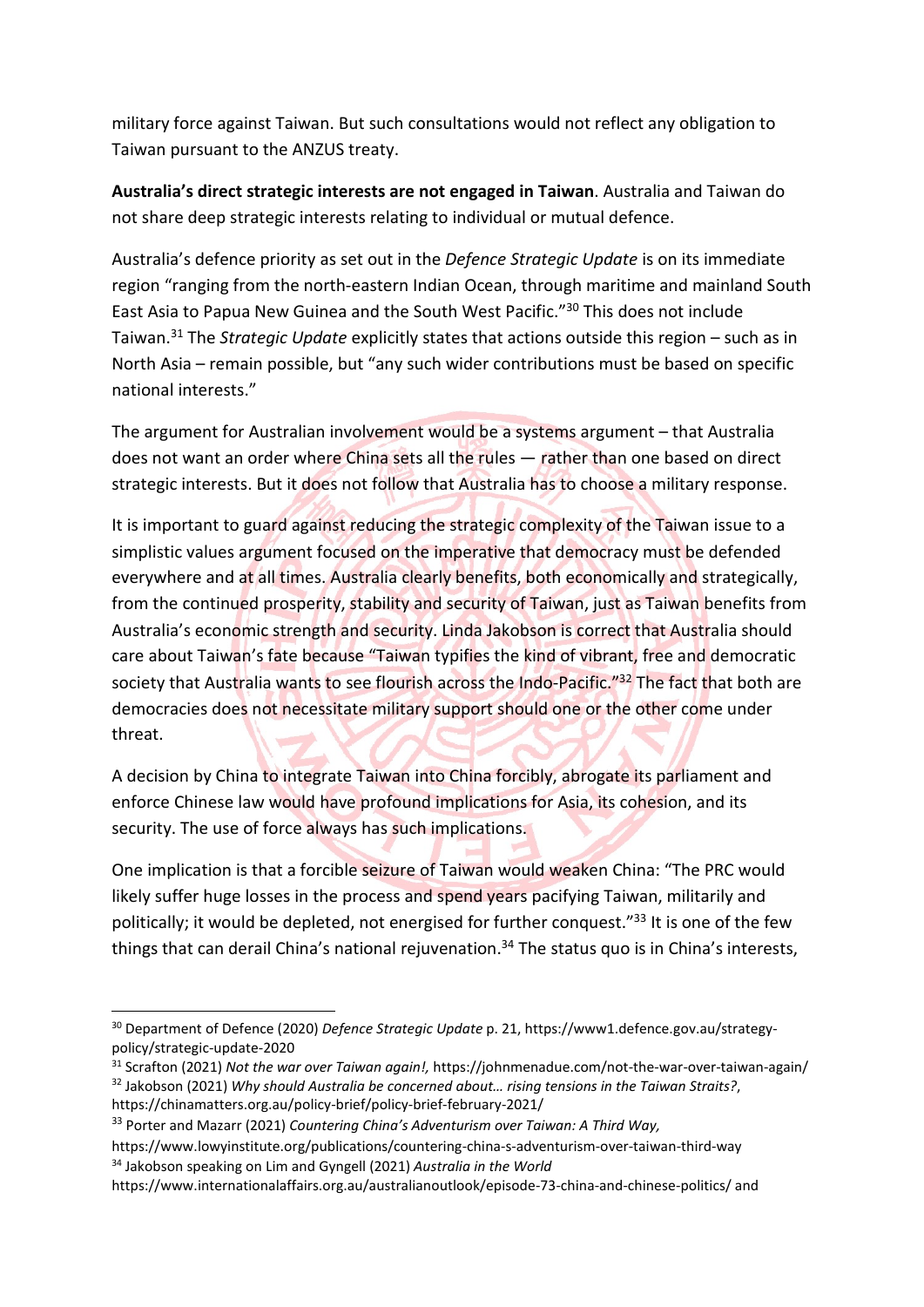military force against Taiwan. But such consultations would not reflect any obligation to Taiwan pursuant to the ANZUS treaty.

**Australia's direct strategic interests are not engaged in Taiwan**. Australia and Taiwan do not share deep strategic interests relating to individual or mutual defence.

Australia's defence priority as set out in the *Defence Strategic Update* is on its immediate region "ranging from the north-eastern Indian Ocean, through maritime and mainland South East Asia to Papua New Guinea and the South West Pacific."<sup>30</sup> This does not include Taiwan.<sup>31</sup> The *Strategic Update* explicitly states that actions outside this region – such as in North Asia – remain possible, but "any such wider contributions must be based on specific national interests."

The argument for Australian involvement would be a systems argument – that Australia does not want an order where China sets all the rules — rather than one based on direct strategic interests. But it does not follow that Australia has to choose a military response.

It is important to guard against reducing the strategic complexity of the Taiwan issue to a simplistic values argument focused on the imperative that democracy must be defended everywhere and at all times. Australia clearly benefits, both economically and strategically, from the continued prosperity, stability and security of Taiwan, just as Taiwan benefits from Australia's economic strength and security. Linda Jakobson is correct that Australia should care about Taiwan's fate because "Taiwan typifies the kind of vibrant, free and democratic society that Australia wants to see flourish across the Indo-Pacific."<sup>32</sup> The fact that both are democracies does not necessitate military support should one or the other come under threat.

A decision by China to integrate Taiwan into China forcibly, abrogate its parliament and enforce Chinese law would have profound implications for Asia, its cohesion, and its security. The use of force always has such implications.

One implication is that a forcible seizure of Taiwan would weaken China: "The PRC would likely suffer huge losses in the process and spend years pacifying Taiwan, militarily and politically; it would be depleted, not energised for further conquest."<sup>33</sup> It is one of the few things that can derail China's national rejuvenation.<sup>34</sup> The status quo is in China's interests,

<sup>30</sup> Department of Defence (2020) *Defence Strategic Update* p. 21, https://www1.defence.gov.au/strategypolicy/strategic-update-2020

<sup>31</sup> Scrafton (2021) *Not the war over Taiwan again!,* https://johnmenadue.com/not-the-war-over-taiwan-again/ <sup>32</sup> Jakobson (2021) *Why should Australia be concerned about… rising tensions in the Taiwan Straits?*, https://chinamatters.org.au/policy-brief/policy-brief-february-2021/

<sup>33</sup> Porter and Mazarr (2021) *Countering China's Adventurism over Taiwan: A Third Way,*

https://www.lowyinstitute.org/publications/countering-china-s-adventurism-over-taiwan-third-way <sup>34</sup> Jakobson speaking on Lim and Gyngell (2021) *Australia in the World*

https://www.internationalaffairs.org.au/australianoutlook/episode-73-china-and-chinese-politics/ and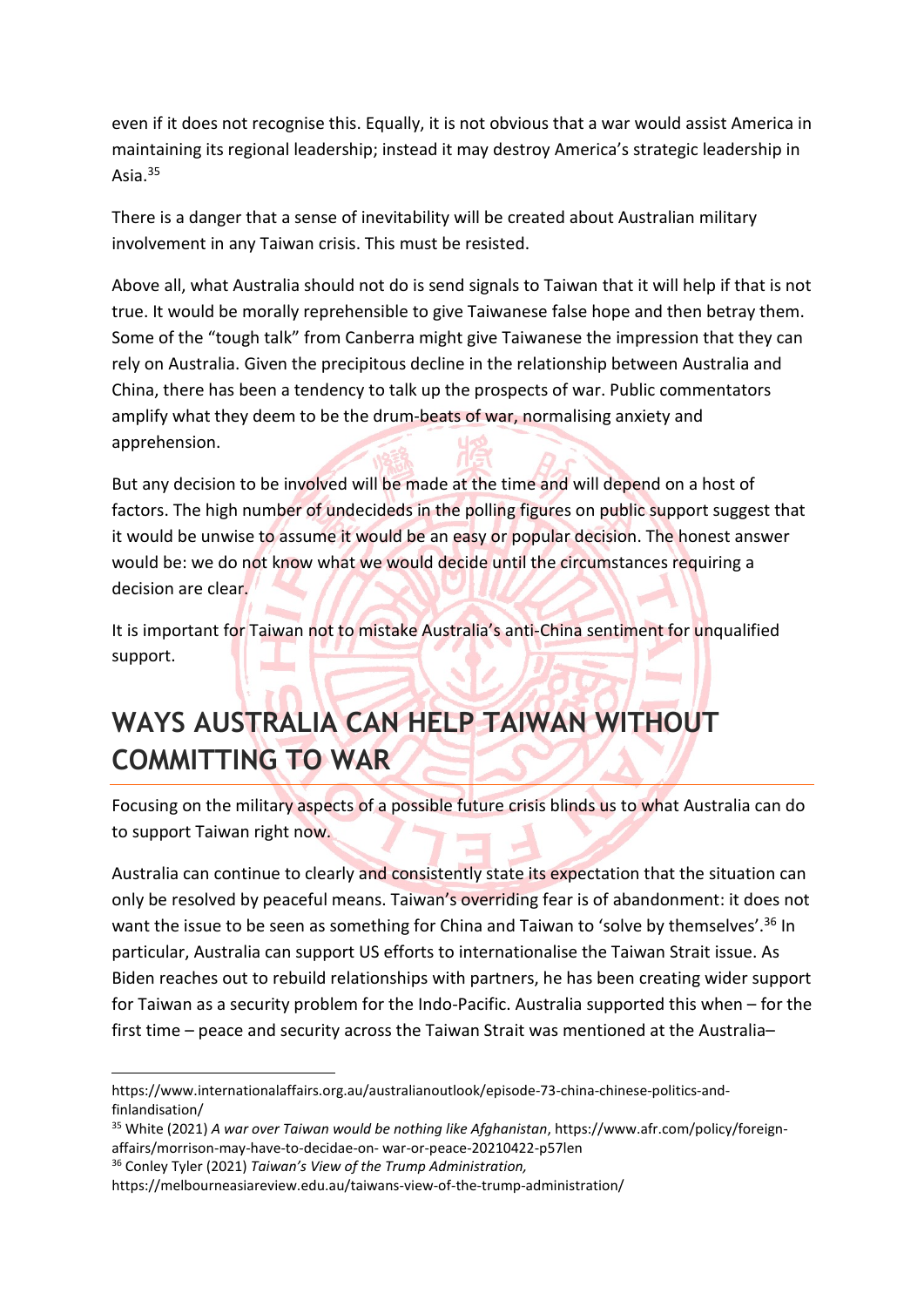even if it does not recognise this. Equally, it is not obvious that a war would assist America in maintaining its regional leadership; instead it may destroy America's strategic leadership in Asia.<sup>35</sup>

There is a danger that a sense of inevitability will be created about Australian military involvement in any Taiwan crisis. This must be resisted.

Above all, what Australia should not do is send signals to Taiwan that it will help if that is not true. It would be morally reprehensible to give Taiwanese false hope and then betray them. Some of the "tough talk" from Canberra might give Taiwanese the impression that they can rely on Australia. Given the precipitous decline in the relationship between Australia and China, there has been a tendency to talk up the prospects of war. Public commentators amplify what they deem to be the drum-beats of war, normalising anxiety and apprehension.

But any decision to be involved will be made at the time and will depend on a host of factors. The high number of undecideds in the polling figures on public support suggest that it would be unwise to assume it would be an easy or popular decision. The honest answer would be: we do not know what we would decide until the circumstances requiring a decision are clear.

It is important for Taiwan not to mistake Australia's anti-China sentiment for unqualified support.

## **WAYS AUSTRALIA CAN HELP TAIWAN WITHOUT COMMITTING TO WAR**

Focusing on the military aspects of a possible future crisis blinds us to what Australia can do to support Taiwan right now.

Australia can continue to clearly and consistently state its expectation that the situation can only be resolved by peaceful means. Taiwan's overriding fear is of abandonment: it does not want the issue to be seen as something for China and Taiwan to 'solve by themselves'.<sup>36</sup> In particular, Australia can support US efforts to internationalise the Taiwan Strait issue. As Biden reaches out to rebuild relationships with partners, he has been creating wider support for Taiwan as a security problem for the Indo-Pacific. Australia supported this when – for the first time – peace and security across the Taiwan Strait was mentioned at the Australia–

https://www.internationalaffairs.org.au/australianoutlook/episode-73-china-chinese-politics-andfinlandisation/

<sup>35</sup> White (2021) *A war over Taiwan would be nothing like Afghanistan*, https://www.afr.com/policy/foreignaffairs/morrison-may-have-to-decidae-on- war-or-peace-20210422-p57len

<sup>36</sup> Conley Tyler (2021) *Taiwan's View of the Trump Administration,*

https://melbourneasiareview.edu.au/taiwans-view-of-the-trump-administration/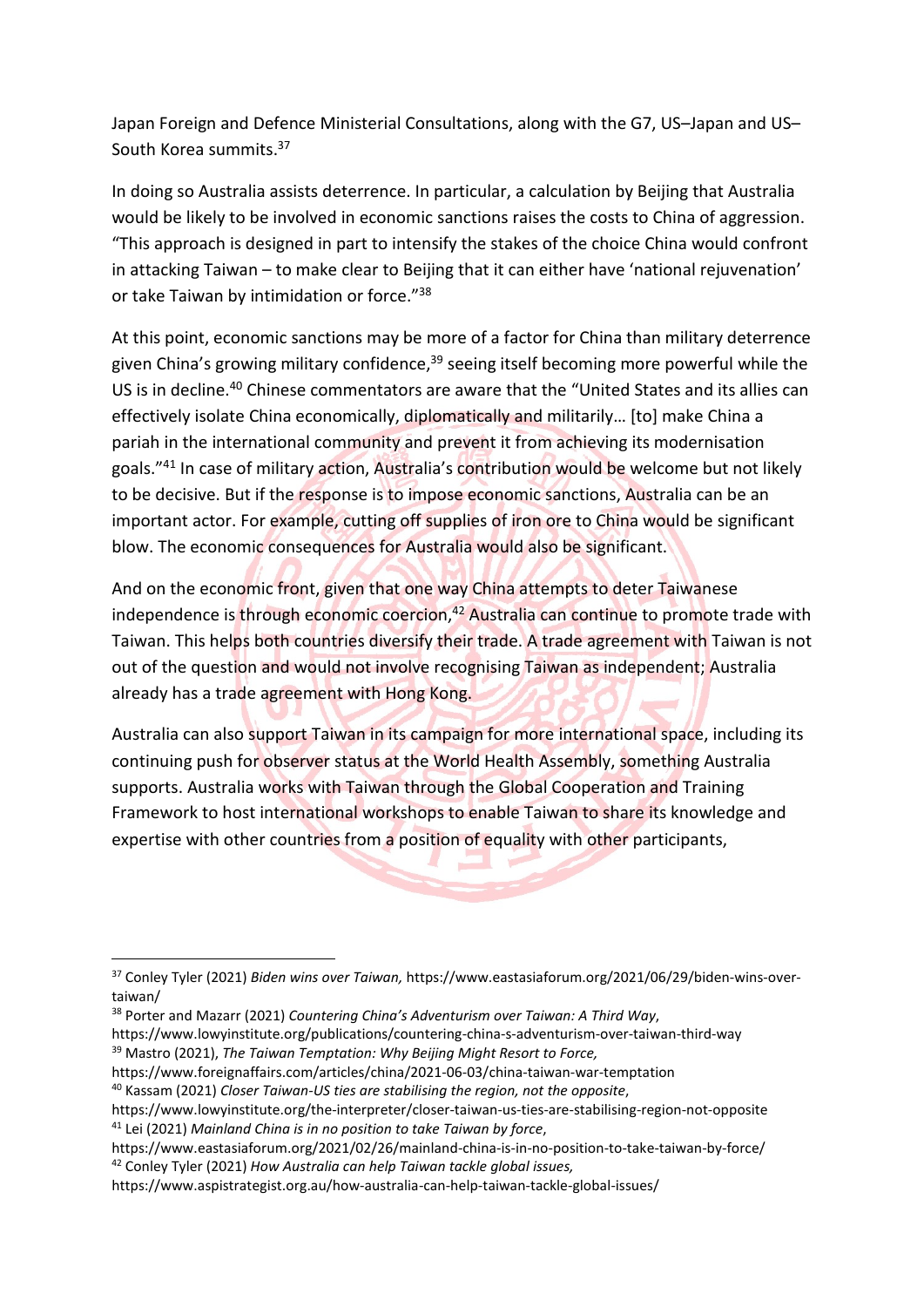Japan Foreign and Defence Ministerial Consultations, along with the G7, US–Japan and US– South Korea summits.<sup>37</sup>

In doing so Australia assists deterrence. In particular, a calculation by Beijing that Australia would be likely to be involved in economic sanctions raises the costs to China of aggression. "This approach is designed in part to intensify the stakes of the choice China would confront in attacking Taiwan – to make clear to Beijing that it can either have 'national rejuvenation' or take Taiwan by intimidation or force."<sup>38</sup>

At this point, economic sanctions may be more of a factor for China than military deterrence given China's growing military confidence,<sup>39</sup> seeing itself becoming more powerful while the US is in decline.<sup>40</sup> Chinese commentators are aware that the "United States and its allies can effectively isolate China economically, diplomatically and militarily… [to] make China a pariah in the international community and prevent it from achieving its modernisation goals."<sup>41</sup> In case of military action, Australia's contribution would be welcome but not likely to be decisive. But if the response is to impose economic sanctions, Australia can be an important actor. For example, cutting off supplies of iron ore to China would be significant blow. The economic consequences for Australia would also be significant.

And on the economic front, given that one way China attempts to deter Taiwanese independence is through economic coercion, $42$  Australia can continue to promote trade with Taiwan. This helps both countries diversify their trade. A trade agreement with Taiwan is not out of the question and would not involve recognising Taiwan as independent; Australia already has a trade agreement with Hong Kong.

Australia can also support Taiwan in its campaign for more international space, including its continuing push for observer status at the World Health Assembly, something Australia supports. Australia works with Taiwan through the Global Cooperation and Training Framework to host international workshops to enable Taiwan to share its knowledge and expertise with other countries from a position of equality with other participants,

https://www.foreignaffairs.com/articles/china/2021-06-03/china-taiwan-war-temptation

<sup>37</sup> Conley Tyler (2021) *Biden wins over Taiwan,* https://www.eastasiaforum.org/2021/06/29/biden-wins-overtaiwan/

<sup>38</sup> Porter and Mazarr (2021) *Countering China's Adventurism over Taiwan: A Third Way*,

https://www.lowyinstitute.org/publications/countering-china-s-adventurism-over-taiwan-third-way <sup>39</sup> Mastro (2021), *The Taiwan Temptation: Why Beijing Might Resort to Force,*

<sup>40</sup> Kassam (2021) *Closer Taiwan-US ties are stabilising the region, not the opposite*,

https://www.lowyinstitute.org/the-interpreter/closer-taiwan-us-ties-are-stabilising-region-not-opposite <sup>41</sup> Lei (2021) *Mainland China is in no position to take Taiwan by force*,

https://www.eastasiaforum.org/2021/02/26/mainland-china-is-in-no-position-to-take-taiwan-by-force/ <sup>42</sup> Conley Tyler (2021) *How Australia can help Taiwan tackle global issues,*

https://www.aspistrategist.org.au/how-australia-can-help-taiwan-tackle-global-issues/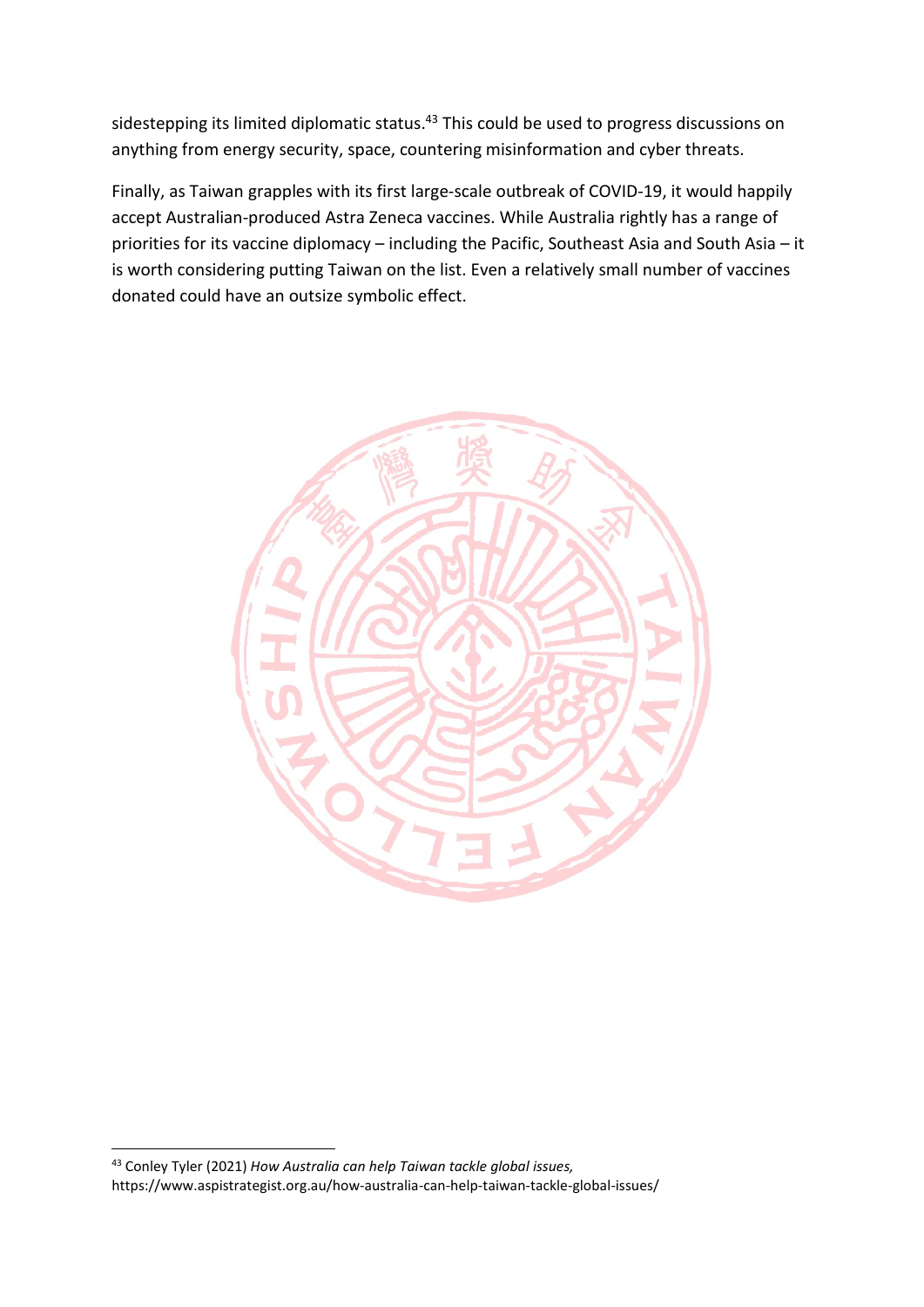sidestepping its limited diplomatic status.<sup>43</sup> This could be used to progress discussions on anything from energy security, space, countering misinformation and cyber threats.

Finally, as Taiwan grapples with its first large-scale outbreak of COVID-19, it would happily accept Australian-produced Astra Zeneca vaccines. While Australia rightly has a range of priorities for its vaccine diplomacy – including the Pacific, Southeast Asia and South Asia – it is worth considering putting Taiwan on the list. Even a relatively small number of vaccines donated could have an outsize symbolic effect.



<sup>43</sup> Conley Tyler (2021) *How Australia can help Taiwan tackle global issues,* https://www.aspistrategist.org.au/how-australia-can-help-taiwan-tackle-global-issues/